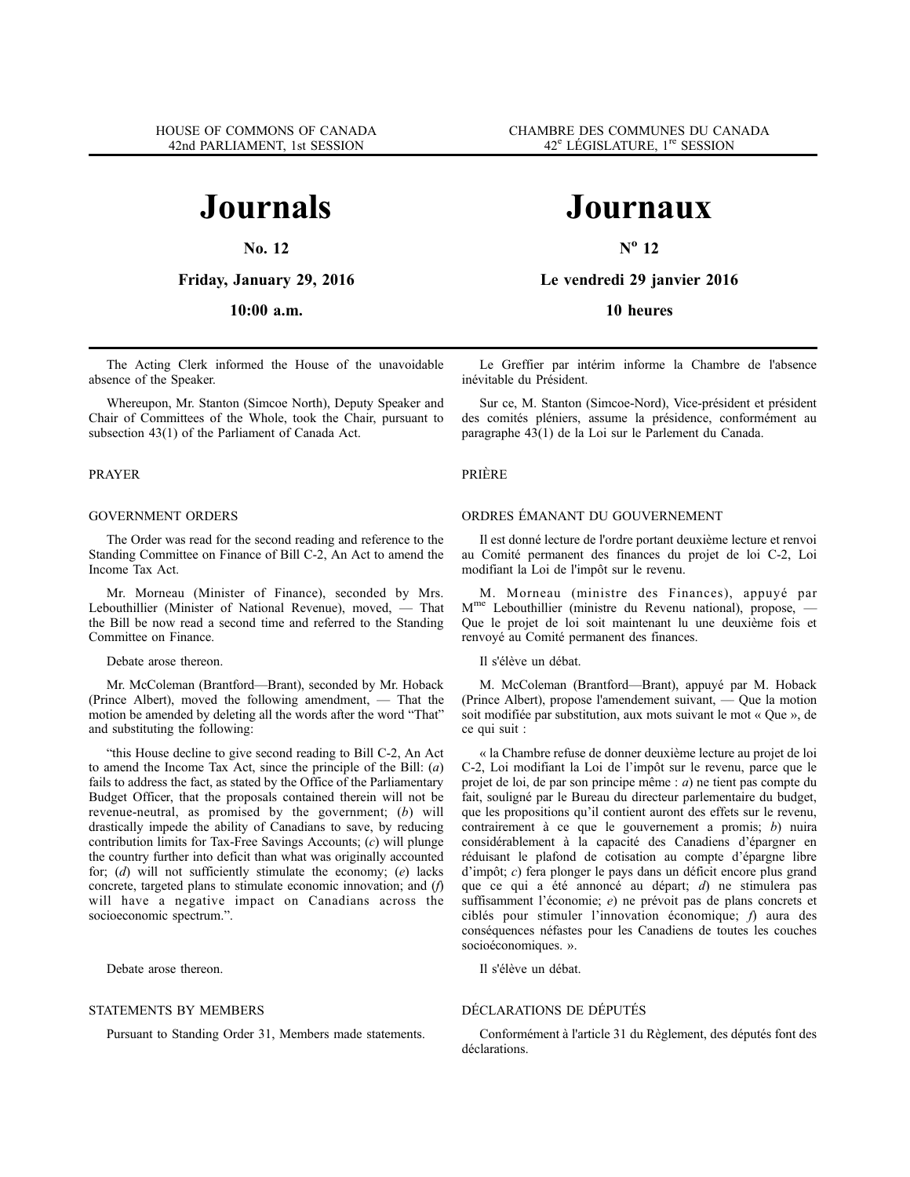**No. 12**

**Friday, January 29, 2016**

**10:00 a.m.**

The Acting Clerk informed the House of the unavoidable absence of the Speaker.

Whereupon, Mr. Stanton (Simcoe North), Deputy Speaker and Chair of Committees of the Whole, took the Chair, pursuant to subsection 43(1) of the Parliament of Canada Act.

### PRAYER

### GOVERNMENT ORDERS

The Order was read for the second reading and reference to the Standing Committee on Finance of Bill C-2, An Act to amend the Income Tax Act.

Mr. Morneau (Minister of Finance), seconded by Mrs. Lebouthillier (Minister of National Revenue), moved, — That the Bill be now read a second time and referred to the Standing Committee on Finance.

#### Debate arose thereon.

Mr. McColeman (Brantford—Brant), seconded by Mr. Hoback (Prince Albert), moved the following amendment, — That the motion be amended by deleting all the words after the word "That" and substituting the following:

"this House decline to give second reading to Bill C-2, An Act to amend the Income Tax Act, since the principle of the Bill: (*a*) fails to address the fact, as stated by the Office of the Parliamentary Budget Officer, that the proposals contained therein will not be revenue-neutral, as promised by the government; (*b*) will drastically impede the ability of Canadians to save, by reducing contribution limits for Tax-Free Savings Accounts; (*c*) will plunge the country further into deficit than what was originally accounted for; (*d*) will not sufficiently stimulate the economy; (*e*) lacks concrete, targeted plans to stimulate economic innovation; and (*f*) will have a negative impact on Canadians across the socioeconomic spectrum.".

Debate arose thereon.

### STATEMENTS BY MEMBERS

Pursuant to Standing Order 31, Members made statements.

# **Journaux**

**N<sup>o</sup> 12**

**Le vendredi 29 janvier 2016**

**10 heures**

Le Greffier par intérim informe la Chambre de l'absence inévitable du Président.

Sur ce, M. Stanton (Simcoe-Nord), Vice-président et président des comités pléniers, assume la présidence, conformément au paragraphe 43(1) de la Loi sur le Parlement du Canada.

PRIÈRE

### ORDRES ÉMANANT DU GOUVERNEMENT

Il est donné lecture de l'ordre portant deuxième lecture et renvoi au Comité permanent des finances du projet de loi C-2, Loi modifiant la Loi de l'impôt sur le revenu.

M. Morneau (ministre des Finances), appuyé par M<sup>me</sup> Lebouthillier (ministre du Revenu national), propose, Que le projet de loi soit maintenant lu une deuxième fois et renvoyé au Comité permanent des finances.

Il s'élève un débat.

M. McColeman (Brantford—Brant), appuyé par M. Hoback (Prince Albert), propose l'amendement suivant, — Que la motion soit modifiée par substitution, aux mots suivant le mot « Que », de ce qui suit :

« la Chambre refuse de donner deuxième lecture au projet de loi C-2, Loi modifiant la Loi de l'impôt sur le revenu, parce que le projet de loi, de par son principe même : *a*) ne tient pas compte du fait, souligné par le Bureau du directeur parlementaire du budget, que les propositions qu'il contient auront des effets sur le revenu, contrairement à ce que le gouvernement a promis; *b*) nuira considérablement à la capacité des Canadiens d'épargner en réduisant le plafond de cotisation au compte d'épargne libre d'impôt; *c*) fera plonger le pays dans un déficit encore plus grand que ce qui a été annoncé au départ; *d*) ne stimulera pas suffisamment l'économie; *e*) ne prévoit pas de plans concrets et ciblés pour stimuler l'innovation économique; *f*) aura des conséquences néfastes pour les Canadiens de toutes les couches socioéconomiques. ».

Il s'élève un débat.

### DÉCLARATIONS DE DÉPUTÉS

Conformément à l'article 31 du Règlement, des députés font des déclarations.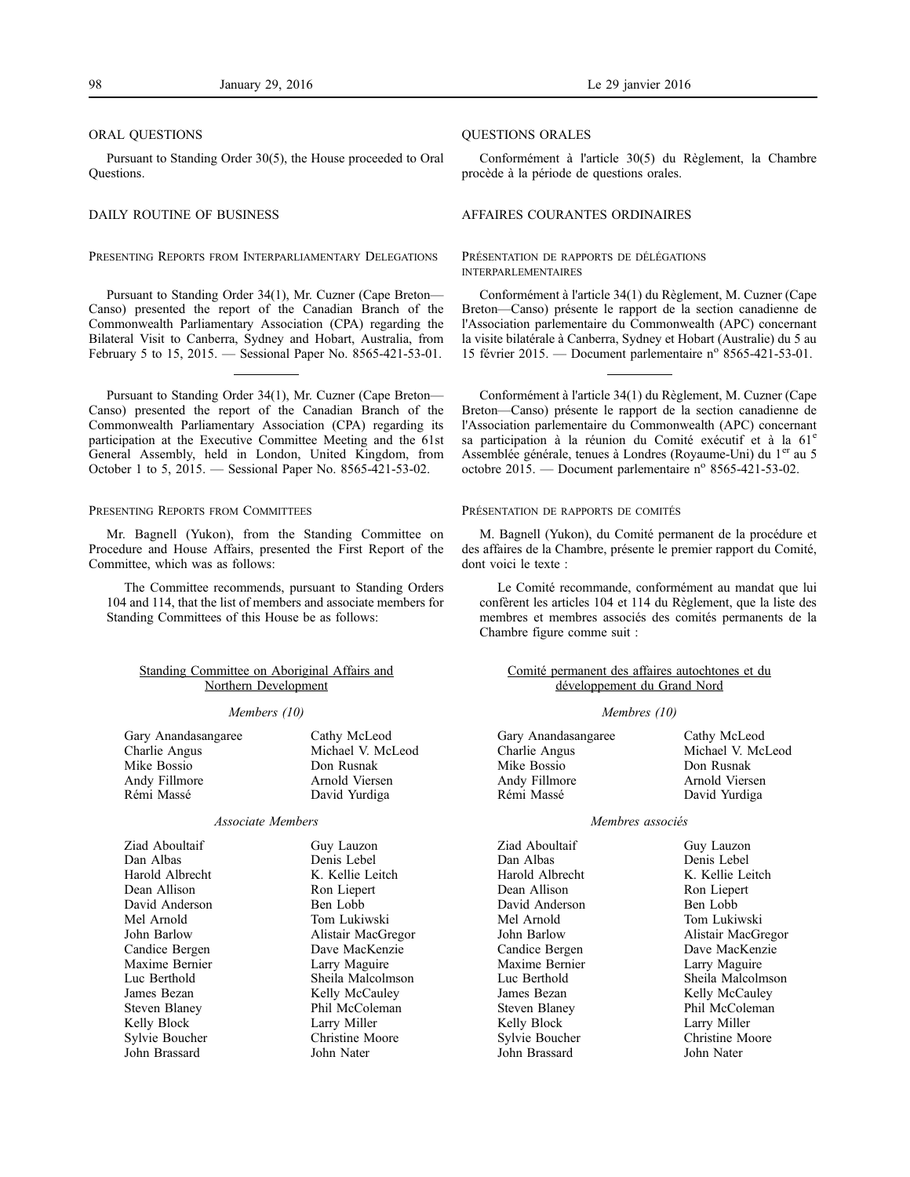#### ORAL QUESTIONS

Pursuant to Standing Order 30(5), the House proceeded to Oral Questions.

### DAILY ROUTINE OF BUSINESS

### PRESENTING REPORTS FROM INTERPARLIAMENTARY DELEGATIONS

Pursuant to Standing Order 34(1), Mr. Cuzner (Cape Breton— Canso) presented the report of the Canadian Branch of the Commonwealth Parliamentary Association (CPA) regarding the Bilateral Visit to Canberra, Sydney and Hobart, Australia, from February 5 to 15, 2015. — Sessional Paper No. 8565-421-53-01.

Pursuant to Standing Order 34(1), Mr. Cuzner (Cape Breton— Canso) presented the report of the Canadian Branch of the Commonwealth Parliamentary Association (CPA) regarding its participation at the Executive Committee Meeting and the 61st General Assembly, held in London, United Kingdom, from October 1 to 5, 2015. — Sessional Paper No. 8565-421-53-02.

#### PRESENTING REPORTS FROM COMMITTEES

Mr. Bagnell (Yukon), from the Standing Committee on Procedure and House Affairs, presented the First Report of the Committee, which was as follows:

The Committee recommends, pursuant to Standing Orders 104 and 114, that the list of members and associate members for Standing Committees of this House be as follows:

### Standing Committee on Aboriginal Affairs and Northern Development

#### *Members (10)*

| Gary Anandasangaree | Cathy McLeod      |
|---------------------|-------------------|
| Charlie Angus       | Michael V. McLeod |
| Mike Bossio         | Don Rusnak        |
| Andy Fillmore       | Arnold Viersen    |
| Rémi Massé          | David Yurdiga     |
|                     |                   |

### *Associate Members*

Ziad Aboultaif Dan Albas Harold Albrecht Dean Allison David Anderson Mel Arnold John Barlow Candice Bergen Maxime Bernier Luc Berthold James Bezan Steven Blaney Kelly Block Sylvie Boucher John Brassard

Guy Lauzon Denis Lebel K. Kellie Leitch Ron Liepert Ben Lobb Tom Lukiwski Alistair MacGregor Dave MacKenzie Larry Maguire Sheila Malcolmson Kelly McCauley

Phil McColeman Larry Miller Christine Moore John Nater

Conformément à l'article 30(5) du Règlement, la Chambre procède à la période de questions orales.

#### AFFAIRES COURANTES ORDINAIRES

### PRÉSENTATION DE RAPPORTS DE DÉLÉGATIONS INTERPARLEMENTAIRES

Conformément à l'article 34(1) du Règlement, M. Cuzner (Cape Breton—Canso) présente le rapport de la section canadienne de l'Association parlementaire du Commonwealth (APC) concernant la visite bilatérale à Canberra, Sydney et Hobart (Australie) du 5 au 15 février 2015. — Document parlementaire nº 8565-421-53-01.

Conformément à l'article 34(1) du Règlement, M. Cuzner (Cape Breton—Canso) présente le rapport de la section canadienne de l'Association parlementaire du Commonwealth (APC) concernant sa participation à la réunion du Comité exécutif et à la 61<sup>e</sup> Assemblée générale, tenues à Londres (Royaume-Uni) du 1<sup>er</sup> au 5 octobre 2015. — Document parlementaire nº 8565-421-53-02.

#### PRÉSENTATION DE RAPPORTS DE COMITÉS

M. Bagnell (Yukon), du Comité permanent de la procédure et des affaires de la Chambre, présente le premier rapport du Comité, dont voici le texte :

Le Comité recommande, conformément au mandat que lui confèrent les articles 104 et 114 du Règlement, que la liste des membres et membres associés des comités permanents de la Chambre figure comme suit :

### Comité permanent des affaires autochtones et du développement du Grand Nord

#### *Membres (10)*

| Cathy McLeod      |
|-------------------|
| Michael V. McLeod |
| Don Rusnak        |
| Arnold Viersen    |
| David Yurdiga     |
|                   |

### *Membres associés*

Ziad Aboultaif Dan Albas Harold Albrecht Dean Allison David Anderson Mel Arnold John Barlow Candice Bergen Maxime Bernier Luc Berthold James Bezan Steven Blaney Kelly Block Sylvie Boucher John Brassard

Guy Lauzon Denis Lebel K. Kellie Leitch Ron Liepert Ben Lobb Tom Lukiwski Alistair MacGregor Dave MacKenzie Larry Maguire Sheila Malcolmson Kelly McCauley Phil McColeman Larry Miller Christine Moore John Nater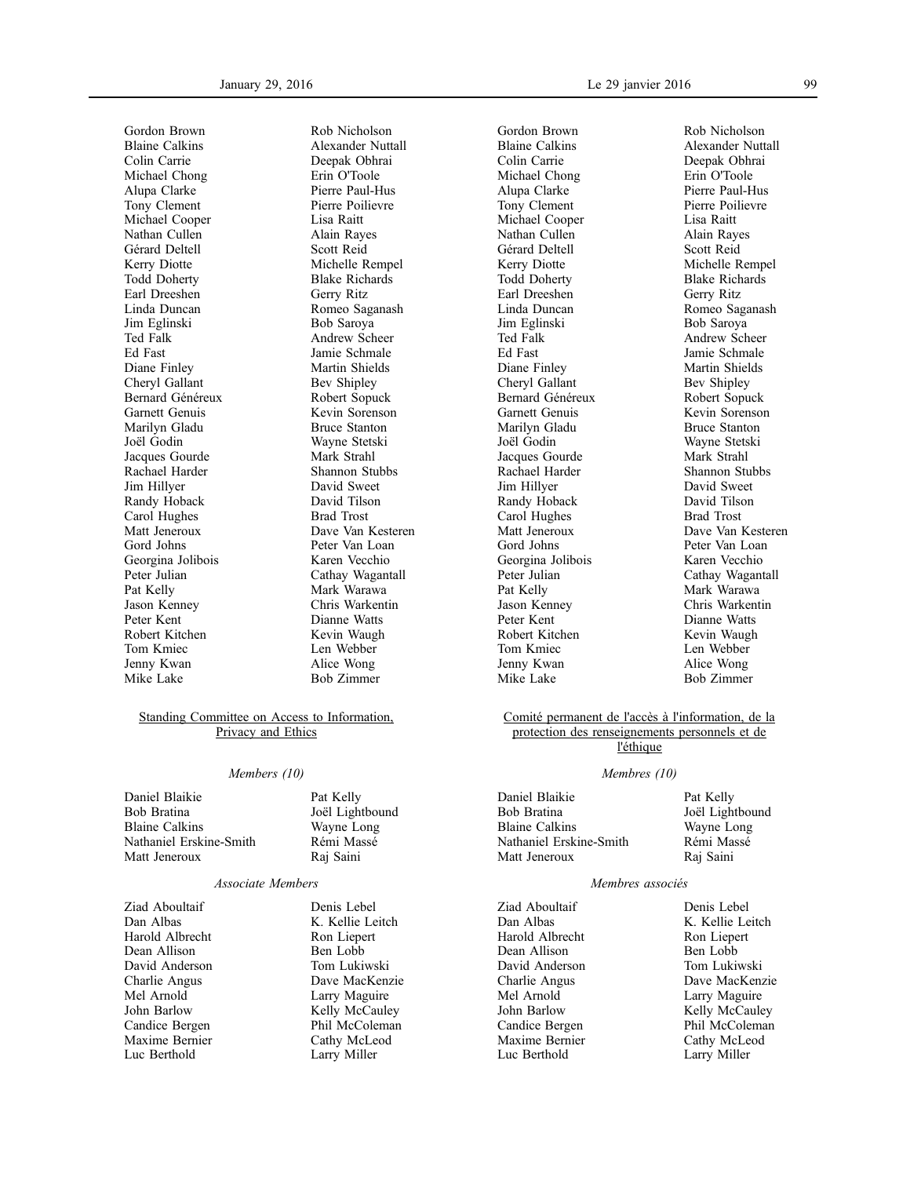Gordon Brown Blaine Calkins Colin Carrie Michael Chong Alupa Clarke Tony Clement Michael Cooper Nathan Cullen Gérard Deltell Kerry Diotte Todd Doherty Earl Dreeshen Linda Duncan Jim Eglinski Ted Falk Ed Fast Diane Finley Cheryl Gallant Bernard Généreux Garnett Genuis Marilyn Gladu Joël Godin Jacques Gourde Rachael Harder Jim Hillyer Randy Hoback Carol Hughes Matt Jeneroux Gord Johns Georgina Jolibois Peter Julian Pat Kelly Jason Kenney Peter Kent Robert Kitchen Tom Kmiec Jenny Kwan Mike Lake

Rob Nicholson Alexander Nuttall Deepak Obhrai Erin O'Toole Pierre Paul-Hus Pierre Poilievre Lisa Raitt Alain Rayes Scott Reid Michelle Rempel Blake Richards Gerry Ritz Romeo Saganash Bob Saroya Andrew Scheer Jamie Schmale Martin Shields Bev Shipley Robert Sopuck Kevin Sorenson Bruce Stanton Wayne Stetski Mark Strahl Shannon Stubbs David Sweet David Tilson Brad Trost Dave Van Kesteren Peter Van Loan Karen Vecchio Cathay Wagantall Mark Warawa Chris Warkentin Dianne Watts Kevin Waugh Len Webber Alice Wong Bob Zimmer

### Standing Committee on Access to Information, Privacy and Ethics

### *Members (10)*

Daniel Blaikie Bob Bratina Blaine Calkins Nathaniel Erskine-Smith Matt Jeneroux

Pat Kelly Joël Lightbound Wayne Long Rémi Massé Raj Saini

### *Associate Members*

Ziad Aboultaif Dan Albas Harold Albrecht Dean Allison David Anderson Charlie Angus Mel Arnold John Barlow Candice Bergen Maxime Bernier Luc Berthold

Denis Lebel K. Kellie Leitch Ron Liepert Ben Lobb Tom Lukiwski Dave MacKenzie Larry Maguire Kelly McCauley Phil McColeman Cathy McLeod Larry Miller

Gordon Brown Blaine Calkins Colin Carrie Michael Chong Alupa Clarke Tony Clement Michael Cooper Nathan Cullen Gérard Deltell Kerry Diotte Todd Doherty Earl Dreeshen Linda Duncan Jim Eglinski Ted Falk Ed Fast Diane Finley Cheryl Gallant Bernard Généreux Garnett Genuis Marilyn Gladu Joël Godin Jacques Gourde Rachael Harder Jim Hillyer Randy Hoback Carol Hughes Matt Jeneroux Gord Johns Georgina Jolibois Peter Julian Pat Kelly Jason Kenney Peter Kent Robert Kitchen Tom Kmiec Jenny Kwan Mike Lake

Rob Nicholson Alexander Nuttall Deepak Obhrai Erin O'Toole Pierre Paul-Hus Pierre Poilievre Lisa Raitt Alain Rayes Scott Reid Michelle Rempel Blake Richards Gerry Ritz Romeo Saganash Bob Saroya Andrew Scheer Jamie Schmale Martin Shields Bev Shipley Robert Sopuck Kevin Sorenson Bruce Stanton Wayne Stetski Mark Strahl Shannon Stubbs David Sweet David Tilson Brad Trost Dave Van Kesteren Peter Van Loan Karen Vecchio Cathay Wagantall Mark Warawa Chris Warkentin Dianne Watts Kevin Waugh Len Webber Alice Wong Bob Zimmer

### Comité permanent de l'accès à l'information, de la protection des renseignements personnels et de l'éthique

### *Membres (10)*

Daniel Blaikie Bob Bratina Blaine Calkins Nathaniel Erskine-Smith Matt Jeneroux Pat Kelly Joël Lightbound Wayne Long Rémi Massé Raj Saini

#### *Membres associés*

Ziad Aboultaif Dan Albas Harold Albrecht Dean Allison David Anderson Charlie Angus Mel Arnold John Barlow Candice Bergen Maxime Bernier Luc Berthold

Denis Lebel K. Kellie Leitch Ron Liepert Ben Lobb Tom Lukiwski Dave MacKenzie Larry Maguire Kelly McCauley Phil McColeman Cathy McLeod Larry Miller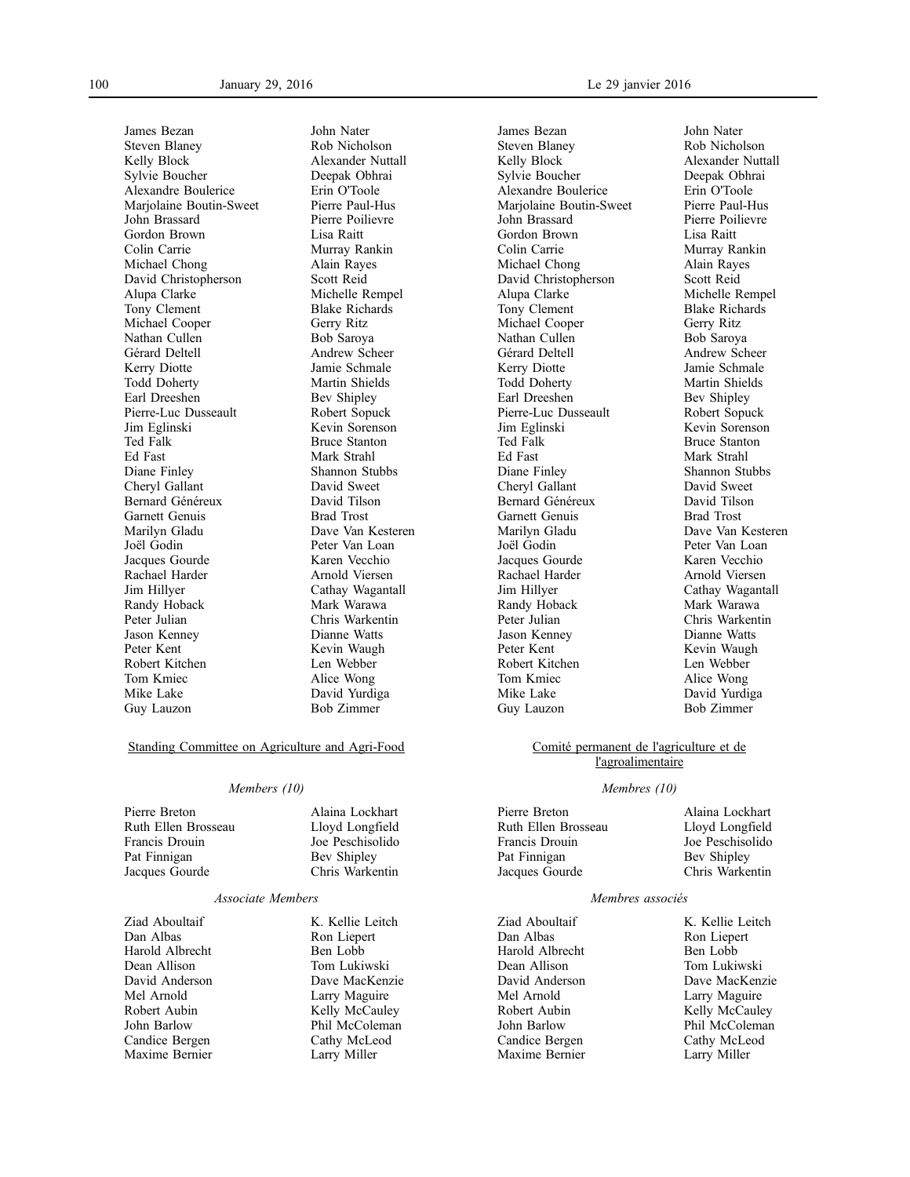James Bezan Steven Blaney Kelly Block Sylvie Boucher Alexandre Boulerice Marjolaine Boutin-Sweet John Brassard Gordon Brown Colin Carrie Michael Chong David Christopherson Alupa Clarke Tony Clement Michael Cooper Nathan Cullen Gérard Deltell Kerry Diotte Todd Doherty Earl Dreeshen Pierre-Luc Dusseault Jim Eglinski Ted Falk Ed Fast Diane Finley Cheryl Gallant Bernard Généreux Garnett Genuis Marilyn Gladu Joël Godin Jacques Gourde Rachael Harder Jim Hillyer Randy Hoback Peter Julian Jason Kenney Peter Kent Robert Kitchen Tom Kmiec Mike Lake Guy Lauzon

John Nater Rob Nicholson Alexander Nuttall Deepak Obhrai Erin O'Toole Pierre Paul-Hus Pierre Poilievre Lisa Raitt Murray Rankin Alain Rayes Scott Reid Michelle Rempel Blake Richards Gerry Ritz Bob Saroya Andrew Scheer Jamie Schmale Martin Shields Bev Shipley Robert Sopuck Kevin Sorenson Bruce Stanton Mark Strahl Shannon Stubbs David Sweet David Tilson Brad Trost Dave Van Kesteren Peter Van Loan Karen Vecchio Arnold Viersen Cathay Wagantall Mark Warawa Chris Warkentin Dianne Watts Kevin Waugh Len Webber Alice Wong David Yurdiga Bob Zimmer

### Standing Committee on Agriculture and Agri-Food

#### *Members (10)*

Pierre Breton Ruth Ellen Brosseau Francis Drouin Pat Finnigan Jacques Gourde

Alaina Lockhart Lloyd Longfield Joe Peschisolido Bev Shipley Chris Warkentin

#### *Associate Members*

Ziad Aboultaif Dan Albas Harold Albrecht Dean Allison David Anderson Mel Arnold Robert Aubin John Barlow Candice Bergen Maxime Bernier

K. Kellie Leitch Ron Liepert Ben Lobb Tom Lukiwski Dave MacKenzie Larry Maguire Kelly McCauley Phil McColeman Cathy McLeod Larry Miller

James Bezan Steven Blaney Kelly Block Sylvie Boucher Alexandre Boulerice Marjolaine Boutin-Sweet John Brassard Gordon Brown Colin Carrie Michael Chong David Christopherson Alupa Clarke Tony Clement Michael Cooper Nathan Cullen Gérard Deltell Kerry Diotte Todd Doherty Earl Dreeshen Pierre-Luc Dusseault Jim Eglinski Ted Falk Ed Fast Diane Finley Cheryl Gallant Bernard Généreux Garnett Genuis Marilyn Gladu Joël Godin Jacques Gourde Rachael Harder Jim Hillyer Randy Hoback Peter Julian Jason Kenney Peter Kent Robert Kitchen Tom Kmiec Mike Lake Guy Lauzon

Rob Nicholson Alexander Nuttall Deepak Obhrai Erin O'Toole Pierre Paul-Hus Pierre Poilievre Lisa Raitt Murray Rankin Alain Rayes Scott Reid Michelle Rempel Blake Richards Gerry Ritz Bob Saroya Andrew Scheer Jamie Schmale Martin Shields Bev Shipley Robert Sopuck Kevin Sorenson Bruce Stanton Mark Strahl Shannon Stubbs David Sweet David Tilson Brad Trost Dave Van Kesteren Peter Van Loan Karen Vecchio Arnold Viersen Cathay Wagantall Mark Warawa Chris Warkentin Dianne Watts Kevin Waugh Len Webber Alice Wong David Yurdiga Bob Zimmer

John Nater

### Comité permanent de l'agriculture et de l'agroalimentaire

#### *Membres (10)*

Pierre Breton Ruth Ellen Brosseau Francis Drouin Pat Finnigan Jacques Gourde

Alaina Lockhart Lloyd Longfield Joe Peschisolido Bev Shipley Chris Warkentin

### *Membres associés*

Ziad Aboultaif Dan Albas Harold Albrecht Dean Allison David Anderson Mel Arnold Robert Aubin John Barlow Candice Bergen Maxime Bernier

K. Kellie Leitch Ron Liepert Ben Lobb Tom Lukiwski Dave MacKenzie Larry Maguire Kelly McCauley Phil McColeman Cathy McLeod Larry Miller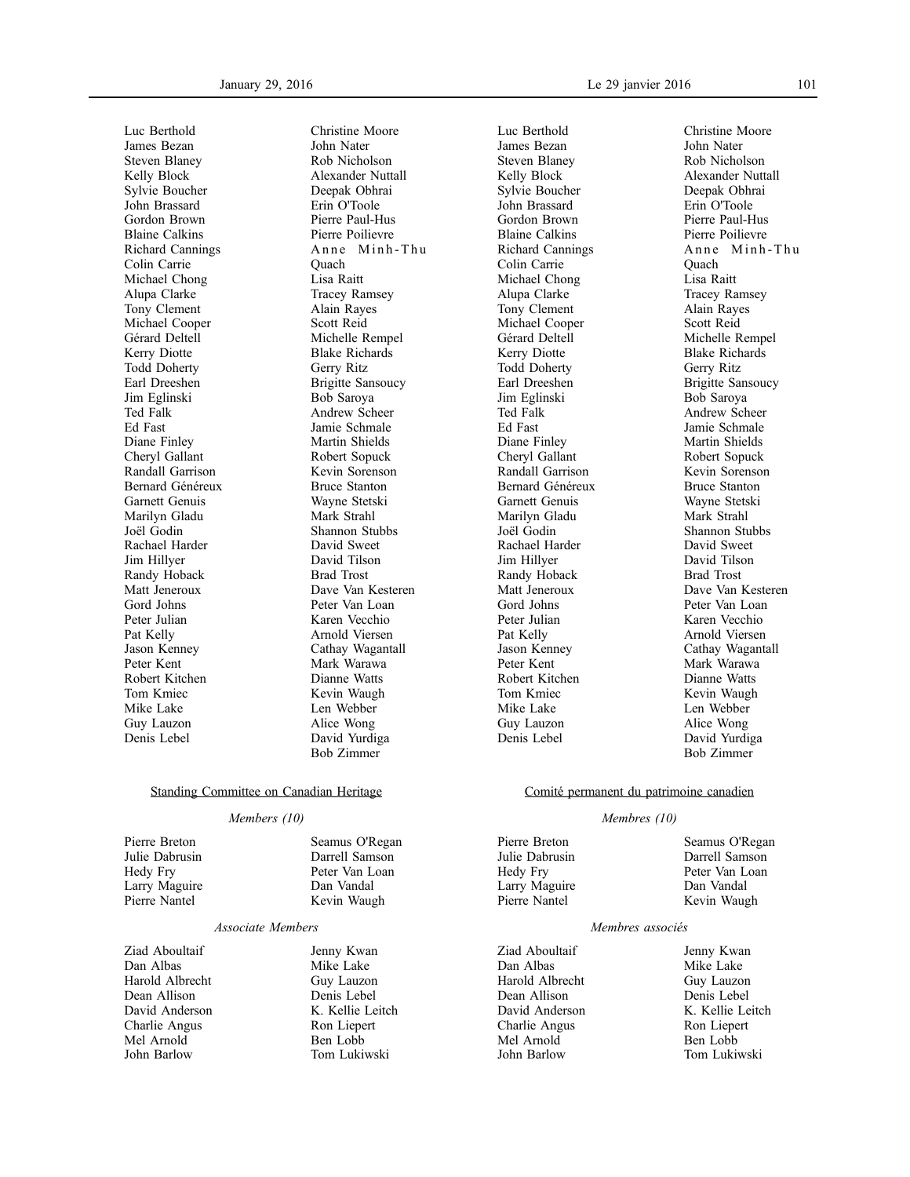Luc Berthold James Bezan Steven Blaney Kelly Block Sylvie Boucher John Brassard Gordon Brown Blaine Calkins Richard Cannings Colin Carrie Michael Chong Alupa Clarke Tony Clement Michael Cooper Gérard Deltell Kerry Diotte Todd Doherty Earl Dreeshen Jim Eglinski Ted Falk Ed Fast Diane Finley Cheryl Gallant Randall Garrison Bernard Généreux Garnett Genuis Marilyn Gladu Joël Godin Rachael Harder Jim Hillyer Randy Hoback Matt Jeneroux Gord Johns Peter Julian Pat Kelly Jason Kenney Peter Kent Robert Kitchen Tom Kmiec Mike Lake Guy Lauzon Denis Lebel

Christine Moore John Nater Rob Nicholson Alexander Nuttall Deepak Obhrai Erin O'Toole Pierre Paul-Hus Pierre Poilievre Anne Minh-Thu **Ouach** Lisa Raitt Tracey Ramsey Alain Rayes Scott Reid Michelle Rempel Blake Richards Gerry Ritz Brigitte Sansoucy Bob Saroya Andrew Scheer Jamie Schmale Martin Shields Robert Sopuck Kevin Sorenson Bruce Stanton Wayne Stetski Mark Strahl Shannon Stubbs David Sweet David Tilson Brad Trost Dave Van Kesteren Peter Van Loan Karen Vecchio Arnold Viersen Cathay Wagantall Mark Warawa Dianne Watts Kevin Waugh Len Webber Alice Wong David Yurdiga Bob Zimmer

## Standing Committee on Canadian Heritage

### *Members (10)*

Pierre Breton Julie Dabrusin Hedy Fry Larry Maguire Pierre Nantel

### *Associate Members*

Ziad Aboultaif Dan Albas Harold Albrecht Dean Allison David Anderson Charlie Angus Mel Arnold John Barlow

Jenny Kwan Mike Lake Guy Lauzon Denis Lebel K. Kellie Leitch Ron Liepert Ben Lobb Tom Lukiwski

Seamus O'Regan Darrell Samson Peter Van Loan Dan Vandal Kevin Waugh

Luc Berthold James Bezan Steven Blaney Kelly Block Sylvie Boucher John Brassard Gordon Brown Blaine Calkins Richard Cannings Colin Carrie Michael Chong Alupa Clarke Tony Clement Michael Cooper Gérard Deltell Kerry Diotte Todd Doherty Earl Dreeshen Jim Eglinski Ted Falk Ed Fast Diane Finley Cheryl Gallant Randall Garrison Bernard Généreux Garnett Genuis Marilyn Gladu Joël Godin Rachael Harder Jim Hillyer Randy Hoback Matt Jeneroux Gord Johns Peter Julian Pat Kelly Jason Kenney Peter Kent Robert Kitchen Tom Kmiec Mike Lake Guy Lauzon Denis Lebel

Christine Moore John Nater Rob Nicholson Alexander Nuttall Deepak Obhrai Erin O'Toole Pierre Paul-Hus Pierre Poilievre Anne Minh-Thu **Ouach** Lisa Raitt Tracey Ramsey Alain Rayes Scott Reid Michelle Rempel Blake Richards Gerry Ritz Brigitte Sansoucy Bob Saroya Andrew Scheer Jamie Schmale Martin Shields Robert Sopuck Kevin Sorenson Bruce Stanton Wayne Stetski Mark Strahl Shannon Stubbs David Sweet David Tilson Brad Trost Dave Van Kesteren Peter Van Loan Karen Vecchio Arnold Viersen Cathay Wagantall Mark Warawa Dianne Watts Kevin Waugh Len Webber Alice Wong David Yurdiga Bob Zimmer

### Comité permanent du patrimoine canadien

### *Membres (10)*

Pierre Breton Julie Dabrusin Hedy Fry Larry Maguire Pierre Nantel

Seamus O'Regan Darrell Samson Peter Van Loan Dan Vandal Kevin Waugh

### *Membres associés*

Ziad Aboultaif Dan Albas Harold Albrecht Dean Allison David Anderson Charlie Angus Mel Arnold John Barlow

Jenny Kwan Mike Lake Guy Lauzon Denis Lebel K. Kellie Leitch Ron Liepert Ben Lobb Tom Lukiwski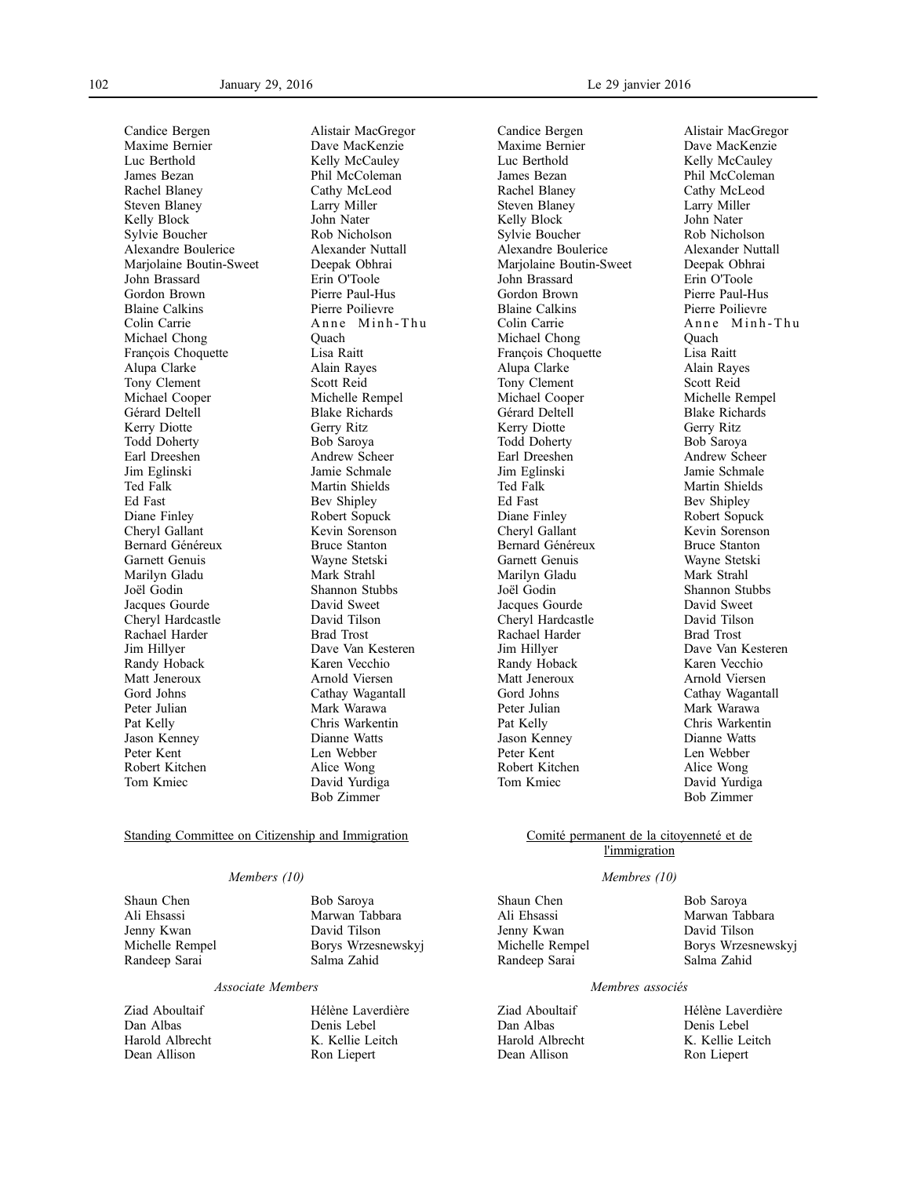Candice Bergen Maxime Bernier Luc Berthold James Bezan Rachel Blaney Steven Blaney Kelly Block Sylvie Boucher Alexandre Boulerice Marjolaine Boutin-Sweet John Brassard Gordon Brown Blaine Calkins Colin Carrie Michael Chong François Choquette Alupa Clarke Tony Clement Michael Cooper Gérard Deltell Kerry Diotte Todd Doherty Earl Dreeshen Jim Eglinski Ted Falk Ed Fast Diane Finley Cheryl Gallant Bernard Généreux Garnett Genuis Marilyn Gladu Joël Godin Jacques Gourde Cheryl Hardcastle Rachael Harder Jim Hillyer Randy Hoback Matt Jeneroux Gord Johns Peter Julian Pat Kelly Jason Kenney Peter Kent Robert Kitchen Tom Kmiec

Alistair MacGregor Dave MacKenzie Kelly McCauley Phil McColeman Cathy McLeod Larry Miller John Nater Rob Nicholson Alexander Nuttall Deepak Obhrai Erin O'Toole Pierre Paul-Hus Pierre Poilievre Anne Minh-Thu **Ouach** Lisa Raitt Alain Rayes Scott Reid Michelle Rempel Blake Richards Gerry Ritz Bob Saroya Andrew Scheer Jamie Schmale Martin Shields Bev Shipley Robert Sopuck Kevin Sorenson Bruce Stanton Wayne Stetski Mark Strahl Shannon Stubbs David Sweet David Tilson Brad Trost Dave Van Kesteren Karen Vecchio Arnold Viersen Cathay Wagantall Mark Warawa Chris Warkentin Dianne Watts Len Webber Alice Wong David Yurdiga Bob Zimmer

## Standing Committee on Citizenship and Immigration

### *Members (10)*

Shaun Chen Ali Ehsassi Jenny Kwan Michelle Rempel Randeep Sarai

Bob Saroya Marwan Tabbara David Tilson Borys Wrzesnewskyj Salma Zahid

#### *Associate Members*

Ziad Aboultaif Dan Albas Harold Albrecht Dean Allison

Hélène Laverdière Denis Lebel K. Kellie Leitch Ron Liepert

Candice Bergen Maxime Bernier Luc Berthold James Bezan Rachel Blaney Steven Blaney Kelly Block Sylvie Boucher Alexandre Boulerice Marjolaine Boutin-Sweet John Brassard Gordon Brown Blaine Calkins Colin Carrie Michael Chong François Choquette Alupa Clarke Tony Clement Michael Cooper Gérard Deltell Kerry Diotte Todd Doherty Earl Dreeshen Jim Eglinski Ted Falk Ed Fast Diane Finley Cheryl Gallant Bernard Généreux Garnett Genuis Marilyn Gladu Joël Godin Jacques Gourde Cheryl Hardcastle Rachael Harder Jim Hillyer Randy Hoback Matt Jeneroux Gord Johns Peter Julian Pat Kelly Jason Kenney Peter Kent Robert Kitchen Tom Kmiec

Alistair MacGregor Dave MacKenzie Kelly McCauley Phil McColeman Cathy McLeod Larry Miller John Nater Rob Nicholson Alexander Nuttall Deepak Obhrai Erin O'Toole Pierre Paul-Hus Pierre Poilievre Anne Minh-Thu **Ouach** Lisa Raitt Alain Rayes Scott Reid Michelle Rempel Blake Richards Gerry Ritz Bob Saroya Andrew Scheer Jamie Schmale Martin Shields Bev Shipley Robert Sopuck Kevin Sorenson Bruce Stanton Wayne Stetski Mark Strahl Shannon Stubbs David Sweet David Tilson Brad Trost Dave Van Kesteren Karen Vecchio Arnold Viersen Cathay Wagantall Mark Warawa Chris Warkentin Dianne Watts Len Webber Alice Wong David Yurdiga Bob Zimmer

### Comité permanent de la citoyenneté et de l'immigration

#### *Membres (10)*

Shaun Chen Ali Ehsassi Jenny Kwan Michelle Rempel Randeep Sarai

Bob Saroya Marwan Tabbara David Tilson Borys Wrzesnewskyj Salma Zahid

#### *Membres associés*

Ziad Aboultaif Dan Albas Harold Albrecht Dean Allison

Hélène Laverdière Denis Lebel K. Kellie Leitch Ron Liepert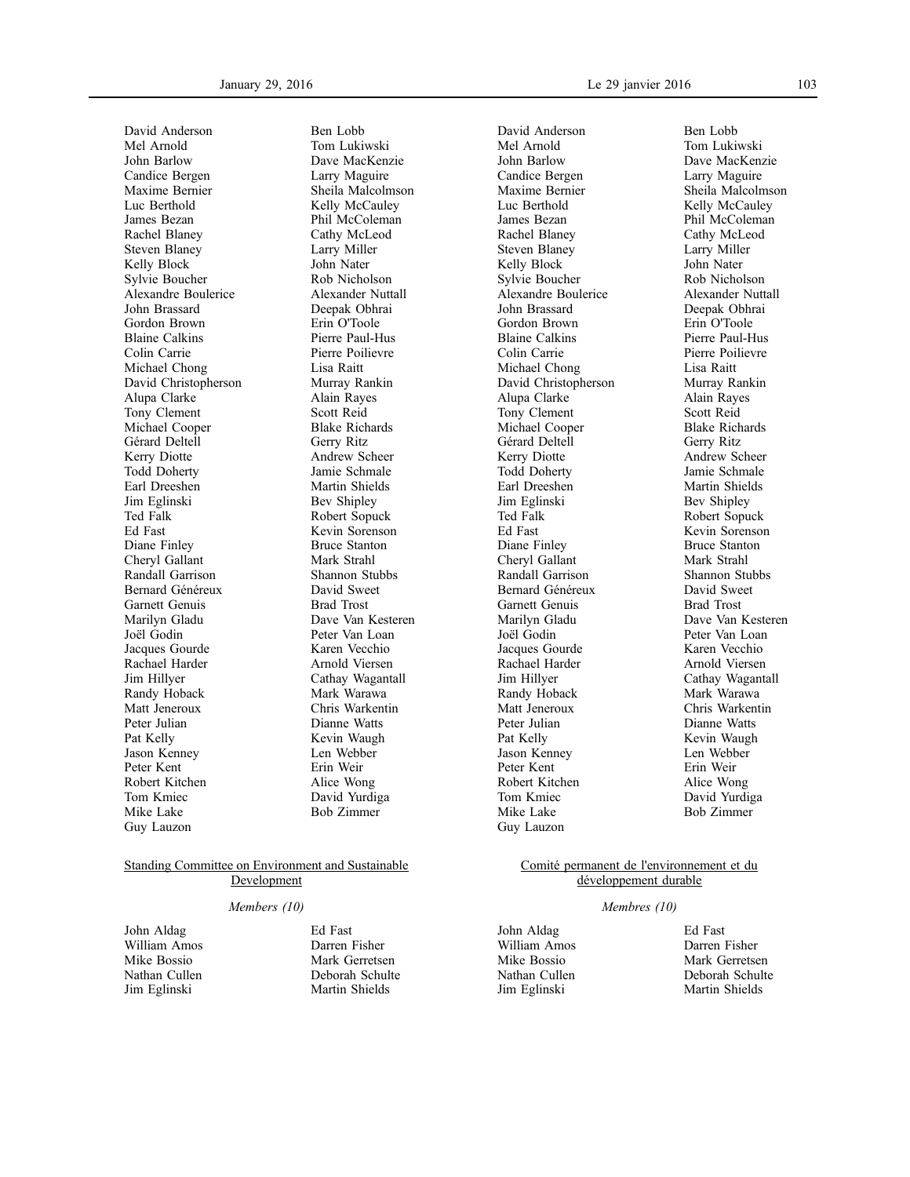David Anderson Mel Arnold John Barlow Candice Bergen Maxime Bernier Luc Berthold James Bezan Rachel Blaney Steven Blaney Kelly Block Sylvie Boucher Alexandre Boulerice John Brassard Gordon Brown Blaine Calkins Colin Carrie Michael Chong David Christopherson Alupa Clarke Tony Clement Michael Cooper Gérard Deltell Kerry Diotte Todd Doherty Earl Dreeshen Jim Eglinski Ted Falk Ed Fast Diane Finley Cheryl Gallant Randall Garrison Bernard Généreux Garnett Genuis Marilyn Gladu Joël Godin Jacques Gourde Rachael Harder Jim Hillyer Randy Hoback Matt Jeneroux Peter Julian Pat Kelly Jason Kenney Peter Kent Robert Kitchen Tom Kmiec Mike Lake Guy Lauzon

Ben Lobb Tom Lukiwski Dave MacKenzie Larry Maguire Sheila Malcolmson Kelly McCauley Phil McColeman Cathy McLeod Larry Miller John Nater Rob Nicholson Alexander Nuttall Deepak Obhrai Erin O'Toole Pierre Paul-Hus Pierre Poilievre Lisa Raitt Murray Rankin Alain Rayes Scott Reid Blake Richards Gerry Ritz Andrew Scheer Jamie Schmale Martin Shields Bev Shipley Robert Sopuck Kevin Sorenson Bruce Stanton Mark Strahl Shannon Stubbs David Sweet Brad Trost Dave Van Kesteren Peter Van Loan Karen Vecchio Arnold Viersen Cathay Wagantall Mark Warawa Chris Warkentin Dianne Watts Kevin Waugh Len Webber Erin Weir Alice Wong David Yurdiga Bob Zimmer

### Standing Committee on Environment and Sustainable **Development**

### *Members (10)*

John Aldag William Amos Mike Bossio Nathan Cullen Jim Eglinski

Ed Fast Darren Fisher Mark Gerretsen Deborah Schulte Martin Shields

David Anderson Mel Arnold John Barlow Candice Bergen Maxime Bernier Luc Berthold James Bezan Rachel Blaney Steven Blaney Kelly Block Sylvie Boucher Alexandre Boulerice John Brassard Gordon Brown Blaine Calkins Colin Carrie Michael Chong David Christopherson Alupa Clarke Tony Clement Michael Cooper Gérard Deltell Kerry Diotte Todd Doherty Earl Dreeshen Jim Eglinski Ted Falk Ed Fast Diane Finley Cheryl Gallant Randall Garrison Bernard Généreux Garnett Genuis Marilyn Gladu Joël Godin Jacques Gourde Rachael Harder Jim Hillyer Randy Hoback Matt Jeneroux Peter Julian Pat Kelly Jason Kenney Peter Kent Robert Kitchen Tom Kmiec Mike Lake Guy Lauzon

Ben Lobb Tom Lukiwski Dave MacKenzie Larry Maguire Sheila Malcolmson Kelly McCauley Phil McColeman Cathy McLeod Larry Miller John Nater Rob Nicholson Alexander Nuttall Deepak Obhrai Erin O'Toole Pierre Paul-Hus Pierre Poilievre Lisa Raitt Murray Rankin Alain Rayes Scott Reid Blake Richards Gerry Ritz Andrew Scheer Jamie Schmale Martin Shields Bev Shipley Robert Sopuck Kevin Sorenson Bruce Stanton Mark Strahl Shannon Stubbs David Sweet Brad Trost Dave Van Kesteren Peter Van Loan Karen Vecchio Arnold Viersen Cathay Wagantall Mark Warawa Chris Warkentin Dianne Watts Kevin Waugh Len Webber Erin Weir Alice Wong David Yurdiga Bob Zimmer

Comité permanent de l'environnement et du développement durable

#### *Membres (10)*

John Aldag William Amos Mike Bossio Nathan Cullen Jim Eglinski

Ed Fast Darren Fisher Mark Gerretsen Deborah Schulte Martin Shields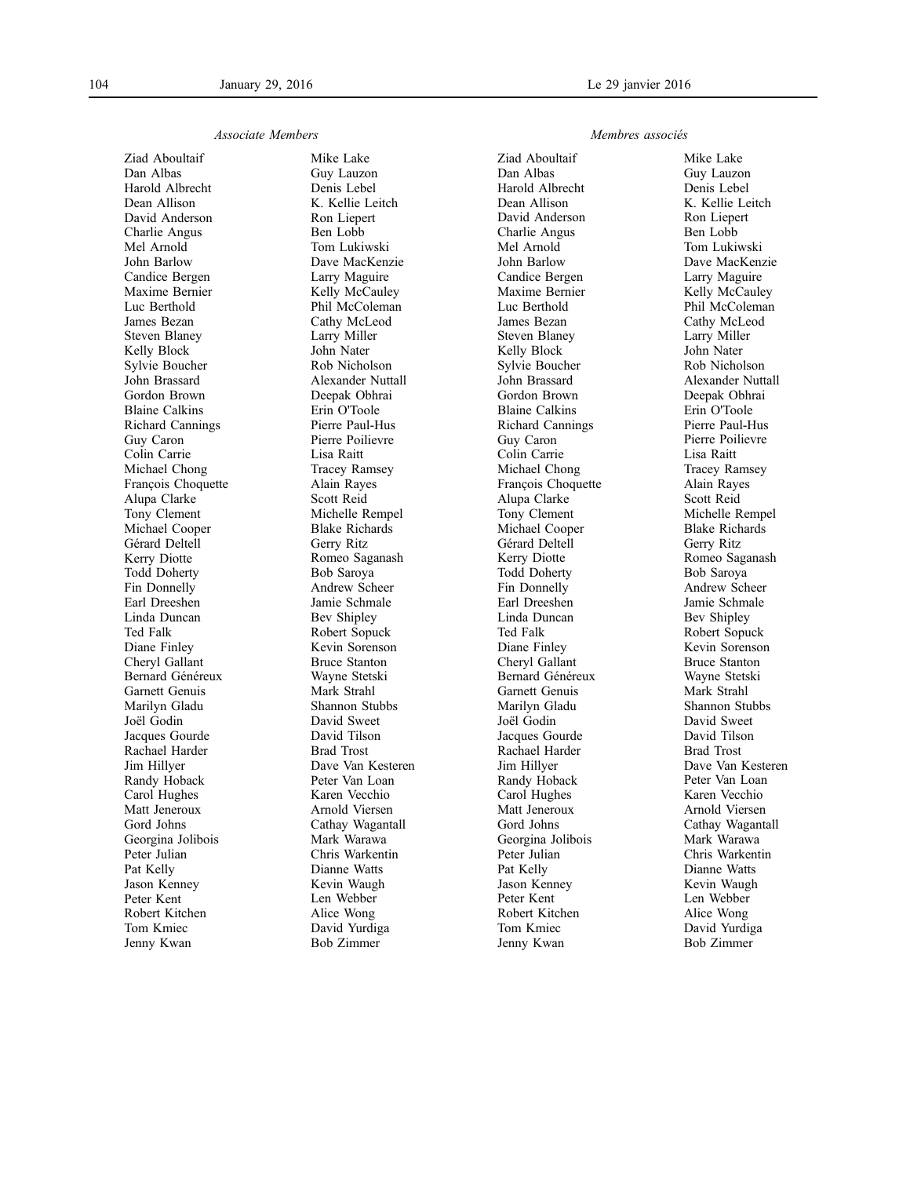#### *Associate Members*

Ziad Aboultaif Dan Albas Harold Albrecht Dean Allison David Anderson Charlie Angus Mel Arnold John Barlow Candice Bergen Maxime Bernier Luc Berthold James Bezan Steven Blaney Kelly Block Sylvie Boucher John Brassard Gordon Brown Blaine Calkins Richard Cannings Guy Caron Colin Carrie Michael Chong François Choquette Alupa Clarke Tony Clement Michael Cooper Gérard Deltell Kerry Diotte Todd Doherty Fin Donnelly Earl Dreeshen Linda Duncan Ted Falk Diane Finley Cheryl Gallant Bernard Généreux Garnett Genuis Marilyn Gladu Joël Godin Jacques Gourde Rachael Harder Jim Hillyer Randy Hoback Carol Hughes Matt Jeneroux Gord Johns Georgina Jolibois Peter Julian Pat Kelly Jason Kenney Peter Kent Robert Kitchen Tom Kmiec Jenny Kwan

Mike Lake Guy Lauzon Denis Lebel K. Kellie Leitch Ron Liepert Ben Lobb Tom Lukiwski Dave MacKenzie Larry Maguire Kelly McCauley Phil McColeman Cathy McLeod Larry Miller John Nater Rob Nicholson Alexander Nuttall Deepak Obhrai Erin O'Toole Pierre Paul-Hus Pierre Poilievre Lisa Raitt Tracey Ramsey Alain Rayes Scott Reid Michelle Rempel Blake Richards Gerry Ritz Romeo Saganash Bob Saroya Andrew Scheer Jamie Schmale Bev Shipley Robert Sopuck Kevin Sorenson Bruce Stanton Wayne Stetski Mark Strahl Shannon Stubbs David Sweet David Tilson Brad Trost Dave Van Kesteren Peter Van Loan Karen Vecchio Arnold Viersen Cathay Wagantall Mark Warawa Chris Warkentin Dianne Watts Kevin Waugh Len Webber Alice Wong David Yurdiga Bob Zimmer

### *Membres associés*

Ziad Aboultaif Dan Albas Harold Albrecht Dean Allison David Anderson Charlie Angus Mel Arnold John Barlow Candice Bergen Maxime Bernier Luc Berthold James Bezan Steven Blaney Kelly Block Sylvie Boucher John Brassard Gordon Brown Blaine Calkins Richard Cannings Guy Caron Colin Carrie Michael Chong François Choquette Alupa Clarke Tony Clement Michael Cooper Gérard Deltell Kerry Diotte Todd Doherty Fin Donnelly Earl Dreeshen Linda Duncan Ted Falk Diane Finley Cheryl Gallant Bernard Généreux Garnett Genuis Marilyn Gladu Joël Godin Jacques Gourde Rachael Harder Jim Hillyer Randy Hoback Carol Hughes Matt Jeneroux Gord Johns Georgina Jolibois Peter Julian Pat Kelly Jason Kenney Peter Kent Robert Kitchen Tom Kmiec Jenny Kwan

Mike Lake Guy Lauzon Denis Lebel K. Kellie Leitch Ron Liepert Ben Lobb Tom Lukiwski Dave MacKenzie Larry Maguire Kelly McCauley Phil McColeman Cathy McLeod Larry Miller John Nater Rob Nicholson Alexander Nuttall Deepak Obhrai Erin O'Toole Pierre Paul-Hus Pierre Poilievre Lisa Raitt Tracey Ramsey Alain Rayes Scott Reid Michelle Rempel Blake Richards Gerry Ritz Romeo Saganash Bob Saroya Andrew Scheer Jamie Schmale Bev Shipley Robert Sopuck Kevin Sorenson Bruce Stanton Wayne Stetski Mark Strahl Shannon Stubbs David Sweet David Tilson Brad Trost Dave Van Kesteren Peter Van Loan Karen Vecchio Arnold Viersen Cathay Wagantall Mark Warawa Chris Warkentin Dianne Watts Kevin Waugh Len Webber Alice Wong David Yurdiga Bob Zimmer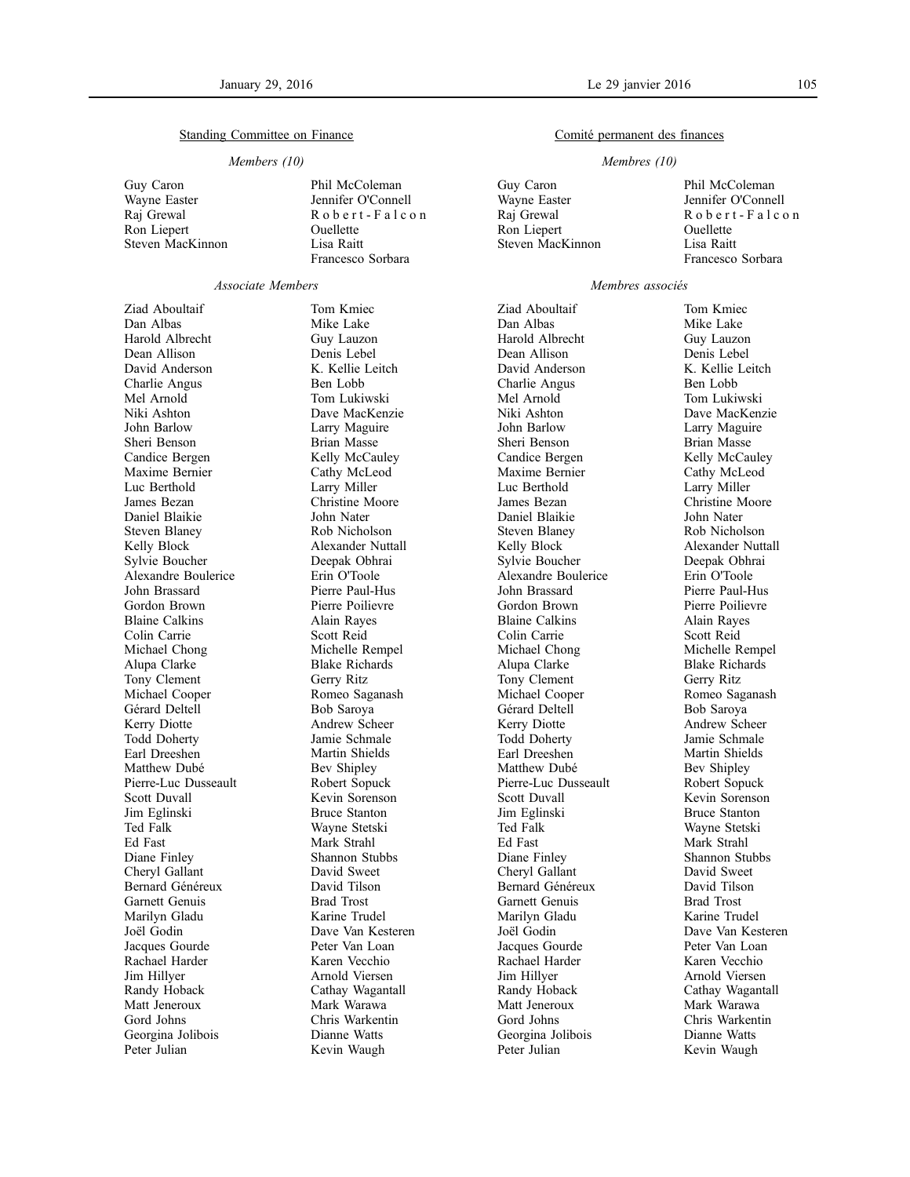### Standing Committee on Finance

#### *Members (10)*

- Guy Caron Wayne Easter Raj Grewal Ron Liepert Steven MacKinnon
- Phil McColeman Jennifer O'Connell Robert-Falcon Ouellette Lisa Raitt Francesco Sorbara

### *Associate Members*

Ziad Aboultaif Dan Albas Harold Albrecht Dean Allison David Anderson Charlie Angus Mel Arnold Niki Ashton John Barlow Sheri Benson Candice Bergen Maxime Bernier Luc Berthold James Bezan Daniel Blaikie Steven Blaney Kelly Block Sylvie Boucher Alexandre Boulerice John Brassard Gordon Brown Blaine Calkins Colin Carrie Michael Chong Alupa Clarke Tony Clement Michael Cooper Gérard Deltell Kerry Diotte Todd Doherty Earl Dreeshen Matthew Dubé Pierre-Luc Dusseault Scott Duvall Jim Eglinski Ted Falk Ed Fast Diane Finley Cheryl Gallant Bernard Généreux Garnett Genuis Marilyn Gladu Joël Godin Jacques Gourde Rachael Harder Jim Hillyer Randy Hoback Matt Jeneroux Gord Johns Georgina Jolibois Peter Julian

Tom Kmiec Mike Lake Guy Lauzon Denis Lebel K. Kellie Leitch Ben Lobb Tom Lukiwski Dave MacKenzie Larry Maguire Brian Masse Kelly McCauley Cathy McLeod Larry Miller Christine Moore John Nater Rob Nicholson Alexander Nuttall Deepak Obhrai Erin O'Toole Pierre Paul-Hus Pierre Poilievre Alain Rayes Scott Reid Michelle Rempel Blake Richards Gerry Ritz Romeo Saganash Bob Saroya Andrew Scheer Jamie Schmale Martin Shields Bev Shipley Robert Sopuck Kevin Sorenson Bruce Stanton Wayne Stetski Mark Strahl Shannon Stubbs David Sweet David Tilson Brad Trost Karine Trudel Dave Van Kesteren Peter Van Loan Karen Vecchio Arnold Viersen Cathay Wagantall Mark Warawa Chris Warkentin Dianne Watts Kevin Waugh

### Comité permanent des finances

### *Membres (10)*

Guy Caron Wayne Easter Raj Grewal Ron Liepert Steven MacKinnon

Ziad Aboultaif Dan Albas Harold Albrecht Dean Allison David Anderson Charlie Angus Mel Arnold Niki Ashton John Barlow Sheri Benson Candice Bergen Maxime Bernier Luc Berthold James Bezan Daniel Blaikie Steven Blaney Kelly Block Sylvie Boucher Alexandre Boulerice John Brassard Gordon Brown Blaine Calkins Colin Carrie Michael Chong Alupa Clarke Tony Clement Michael Cooper Gérard Deltell Kerry Diotte Todd Doherty Earl Dreeshen Matthew Dubé Pierre-Luc Dusseault Scott Duvall Jim Eglinski Ted Falk Ed Fast Diane Finley Cheryl Gallant Bernard Généreux Garnett Genuis Marilyn Gladu Joël Godin Jacques Gourde Rachael Harder Jim Hillyer Randy Hoback Matt Jeneroux Gord Johns Georgina Jolibois Peter Julian

Phil McColeman Jennifer O'Connell Robert-Falcon Ouellette Lisa Raitt Francesco Sorbara

#### *Membres associés*

Tom Kmiec Mike Lake Guy Lauzon Denis Lebel K. Kellie Leitch Ben Lobb Tom Lukiwski Dave MacKenzie Larry Maguire Brian Masse Kelly McCauley Cathy McLeod Larry Miller Christine Moore John Nater Rob Nicholson Alexander Nuttall Deepak Obhrai Erin O'Toole Pierre Paul-Hus Pierre Poilievre Alain Rayes Scott Reid Michelle Rempel Blake Richards Gerry Ritz Romeo Saganash Bob Saroya Andrew Scheer Jamie Schmale Martin Shields Bev Shipley Robert Sopuck Kevin Sorenson Bruce Stanton Wayne Stetski Mark Strahl Shannon Stubbs David Sweet David Tilson Brad Trost Karine Trudel Dave Van Kesteren Peter Van Loan Karen Vecchio Arnold Viersen Cathay Wagantall Mark Warawa Chris Warkentin Dianne Watts Kevin Waugh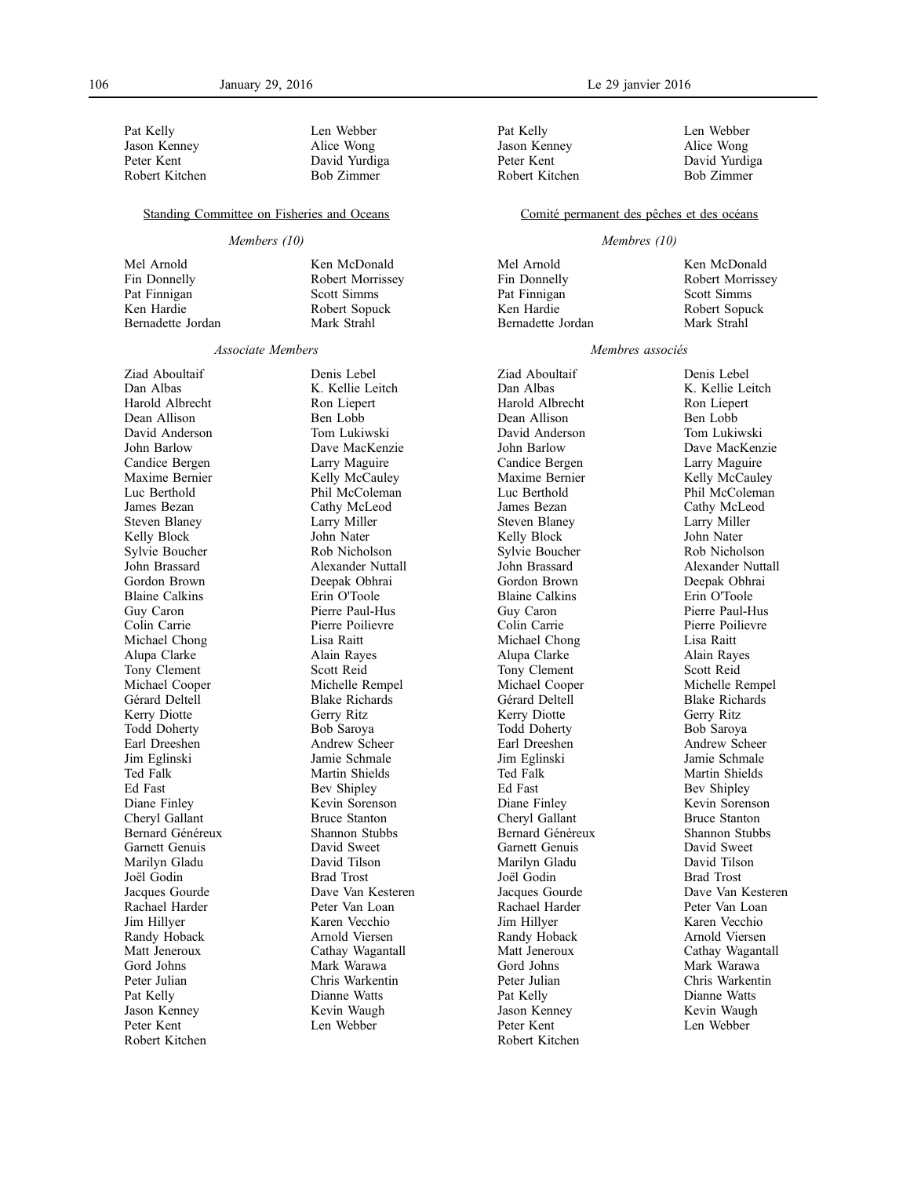Pat Kelly Jason Kenney Peter Kent Robert Kitchen Len Webber Alice Wong David Yurdiga Bob Zimmer

Ken McDonald Robert Morrissey Scott Simms Robert Sopuck Mark Strahl

#### Standing Committee on Fisheries and Oceans

### *Members (10)*

Mel Arnold Fin Donnelly Pat Finnigan Ken Hardie Bernadette Jordan

#### *Associate Members*

Ziad Aboultaif Dan Albas Harold Albrecht Dean Allison David Anderson John Barlow Candice Bergen Maxime Bernier Luc Berthold James Bezan Steven Blaney Kelly Block Sylvie Boucher John Brassard Gordon Brown Blaine Calkins Guy Caron Colin Carrie Michael Chong Alupa Clarke Tony Clement Michael Cooper Gérard Deltell Kerry Diotte Todd Doherty Earl Dreeshen Jim Eglinski Ted Falk Ed Fast Diane Finley Cheryl Gallant Bernard Généreux Garnett Genuis Marilyn Gladu Joël Godin Jacques Gourde Rachael Harder Jim Hillyer Randy Hoback Matt Jeneroux Gord Johns Peter Julian Pat Kelly Jason Kenney Peter Kent Robert Kitchen

Denis Lebel K. Kellie Leitch Ron Liepert Ben Lobb Tom Lukiwski Dave MacKenzie Larry Maguire Kelly McCauley Phil McColeman Cathy McLeod Larry Miller John Nater Rob Nicholson Alexander Nuttall Deepak Obhrai Erin O'Toole Pierre Paul-Hus Pierre Poilievre Lisa Raitt Alain Rayes Scott Reid Michelle Rempel Blake Richards Gerry Ritz Bob Saroya Andrew Scheer Jamie Schmale Martin Shields Bev Shipley Kevin Sorenson Bruce Stanton Shannon Stubbs David Sweet David Tilson Brad Trost Dave Van Kesteren Peter Van Loan Karen Vecchio Arnold Viersen Cathay Wagantall Mark Warawa Chris Warkentin Dianne Watts Kevin Waugh Len Webber

Pat Kelly Jason Kenney Peter Kent Robert Kitchen Len Webber Alice Wong David Yurdiga Bob Zimmer

#### Comité permanent des pêches et des océans

### *Membres (10)*

Mel Arnold Fin Donnelly Pat Finnigan Ken Hardie Bernadette Jordan

Ken McDonald Robert Morrissey Scott Simms Robert Sopuck Mark Strahl

### *Membres associés*

Ziad Aboultaif Dan Albas Harold Albrecht Dean Allison David Anderson John Barlow Candice Bergen Maxime Bernier Luc Berthold James Bezan Steven Blaney Kelly Block Sylvie Boucher John Brassard Gordon Brown Blaine Calkins Guy Caron Colin Carrie Michael Chong Alupa Clarke Tony Clement Michael Cooper Gérard Deltell Kerry Diotte Todd Doherty Earl Dreeshen Jim Eglinski Ted Falk Ed Fast Diane Finley Cheryl Gallant Bernard Généreux Garnett Genuis Marilyn Gladu Joël Godin Jacques Gourde Rachael Harder Jim Hillyer Randy Hoback Matt Jeneroux Gord Johns Peter Julian Pat Kelly Jason Kenney Peter Kent Robert Kitchen

Denis Lebel K. Kellie Leitch Ron Liepert Ben Lobb Tom Lukiwski Dave MacKenzie Larry Maguire Kelly McCauley Phil McColeman Cathy McLeod Larry Miller John Nater Rob Nicholson Alexander Nuttall Deepak Obhrai Erin O'Toole Pierre Paul-Hus Pierre Poilievre Lisa Raitt Alain Rayes Scott Reid Michelle Rempel Blake Richards Gerry Ritz Bob Saroya Andrew Scheer Jamie Schmale Martin Shields Bev Shipley Kevin Sorenson Bruce Stanton Shannon Stubbs David Sweet David Tilson Brad Trost Dave Van Kesteren Peter Van Loan Karen Vecchio Arnold Viersen Cathay Wagantall Mark Warawa Chris Warkentin Dianne Watts Kevin Waugh Len Webber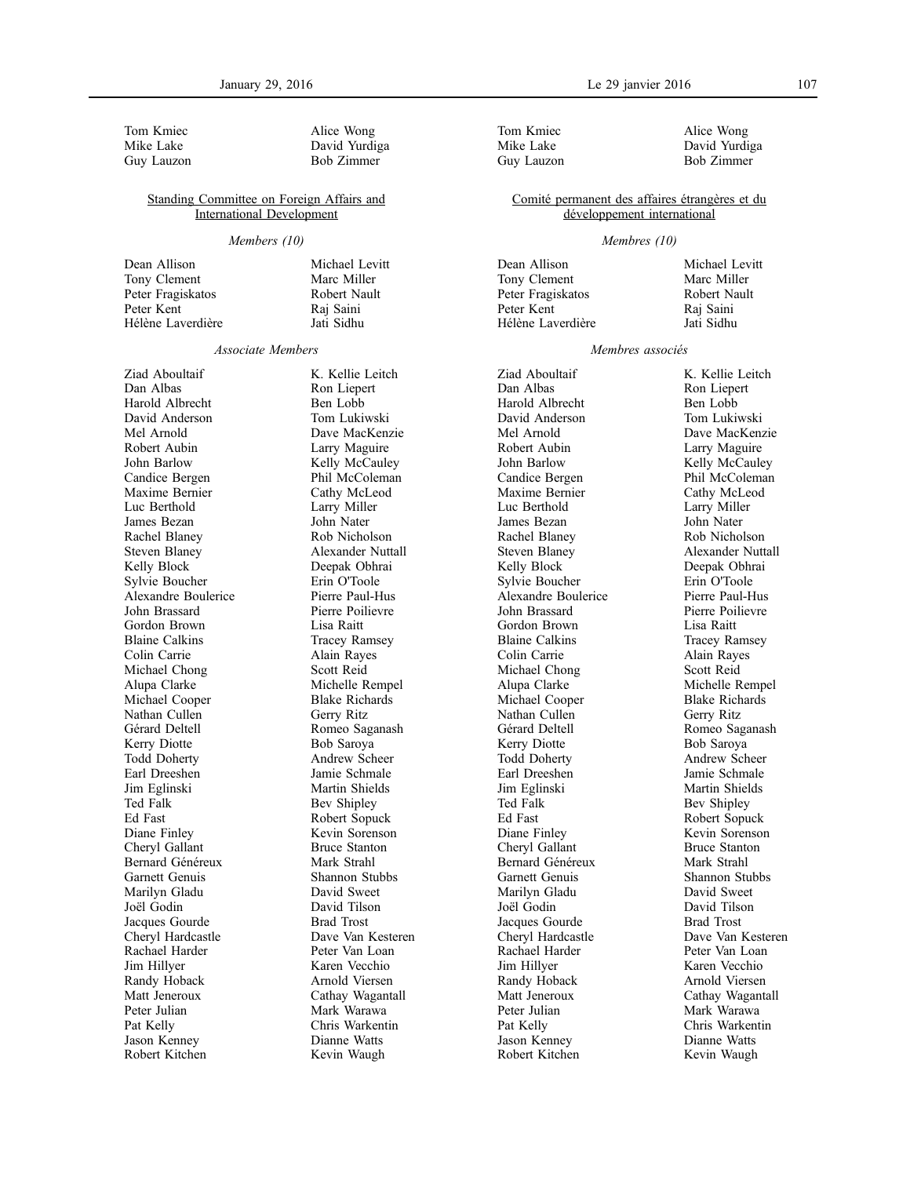Tom Kmiec Mike Lake Guy Lauzon

Alice Wong David Yurdiga Bob Zimmer

Michael Levitt Marc Miller Robert Nault Raj Saini Jati Sidhu

### Standing Committee on Foreign Affairs and International Development

#### *Members (10)*

Dean Allison Tony Clement Peter Fragiskatos Peter Kent Hélène Laverdière

#### *Associate Members*

Ziad Aboultaif Dan Albas Harold Albrecht David Anderson Mel Arnold Robert Aubin John Barlow Candice Bergen Maxime Bernier Luc Berthold James Bezan Rachel Blaney Steven Blaney Kelly Block Sylvie Boucher Alexandre Boulerice John Brassard Gordon Brown Blaine Calkins Colin Carrie Michael Chong Alupa Clarke Michael Cooper Nathan Cullen Gérard Deltell Kerry Diotte Todd Doherty Earl Dreeshen Jim Eglinski Ted Falk Ed Fast Diane Finley Cheryl Gallant Bernard Généreux Garnett Genuis Marilyn Gladu Joël Godin Jacques Gourde Cheryl Hardcastle Rachael Harder Jim Hillyer Randy Hoback Matt Jeneroux Peter Julian Pat Kelly Jason Kenney Robert Kitchen

K. Kellie Leitch Ron Liepert Ben Lobb Tom Lukiwski Dave MacKenzie Larry Maguire Kelly McCauley Phil McColeman Cathy McLeod Larry Miller John Nater Rob Nicholson Alexander Nuttall Deepak Obhrai Erin O'Toole Pierre Paul-Hus Pierre Poilievre Lisa Raitt Tracey Ramsey Alain Rayes Scott Reid Michelle Rempel Blake Richards Gerry Ritz Romeo Saganash Bob Saroya Andrew Scheer Jamie Schmale Martin Shields Bev Shipley Robert Sopuck Kevin Sorenson Bruce Stanton Mark Strahl Shannon Stubbs David Sweet David Tilson Brad Trost Dave Van Kesteren Peter Van Loan Karen Vecchio Arnold Viersen Cathay Wagantall Mark Warawa Chris Warkentin Dianne Watts Kevin Waugh

Tom Kmiec Mike Lake Guy Lauzon

Alice Wong David Yurdiga Bob Zimmer

### Comité permanent des affaires étrangères et du développement international

### *Membres (10)*

Dean Allison Tony Clement Peter Fragiskatos Peter Kent Hélène Laverdière Michael Levitt Marc Miller Robert Nault Raj Saini Jati Sidhu

### *Membres associés*

Ziad Aboultaif Dan Albas Harold Albrecht David Anderson Mel Arnold Robert Aubin John Barlow Candice Bergen Maxime Bernier Luc Berthold James Bezan Rachel Blaney Steven Blaney Kelly Block Sylvie Boucher Alexandre Boulerice John Brassard Gordon Brown Blaine Calkins Colin Carrie Michael Chong Alupa Clarke Michael Cooper Nathan Cullen Gérard Deltell Kerry Diotte Todd Doherty Earl Dreeshen Jim Eglinski Ted Falk Ed Fast Diane Finley Cheryl Gallant Bernard Généreux Garnett Genuis Marilyn Gladu Joël Godin Jacques Gourde Cheryl Hardcastle Rachael Harder Jim Hillyer Randy Hoback Matt Jeneroux Peter Julian Pat Kelly Jason Kenney Robert Kitchen

K. Kellie Leitch Ron Liepert Ben Lobb Tom Lukiwski Dave MacKenzie Larry Maguire Kelly McCauley Phil McColeman Cathy McLeod Larry Miller John Nater Rob Nicholson Alexander Nuttall Deepak Obhrai Erin O'Toole Pierre Paul-Hus Pierre Poilievre Lisa Raitt Tracey Ramsey Alain Rayes Scott Reid Michelle Rempel Blake Richards Gerry Ritz Romeo Saganash Bob Saroya Andrew Scheer Jamie Schmale Martin Shields Bev Shipley Robert Sopuck Kevin Sorenson Bruce Stanton Mark Strahl Shannon Stubbs David Sweet David Tilson Brad Trost Dave Van Kesteren Peter Van Loan Karen Vecchio Arnold Viersen Cathay Wagantall Mark Warawa Chris Warkentin Dianne Watts Kevin Waugh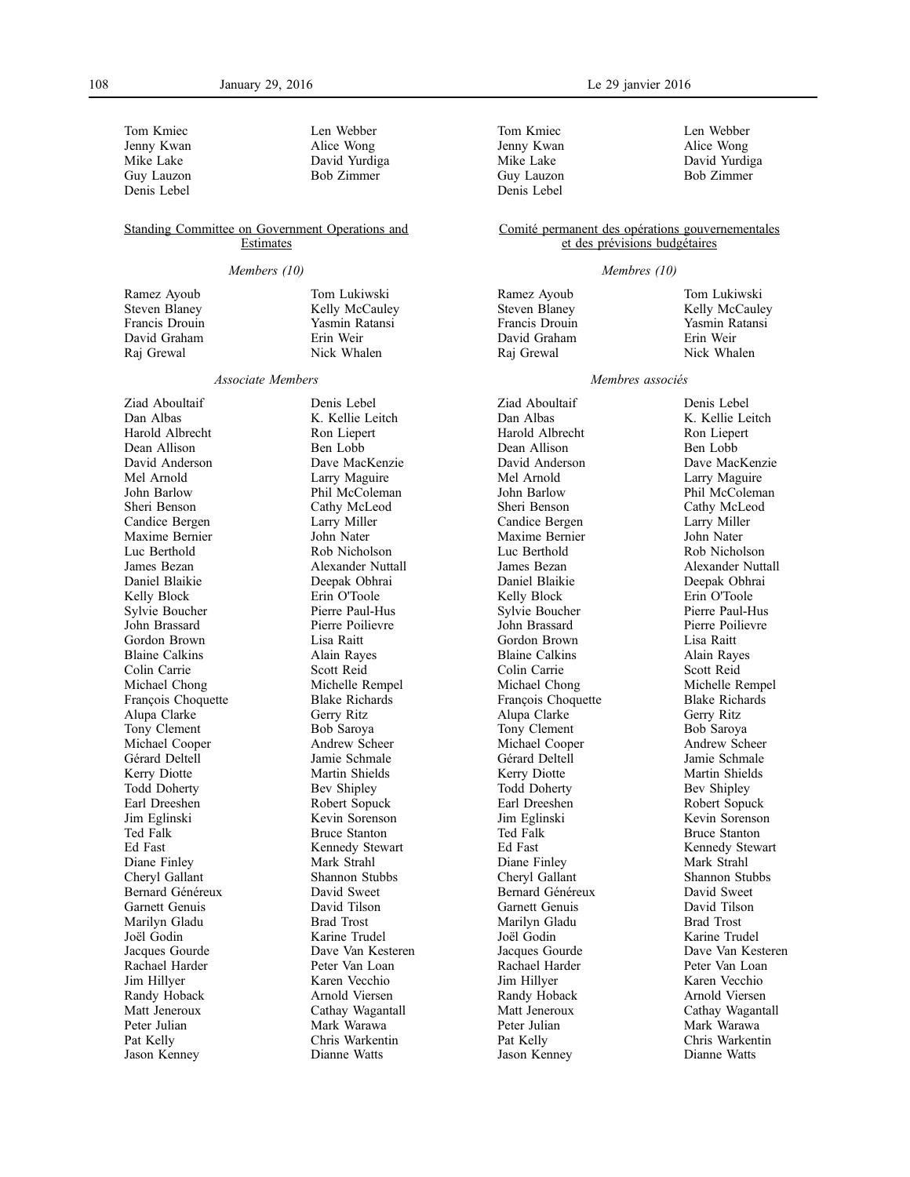Tom Kmiec Jenny Kwan Mike Lake Guy Lauzon Denis Lebel

Len Webber Alice Wong David Yurdiga Bob Zimmer

Tom Lukiwski Kelly McCauley Yasmin Ratansi Erin Weir Nick Whalen

### Standing Committee on Government Operations and **Estimates**

#### *Members (10)*

Ramez Ayoub Steven Blaney Francis Drouin David Graham Raj Grewal

#### *Associate Members*

Ziad Aboultaif Dan Albas Harold Albrecht Dean Allison David Anderson Mel Arnold John Barlow Sheri Benson Candice Bergen Maxime Bernier Luc Berthold James Bezan Daniel Blaikie Kelly Block Sylvie Boucher John Brassard Gordon Brown Blaine Calkins Colin Carrie Michael Chong François Choquette Alupa Clarke Tony Clement Michael Cooper Gérard Deltell Kerry Diotte Todd Doherty Earl Dreeshen Jim Eglinski Ted Falk Ed Fast Diane Finley Cheryl Gallant Bernard Généreux Garnett Genuis Marilyn Gladu Joël Godin Jacques Gourde Rachael Harder Jim Hillyer Randy Hoback Matt Jeneroux Peter Julian Pat Kelly Jason Kenney

Denis Lebel K. Kellie Leitch Ron Liepert Ben Lobb Dave MacKenzie Larry Maguire Phil McColeman Cathy McLeod Larry Miller John Nater Rob Nicholson Alexander Nuttall Deepak Obhrai Erin O'Toole Pierre Paul-Hus Pierre Poilievre Lisa Raitt Alain Rayes Scott Reid Michelle Rempel Blake Richards Gerry Ritz Bob Saroya Andrew Scheer Jamie Schmale Martin Shields Bev Shipley Robert Sopuck Kevin Sorenson Bruce Stanton Kennedy Stewart Mark Strahl Shannon Stubbs David Sweet David Tilson Brad Trost Karine Trudel Dave Van Kesteren Peter Van Loan Karen Vecchio Arnold Viersen Cathay Wagantall Mark Warawa Chris Warkentin Dianne Watts

Tom Kmiec Jenny Kwan Mike Lake Guy Lauzon Denis Lebel

Len Webber Alice Wong David Yurdiga Bob Zimmer

### Comité permanent des opérations gouvernementales et des prévisions budgétaires

#### *Membres (10)*

Ramez Ayoub Steven Blaney Francis Drouin David Graham Raj Grewal

Tom Lukiwski Kelly McCauley Yasmin Ratansi Erin Weir Nick Whalen

#### *Membres associés*

Ziad Aboultaif Dan Albas Harold Albrecht Dean Allison David Anderson Mel Arnold John Barlow Sheri Benson Candice Bergen Maxime Bernier Luc Berthold James Bezan Daniel Blaikie Kelly Block Sylvie Boucher John Brassard Gordon Brown Blaine Calkins Colin Carrie Michael Chong François Choquette Alupa Clarke Tony Clement Michael Cooper Gérard Deltell Kerry Diotte Todd Doherty Earl Dreeshen Jim Eglinski Ted Falk Ed Fast Diane Finley Cheryl Gallant Bernard Généreux Garnett Genuis Marilyn Gladu Joël Godin Jacques Gourde Rachael Harder Jim Hillyer Randy Hoback Matt Jeneroux Peter Julian Pat Kelly Jason Kenney

Denis Lebel K. Kellie Leitch Ron Liepert Ben Lobb Dave MacKenzie Larry Maguire Phil McColeman Cathy McLeod Larry Miller John Nater Rob Nicholson Alexander Nuttall Deepak Obhrai Erin O'Toole Pierre Paul-Hus Pierre Poilievre Lisa Raitt Alain Rayes Scott Reid Michelle Rempel Blake Richards Gerry Ritz Bob Saroya Andrew Scheer Jamie Schmale Martin Shields Bev Shipley Robert Sopuck Kevin Sorenson Bruce Stanton Kennedy Stewart Mark Strahl Shannon Stubbs David Sweet David Tilson Brad Trost Karine Trudel Dave Van Kesteren Peter Van Loan Karen Vecchio Arnold Viersen Cathay Wagantall Mark Warawa Chris Warkentin Dianne Watts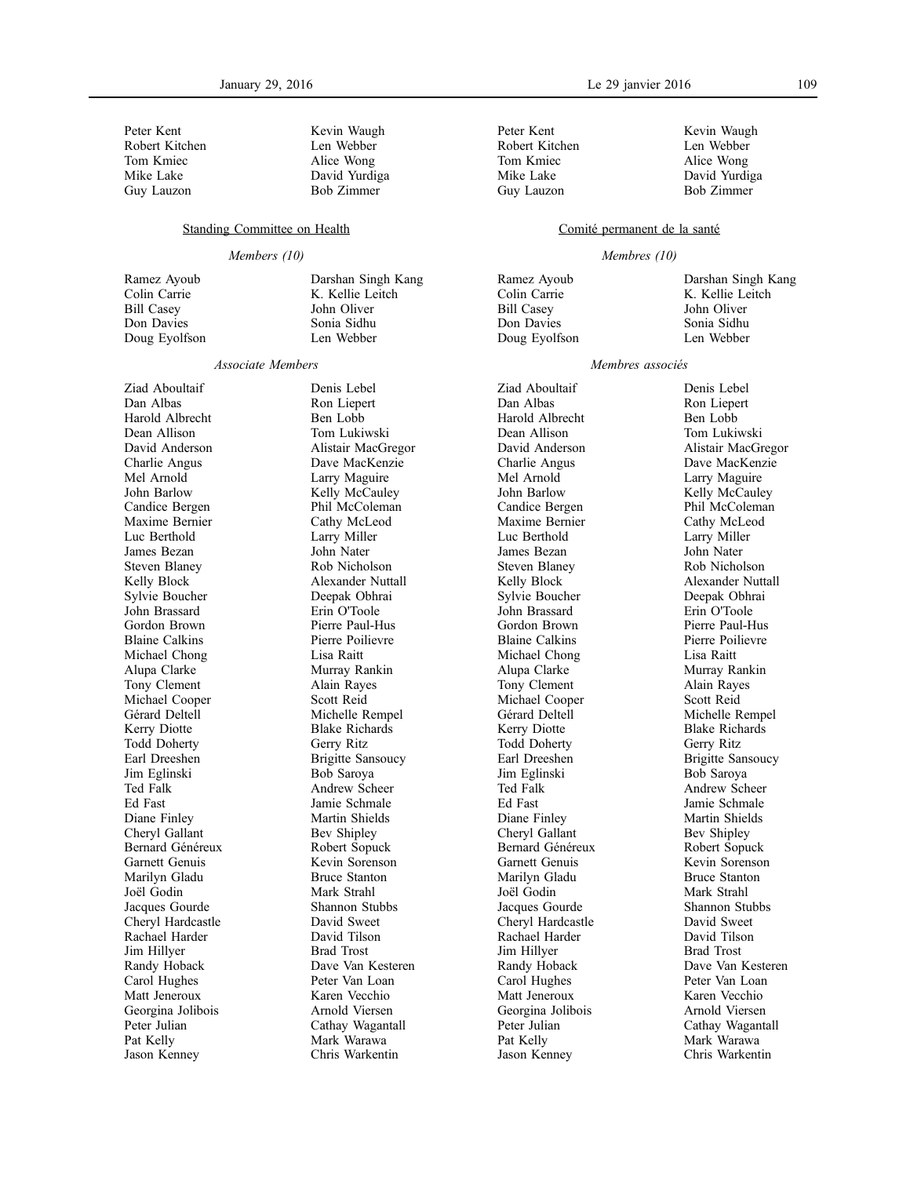Peter Kent Robert Kitchen Tom Kmiec Mike Lake Guy Lauzon

Kevin Waugh Len Webber Alice Wong David Yurdiga Bob Zimmer

Darshan Singh Kang K. Kellie Leitch John Oliver Sonia Sidhu Len Webber

### Standing Committee on Health

### *Members (10)*

Ramez Ayoub Colin Carrie Bill Casey Don Davies Doug Eyolfson

#### *Associate Members*

Ziad Aboultaif Dan Albas Harold Albrecht Dean Allison David Anderson Charlie Angus Mel Arnold John Barlow Candice Bergen Maxime Bernier Luc Berthold James Bezan Steven Blaney Kelly Block Sylvie Boucher John Brassard Gordon Brown Blaine Calkins Michael Chong Alupa Clarke Tony Clement Michael Cooper Gérard Deltell Kerry Diotte Todd Doherty Earl Dreeshen Jim Eglinski Ted Falk Ed Fast Diane Finley Cheryl Gallant Bernard Généreux Garnett Genuis Marilyn Gladu Joël Godin Jacques Gourde Cheryl Hardcastle Rachael Harder Jim Hillyer Randy Hoback Carol Hughes Matt Jeneroux Georgina Jolibois Peter Julian Pat Kelly Jason Kenney

Denis Lebel Ron Liepert Ben Lobb Tom Lukiwski Alistair MacGregor Dave MacKenzie Larry Maguire Kelly McCauley Phil McColeman Cathy McLeod Larry Miller John Nater Rob Nicholson Alexander Nuttall Deepak Obhrai Erin O'Toole Pierre Paul-Hus Pierre Poilievre Lisa Raitt Murray Rankin Alain Rayes Scott Reid Michelle Rempel Blake Richards Gerry Ritz Brigitte Sansoucy Bob Saroya Andrew Scheer Jamie Schmale Martin Shields Bev Shipley Robert Sopuck Kevin Sorenson Bruce Stanton Mark Strahl Shannon Stubbs David Sweet David Tilson Brad Trost Dave Van Kesteren Peter Van Loan Karen Vecchio Arnold Viersen Cathay Wagantall Mark Warawa Chris Warkentin

Peter Kent Robert Kitchen Tom Kmiec Mike Lake Guy Lauzon

Kevin Waugh Len Webber Alice Wong David Yurdiga Bob Zimmer

### Comité permanent de la santé

#### *Membres (10)*

Ramez Ayoub Colin Carrie Bill Casey Don Davies Doug Eyolfson Darshan Singh Kang K. Kellie Leitch John Oliver Sonia Sidhu Len Webber

### *Membres associés*

Ziad Aboultaif Dan Albas Harold Albrecht Dean Allison David Anderson Charlie Angus Mel Arnold John Barlow Candice Bergen Maxime Bernier Luc Berthold James Bezan Steven Blaney Kelly Block Sylvie Boucher John Brassard Gordon Brown Blaine Calkins Michael Chong Alupa Clarke Tony Clement Michael Cooper Gérard Deltell Kerry Diotte Todd Doherty Earl Dreeshen Jim Eglinski Ted Falk Ed Fast Diane Finley Cheryl Gallant Bernard Généreux Garnett Genuis Marilyn Gladu Joël Godin Jacques Gourde Cheryl Hardcastle Rachael Harder Jim Hillyer Randy Hoback Carol Hughes Matt Jeneroux Georgina Jolibois Peter Julian Pat Kelly Jason Kenney

Denis Lebel Ron Liepert Ben Lobb Tom Lukiwski Alistair MacGregor Dave MacKenzie Larry Maguire Kelly McCauley Phil McColeman Cathy McLeod Larry Miller John Nater Rob Nicholson Alexander Nuttall Deepak Obhrai Erin O'Toole Pierre Paul-Hus Pierre Poilievre Lisa Raitt Murray Rankin Alain Rayes Scott Reid Michelle Rempel Blake Richards Gerry Ritz Brigitte Sansoucy Bob Saroya Andrew Scheer Jamie Schmale Martin Shields Bev Shipley Robert Sopuck Kevin Sorenson Bruce Stanton Mark Strahl Shannon Stubbs David Sweet David Tilson Brad Trost Dave Van Kesteren Peter Van Loan Karen Vecchio Arnold Viersen Cathay Wagantall Mark Warawa Chris Warkentin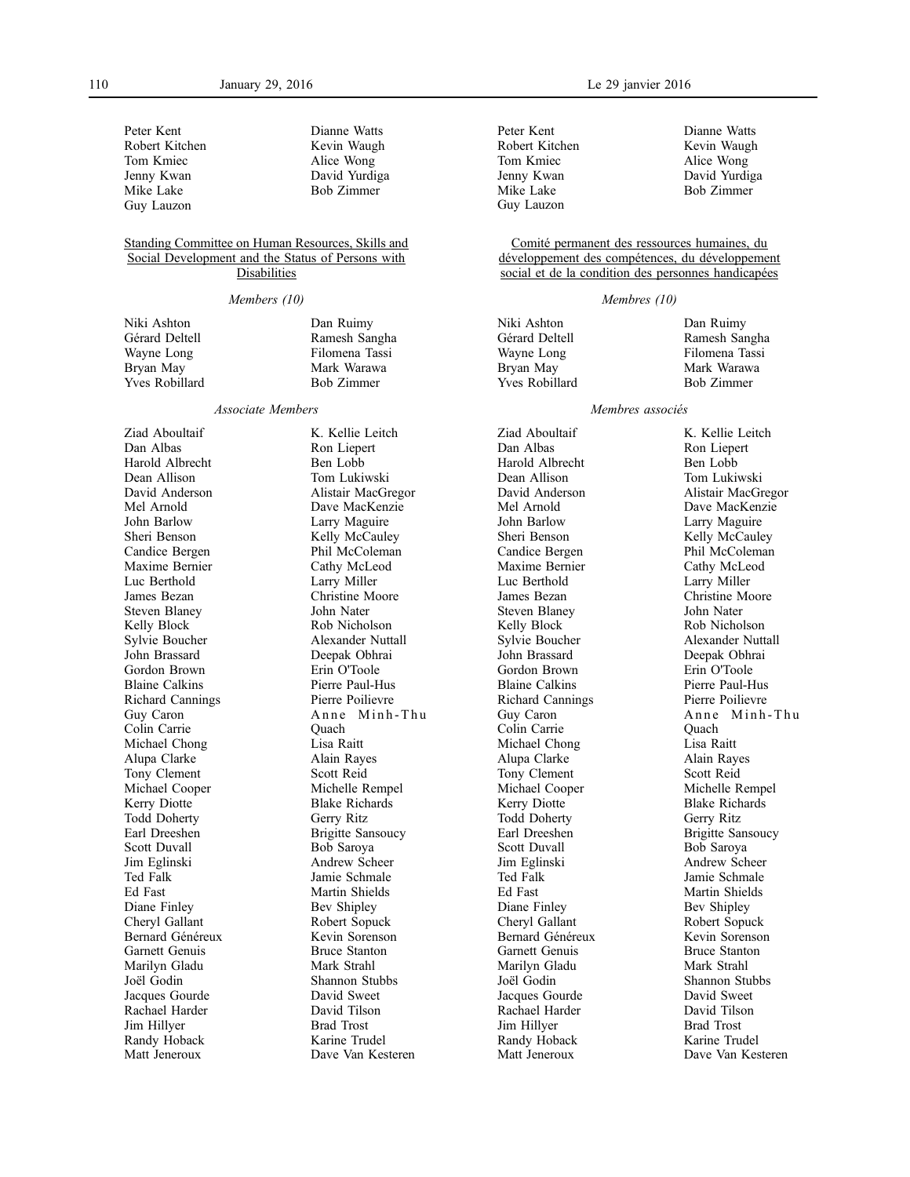Dianne Watts Kevin Waugh Alice Wong David Yurdiga Bob Zimmer

Peter Kent Robert Kitchen Tom Kmiec Jenny Kwan Mike Lake Guy Lauzon

### Standing Committee on Human Resources, Skills and Social Development and the Status of Persons with **Disabilities**

#### *Members (10)*

| Niki Ashton    | Dan Ruimy      |
|----------------|----------------|
| Gérard Deltell | Ramesh Sangha  |
| Wayne Long     | Filomena Tassi |
| Bryan May      | Mark Warawa    |
| Yves Robillard | Bob Zimmer     |
|                |                |

### *Associate Members*

Ziad Aboultaif Dan Albas Harold Albrecht Dean Allison David Anderson Mel Arnold John Barlow Sheri Benson Candice Bergen Maxime Bernier Luc Berthold James Bezan Steven Blaney Kelly Block Sylvie Boucher John Brassard Gordon Brown Blaine Calkins Richard Cannings Guy Caron Colin Carrie Michael Chong Alupa Clarke Tony Clement Michael Cooper Kerry Diotte Todd Doherty Earl Dreeshen Scott Duvall Jim Eglinski Ted Falk Ed Fast Diane Finley Cheryl Gallant Bernard Généreux Garnett Genuis Marilyn Gladu Joël Godin Jacques Gourde Rachael Harder Jim Hillyer Randy Hoback Matt Jeneroux

K. Kellie Leitch Ron Liepert Ben Lobb Tom Lukiwski Alistair MacGregor Dave MacKenzie Larry Maguire Kelly McCauley Phil McColeman Cathy McLeod Larry Miller Christine Moore John Nater Rob Nicholson Alexander Nuttall Deepak Obhrai Erin O'Toole Pierre Paul-Hus Pierre Poilievre Anne Minh-Thu Quach Lisa Raitt Alain Rayes Scott Reid Michelle Rempel Blake Richards Gerry Ritz Brigitte Sansoucy Bob Saroya Andrew Scheer Jamie Schmale Martin Shields Bev Shipley Robert Sopuck Kevin Sorenson Bruce Stanton Mark Strahl Shannon Stubbs David Sweet David Tilson Brad Trost Karine Trudel Dave Van Kesteren

Peter Kent Robert Kitchen Tom Kmiec Jenny Kwan Mike Lake Guy Lauzon

Dianne Watts Kevin Waugh Alice Wong David Yurdiga Bob Zimmer

Comité permanent des ressources humaines, du développement des compétences, du développement social et de la condition des personnes handicapées

### *Membres (10)*

Niki Ashton Gérard Deltell Wayne Long Bryan May Yves Robillard

Dan Ruimy Ramesh Sangha Filomena Tassi Mark Warawa Bob Zimmer

### *Membres associés*

Ziad Aboultaif Dan Albas Harold Albrecht Dean Allison David Anderson Mel Arnold John Barlow Sheri Benson Candice Bergen Maxime Bernier Luc Berthold James Bezan Steven Blaney Kelly Block Sylvie Boucher John Brassard Gordon Brown Blaine Calkins Richard Cannings Guy Caron Colin Carrie Michael Chong Alupa Clarke Tony Clement Michael Cooper Kerry Diotte Todd Doherty Earl Dreeshen Scott Duvall Jim Eglinski Ted Falk Ed Fast Diane Finley Cheryl Gallant Bernard Généreux Garnett Genuis Marilyn Gladu Joël Godin Jacques Gourde Rachael Harder Jim Hillyer Randy Hoback Matt Jeneroux

K. Kellie Leitch Ron Liepert Ben Lobb Tom Lukiwski Alistair MacGregor Dave MacKenzie Larry Maguire Kelly McCauley Phil McColeman Cathy McLeod Larry Miller Christine Moore John Nater Rob Nicholson Alexander Nuttall Deepak Obhrai Erin O'Toole Pierre Paul-Hus Pierre Poilievre Anne Minh-Thu Quach Lisa Raitt Alain Rayes Scott Reid Michelle Rempel Blake Richards Gerry Ritz Brigitte Sansoucy Bob Saroya Andrew Scheer Jamie Schmale Martin Shields Bev Shipley Robert Sopuck Kevin Sorenson Bruce Stanton Mark Strahl Shannon Stubbs David Sweet David Tilson Brad Trost Karine Trudel Dave Van Kesteren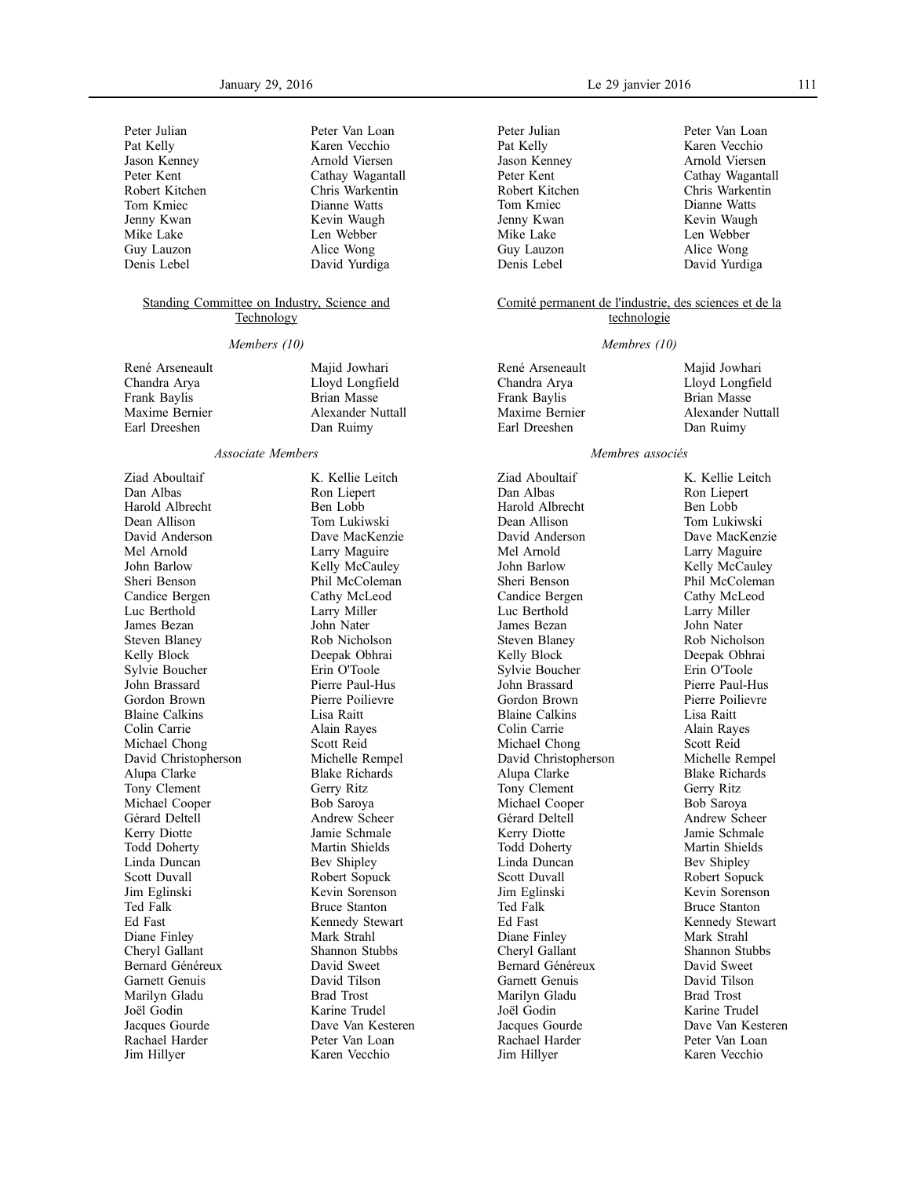| Peter Julian   | Peter Van Loan   |
|----------------|------------------|
| Pat Kelly      | Karen Vecchio    |
| Jason Kenney   | Arnold Viersen   |
| Peter Kent     | Cathay Wagantall |
| Robert Kitchen | Chris Warkentin  |
| Tom Kmiec      | Dianne Watts     |
| Jenny Kwan     | Kevin Waugh      |
| Mike Lake      | Len Webber       |
| Guy Lauzon     | Alice Wong       |
| Denis Lebel    | David Yurdiga    |
|                |                  |

### Standing Committee on Industry, Science and **Technology**

### *Members (10)*

| René Arseneault | Majid Jowhari      |
|-----------------|--------------------|
| Chandra Arva    | Lloyd Longfield    |
| Frank Baylis    | <b>Brian Masse</b> |
| Maxime Bernier  | Alexander Nuttall  |
| Earl Dreeshen   | Dan Ruimy          |
|                 |                    |

#### *Associate Members*

Ziad Aboultaif Dan Albas Harold Albrecht Dean Allison David Anderson Mel Arnold John Barlow Sheri Benson Candice Bergen Luc Berthold James Bezan Steven Blaney Kelly Block Sylvie Boucher John Brassard Gordon Brown Blaine Calkins Colin Carrie Michael Chong David Christopherson Alupa Clarke Tony Clement Michael Cooper Gérard Deltell Kerry Diotte Todd Doherty Linda Duncan Scott Duvall Jim Eglinski Ted Falk Ed Fast Diane Finley Cheryl Gallant Bernard Généreux Garnett Genuis Marilyn Gladu Joël Godin Jacques Gourde Rachael Harder Jim Hillyer

K. Kellie Leitch Ron Liepert Ben Lobb Tom Lukiwski Dave MacKenzie Larry Maguire Kelly McCauley Phil McColeman Cathy McLeod Larry Miller John Nater Rob Nicholson Deepak Obhrai Erin O'Toole Pierre Paul-Hus Pierre Poilievre Lisa Raitt Alain Rayes Scott Reid Michelle Rempel Blake Richards Gerry Ritz Bob Saroya Andrew Scheer Jamie Schmale Martin Shields Bev Shipley Robert Sopuck Kevin Sorenson Bruce Stanton Kennedy Stewart Mark Strahl Shannon Stubbs David Sweet David Tilson Brad Trost Karine Trudel Dave Van Kesteren Peter Van Loan Karen Vecchio

Peter Julian Pat Kelly Jason Kenney Peter Kent Robert Kitchen Tom Kmiec Jenny Kwan Mike Lake Guy Lauzon Denis Lebel

Peter Van Loan Karen Vecchio Arnold Viersen Cathay Wagantall Chris Warkentin Dianne Watts Kevin Waugh Len Webber Alice Wong David Yurdiga

### Comité permanent de l'industrie, des sciences et de la technologie

#### *Membres (10)*

| René Arseneault | Majid Jowhari     |
|-----------------|-------------------|
| Chandra Arya    | Lloyd Longfield   |
| Frank Baylis    | Brian Masse       |
| Maxime Bernier  | Alexander Nuttall |
| Earl Dreeshen   | Dan Ruimy         |
|                 |                   |

#### *Membres associés*

Ziad Aboultaif Dan Albas Harold Albrecht Dean Allison David Anderson Mel Arnold John Barlow Sheri Benson Candice Bergen Luc Berthold James Bezan Steven Blaney Kelly Block Sylvie Boucher John Brassard Gordon Brown Blaine Calkins Colin Carrie Michael Chong David Christopherson Alupa Clarke Tony Clement Michael Cooper Gérard Deltell Kerry Diotte Todd Doherty Linda Duncan Scott Duvall Jim Eglinski Ted Falk Ed Fast Diane Finley Cheryl Gallant Bernard Généreux Garnett Genuis Marilyn Gladu Joël Godin Jacques Gourde Rachael Harder Jim Hillyer

K. Kellie Leitch Ron Liepert Ben Lobb Tom Lukiwski Dave MacKenzie Larry Maguire Kelly McCauley Phil McColeman Cathy McLeod Larry Miller John Nater Rob Nicholson Deepak Obhrai Erin O'Toole Pierre Paul-Hus Pierre Poilievre Lisa Raitt Alain Rayes Scott Reid Michelle Rempel Blake Richards Gerry Ritz Bob Saroya Andrew Scheer Jamie Schmale Martin Shields Bev Shipley Robert Sopuck Kevin Sorenson Bruce Stanton Kennedy Stewart Mark Strahl Shannon Stubbs David Sweet David Tilson Brad Trost Karine Trudel Dave Van Kesteren Peter Van Loan

Karen Vecchio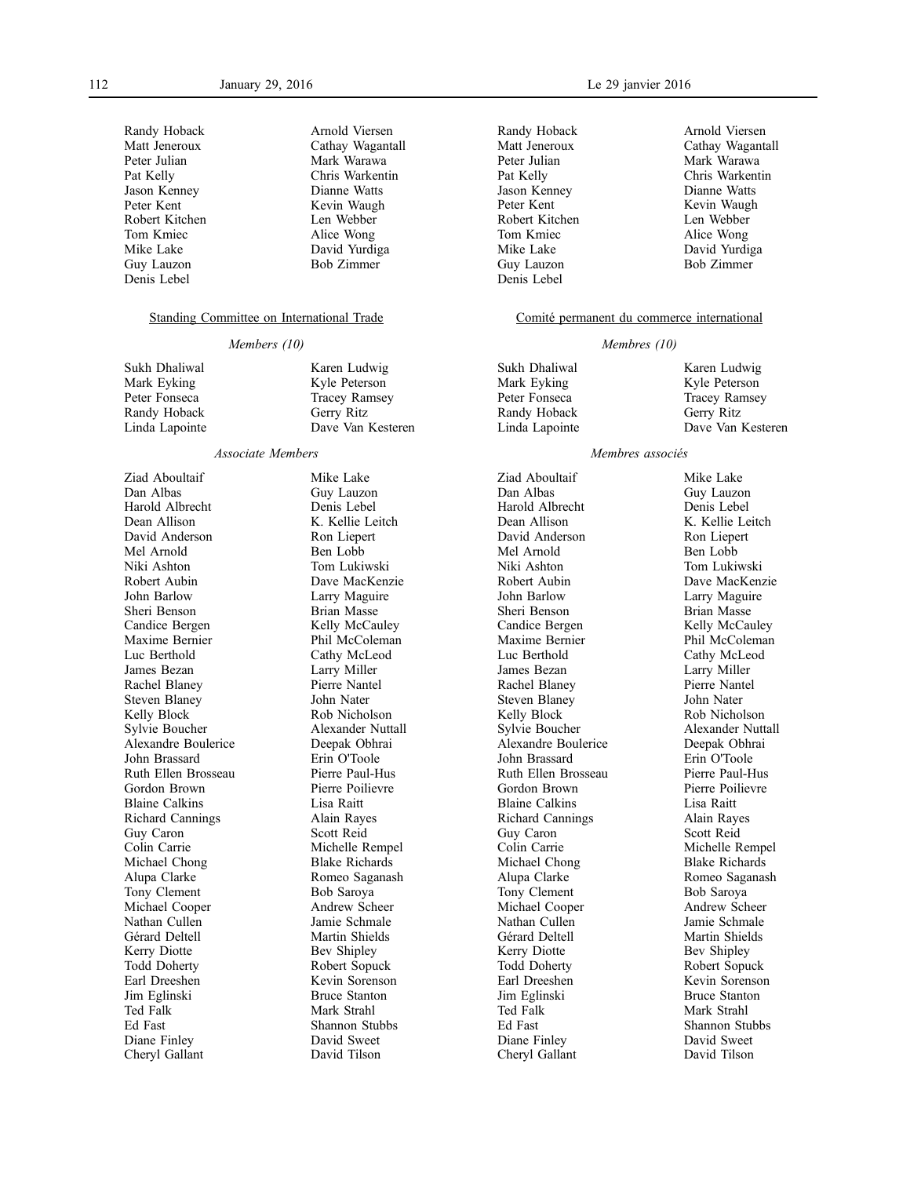| Randy Hoback   | Arnold Viersen    |
|----------------|-------------------|
| Matt Jeneroux  | Cathay Wagantall  |
| Peter Julian   | Mark Warawa       |
| Pat Kelly      | Chris Warkentin   |
| Jason Kenney   | Dianne Watts      |
| Peter Kent     | Kevin Waugh       |
| Robert Kitchen | Len Webber        |
| Tom Kmiec      | Alice Wong        |
| Mike Lake      | David Yurdiga     |
| Guy Lauzon     | <b>Bob Zimmer</b> |
| Denis Lebel    |                   |

### Standing Committee on International Trade

#### *Members (10)*

| Sukh Dhaliwal  | Karen Ludwig         |
|----------------|----------------------|
| Mark Eyking    | Kyle Peterson        |
| Peter Fonseca  | <b>Tracey Ramsey</b> |
| Randy Hoback   | Gerry Ritz           |
| Linda Lapointe | Dave Van Kest        |
|                |                      |

#### *Associate Members*

Ziad Aboultaif Dan Albas Harold Albrecht Dean Allison David Anderson Mel Arnold Niki Ashton Robert Aubin John Barlow Sheri Benson Candice Bergen Maxime Bernier Luc Berthold James Bezan Rachel Blaney Steven Blaney Kelly Block Sylvie Boucher Alexandre Boulerice John Brassard Ruth Ellen Brosseau Gordon Brown Blaine Calkins Richard Cannings Guy Caron Colin Carrie Michael Chong Alupa Clarke Tony Clement Michael Cooper Nathan Cullen Gérard Deltell Kerry Diotte Todd Doherty Earl Dreeshen Jim Eglinski Ted Falk Ed Fast Diane Finley Cheryl Gallant

Mike Lake Guy Lauzon Denis Lebel K. Kellie Leitch Ron Liepert Ben Lobb Tom Lukiwski Dave MacKenzie Larry Maguire Brian Masse Kelly McCauley Phil McColeman Cathy McLeod Larry Miller Pierre Nantel John Nater Rob Nicholson Alexander Nuttall Deepak Obhrai Erin O'Toole Pierre Paul-Hus Pierre Poilievre Lisa Raitt Alain Rayes Scott Reid Michelle Rempel Blake Richards Romeo Saganash Bob Saroya Andrew Scheer Jamie Schmale Martin Shields Bev Shipley Robert Sopuck Kevin Sorenson Bruce Stanton Mark Strahl Shannon Stubbs David Sweet David Tilson

Kesteren

Randy Hoback Matt Jeneroux Peter Julian Pat Kelly Jason Kenney Peter Kent Robert Kitchen Tom Kmiec Mike Lake Guy Lauzon Denis Lebel

Arnold Viersen Cathay Wagantall Mark Warawa Chris Warkentin Dianne Watts Kevin Waugh Len Webber Alice Wong David Yurdiga Bob Zimmer

### Comité permanent du commerce international

#### *Membres (10)*

| Sukh Dhaliwal  | Karen Ludwig         |
|----------------|----------------------|
| Mark Eyking    | Kyle Peterson        |
| Peter Fonseca  | <b>Tracey Ramsey</b> |
| Randy Hoback   | Gerry Ritz           |
| Linda Lapointe | Dave Van Kesteren    |
|                |                      |

#### *Membres associés*

Ziad Aboultaif Dan Albas Harold Albrecht Dean Allison David Anderson Mel Arnold Niki Ashton Robert Aubin John Barlow Sheri Benson Candice Bergen Maxime Bernier Luc Berthold James Bezan Rachel Blaney Steven Blaney Kelly Block Sylvie Boucher Alexandre Boulerice John Brassard Ruth Ellen Brosseau Gordon Brown Blaine Calkins Richard Cannings Guy Caron Colin Carrie Michael Chong Alupa Clarke Tony Clement Michael Cooper Nathan Cullen Gérard Deltell Kerry Diotte Todd Doherty Earl Dreeshen Jim Eglinski Ted Falk Ed Fast Diane Finley Cheryl Gallant

Mike Lake Guy Lauzon Denis Lebel K. Kellie Leitch Ron Liepert Ben Lobb Tom Lukiwski Dave MacKenzie Larry Maguire Brian Masse Kelly McCauley Phil McColeman Cathy McLeod Larry Miller Pierre Nantel John Nater Rob Nicholson Alexander Nuttall Deepak Obhrai Erin O'Toole Pierre Paul-Hus Pierre Poilievre Lisa Raitt Alain Rayes Scott Reid Michelle Rempel Blake Richards Romeo Saganash Bob Saroya Andrew Scheer Jamie Schmale Martin Shields Bev Shipley Robert Sopuck Kevin Sorenson Bruce Stanton Mark Strahl Shannon Stubbs David Sweet David Tilson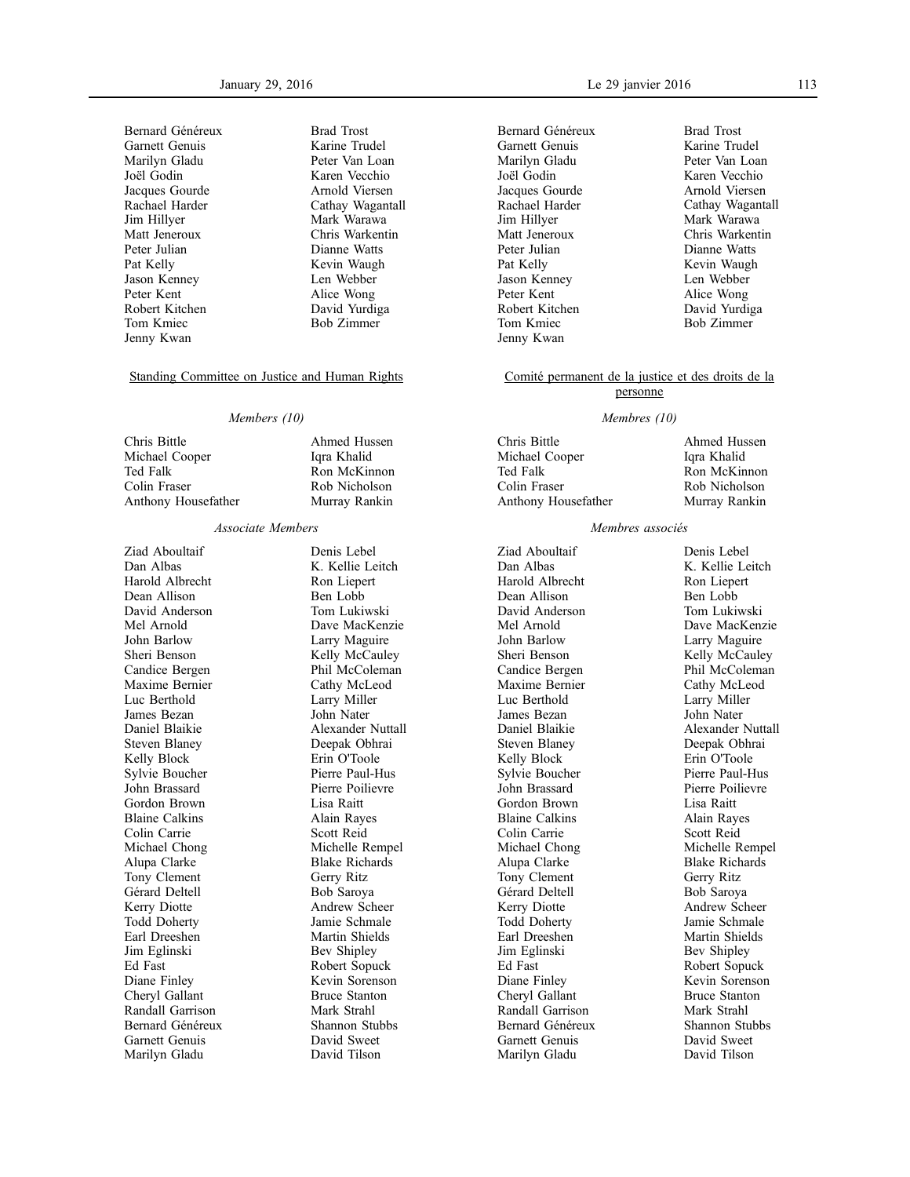Bernard Généreux Garnett Genuis Marilyn Gladu Joël Godin Jacques Gourde Rachael Harder Jim Hillyer Matt Jeneroux Peter Julian Pat Kelly Jason Kenney Peter Kent Robert Kitchen Tom Kmiec Jenny Kwan

Brad Trost Karine Trudel Peter Van Loan Karen Vecchio Arnold Viersen Cathay Wagantall Mark Warawa Chris Warkentin Dianne Watts Kevin Waugh Len Webber Alice Wong David Yurdiga Bob Zimmer

## Standing Committee on Justice and Human Rights

### *Members (10)*

Chris Bittle Michael Cooper Ted Falk Colin Fraser Anthony Housefather Ahmed Hussen Iqra Khalid Ron McKinnon Rob Nicholson Murray Rankin

### *Associate Members*

Ziad Aboultaif Dan Albas Harold Albrecht Dean Allison David Anderson Mel Arnold John Barlow Sheri Benson Candice Bergen Maxime Bernier Luc Berthold James Bezan Daniel Blaikie Steven Blaney Kelly Block Sylvie Boucher John Brassard Gordon Brown Blaine Calkins Colin Carrie Michael Chong Alupa Clarke Tony Clement Gérard Deltell Kerry Diotte Todd Doherty Earl Dreeshen Jim Eglinski Ed Fast Diane Finley Cheryl Gallant Randall Garrison Bernard Généreux Garnett Genuis Marilyn Gladu

Denis Lebel K. Kellie Leitch Ron Liepert Ben Lobb Tom Lukiwski Dave MacKenzie Larry Maguire Kelly McCauley Phil McColeman Cathy McLeod Larry Miller John Nater Alexander Nuttall Deepak Obhrai Erin O'Toole Pierre Paul-Hus Pierre Poilievre Lisa Raitt Alain Rayes Scott Reid Michelle Rempel Blake Richards Gerry Ritz Bob Saroya Andrew Scheer Jamie Schmale Martin Shields Bev Shipley Robert Sopuck Kevin Sorenson Bruce Stanton Mark Strahl Shannon Stubbs David Sweet David Tilson

Bernard Généreux Garnett Genuis Marilyn Gladu Joël Godin Jacques Gourde Rachael Harder Jim Hillyer Matt Jeneroux Peter Julian Pat Kelly Jason Kenney Peter Kent Robert Kitchen Tom Kmiec Jenny Kwan

Brad Trost Karine Trudel Peter Van Loan Karen Vecchio Arnold Viersen Cathay Wagantall Mark Warawa Chris Warkentin Dianne Watts Kevin Waugh Len Webber Alice Wong David Yurdiga Bob Zimmer

### Comité permanent de la justice et des droits de la personne

#### *Membres (10)*

Chris Bittle Michael Cooper Ted Falk Colin Fraser Anthony Housefather

Ahmed Hussen Iqra Khalid Ron McKinnon Rob Nicholson Murray Rankin

#### *Membres associés*

Ziad Aboultaif Dan Albas Harold Albrecht Dean Allison David Anderson Mel Arnold John Barlow Sheri Benson Candice Bergen Maxime Bernier Luc Berthold James Bezan Daniel Blaikie Steven Blaney Kelly Block Sylvie Boucher John Brassard Gordon Brown Blaine Calkins Colin Carrie Michael Chong Alupa Clarke Tony Clement Gérard Deltell Kerry Diotte Todd Doherty Earl Dreeshen Jim Eglinski Ed Fast Diane Finley Cheryl Gallant Randall Garrison Bernard Généreux Garnett Genuis Marilyn Gladu

Denis Lebel K. Kellie Leitch Ron Liepert Ben Lobb Tom Lukiwski Dave MacKenzie Larry Maguire Kelly McCauley Phil McColeman Cathy McLeod Larry Miller John Nater Alexander Nuttall Deepak Obhrai Erin O'Toole Pierre Paul-Hus Pierre Poilievre Lisa Raitt Alain Rayes Scott Reid Michelle Rempel Blake Richards Gerry Ritz Bob Saroya Andrew Scheer Jamie Schmale Martin Shields Bev Shipley Robert Sopuck Kevin Sorenson Bruce Stanton Mark Strahl Shannon Stubbs David Sweet David Tilson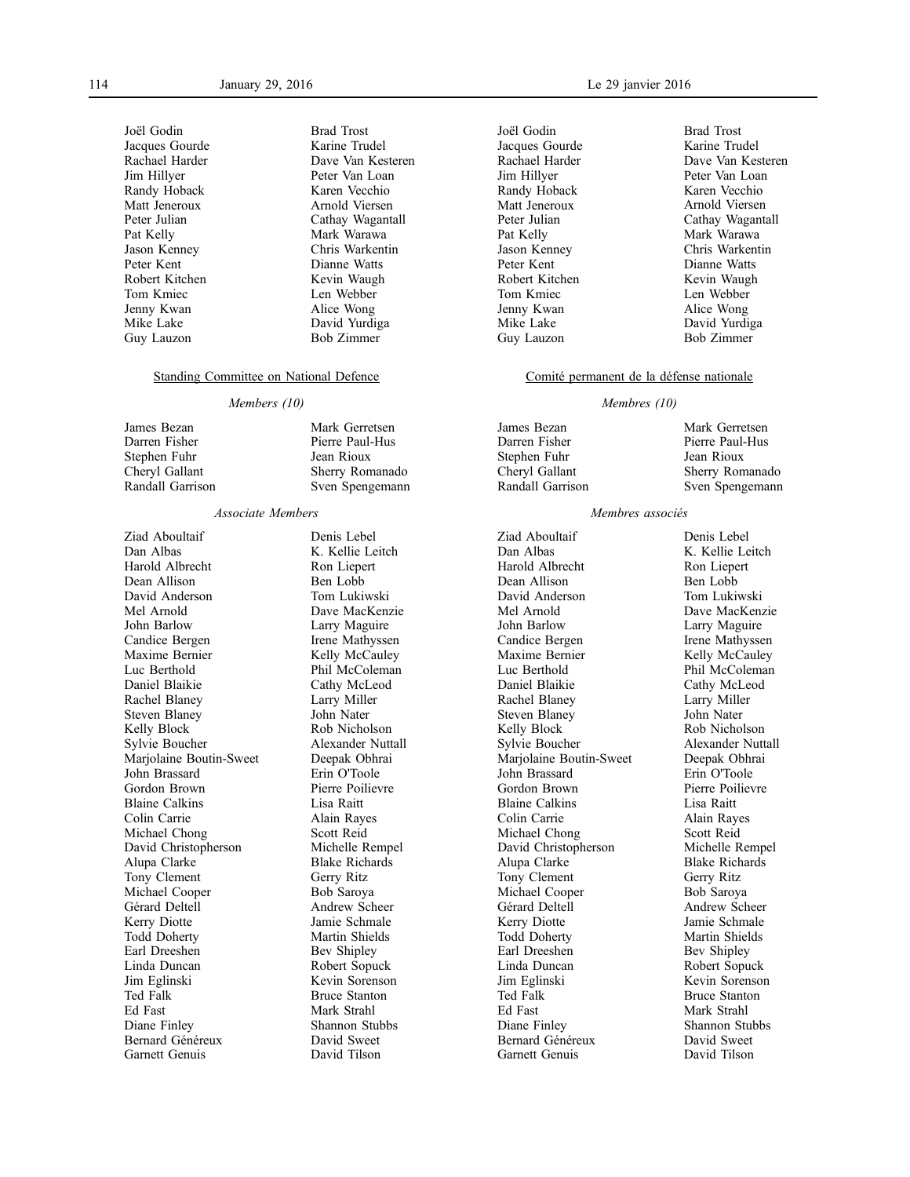Joël Godin Jacques Gourde Rachael Harder Jim Hillyer Randy Hoback Matt Jeneroux Peter Julian Pat Kelly Jason Kenney Peter Kent Robert Kitchen Tom Kmiec Jenny Kwan Mike Lake Guy Lauzon

Brad Trost Karine Trudel Dave Van Kesteren Peter Van Loan Karen Vecchio Arnold Viersen Cathay Wagantall Mark Warawa Chris Warkentin Dianne Watts Kevin Waugh Len Webber Alice Wong David Yurdiga Bob Zimmer

### Standing Committee on National Defence

#### *Members (10)*

- James Bezan Darren Fisher Stephen Fuhr Cheryl Gallant Randall Garrison
- Mark Gerretsen Pierre Paul-Hus Jean Rioux Sherry Romanado Sven Spengemann

### *Associate Members*

Ziad Aboultaif Dan Albas Harold Albrecht Dean Allison David Anderson Mel Arnold John Barlow Candice Bergen Maxime Bernier Luc Berthold Daniel Blaikie Rachel Blaney Steven Blaney Kelly Block Sylvie Boucher Marjolaine Boutin-Sweet John Brassard Gordon Brown Blaine Calkins Colin Carrie Michael Chong David Christopherson Alupa Clarke Tony Clement Michael Cooper Gérard Deltell Kerry Diotte Todd Doherty Earl Dreeshen Linda Duncan Jim Eglinski Ted Falk Ed Fast Diane Finley Bernard Généreux Garnett Genuis

Denis Lebel K. Kellie Leitch Ron Liepert Ben Lobb Tom Lukiwski Dave MacKenzie Larry Maguire Irene Mathyssen Kelly McCauley Phil McColeman Cathy McLeod Larry Miller John Nater Rob Nicholson Alexander Nuttall Deepak Obhrai Erin O'Toole Pierre Poilievre Lisa Raitt Alain Rayes Scott Reid Michelle Rempel Blake Richards Gerry Ritz Bob Saroya Andrew Scheer Jamie Schmale Martin Shields Bev Shipley Robert Sopuck Kevin Sorenson Bruce Stanton Mark Strahl Shannon Stubbs David Sweet David Tilson

Joël Godin Jacques Gourde Rachael Harder Jim Hillyer Randy Hoback Matt Jeneroux Peter Julian Pat Kelly Jason Kenney Peter Kent Robert Kitchen Tom Kmiec Jenny Kwan Mike Lake Guy Lauzon

Brad Trost Karine Trudel Dave Van Kesteren Peter Van Loan Karen Vecchio Arnold Viersen Cathay Wagantall Mark Warawa Chris Warkentin Dianne Watts Kevin Waugh Len Webber Alice Wong David Yurdiga Bob Zimmer

### Comité permanent de la défense nationale

### *Membres (10)*

James Bezan Darren Fisher Stephen Fuhr Cheryl Gallant Randall Garrison Mark Gerretsen Pierre Paul-Hus Jean Rioux Sherry Romanado Sven Spengemann

#### *Membres associés*

Ziad Aboultaif Dan Albas Harold Albrecht Dean Allison David Anderson Mel Arnold John Barlow Candice Bergen Maxime Bernier Luc Berthold Daniel Blaikie Rachel Blaney Steven Blaney Kelly Block Sylvie Boucher Mariolaine Boutin-Sweet John Brassard Gordon Brown Blaine Calkins Colin Carrie Michael Chong David Christopherson Alupa Clarke Tony Clement Michael Cooper Gérard Deltell Kerry Diotte Todd Doherty Earl Dreeshen Linda Duncan Jim Eglinski Ted Falk Ed Fast Diane Finley Bernard Généreux Garnett Genuis

Denis Lebel K. Kellie Leitch Ron Liepert Ben Lobb Tom Lukiwski Dave MacKenzie Larry Maguire Irene Mathyssen Kelly McCauley Phil McColeman Cathy McLeod Larry Miller John Nater Rob Nicholson Alexander Nuttall Deepak Obhrai Erin O'Toole Pierre Poilievre Lisa Raitt Alain Rayes Scott Reid Michelle Rempel Blake Richards Gerry Ritz Bob Saroya Andrew Scheer Jamie Schmale Martin Shields Bev Shipley Robert Sopuck Kevin Sorenson Bruce Stanton Mark Strahl Shannon Stubbs David Sweet David Tilson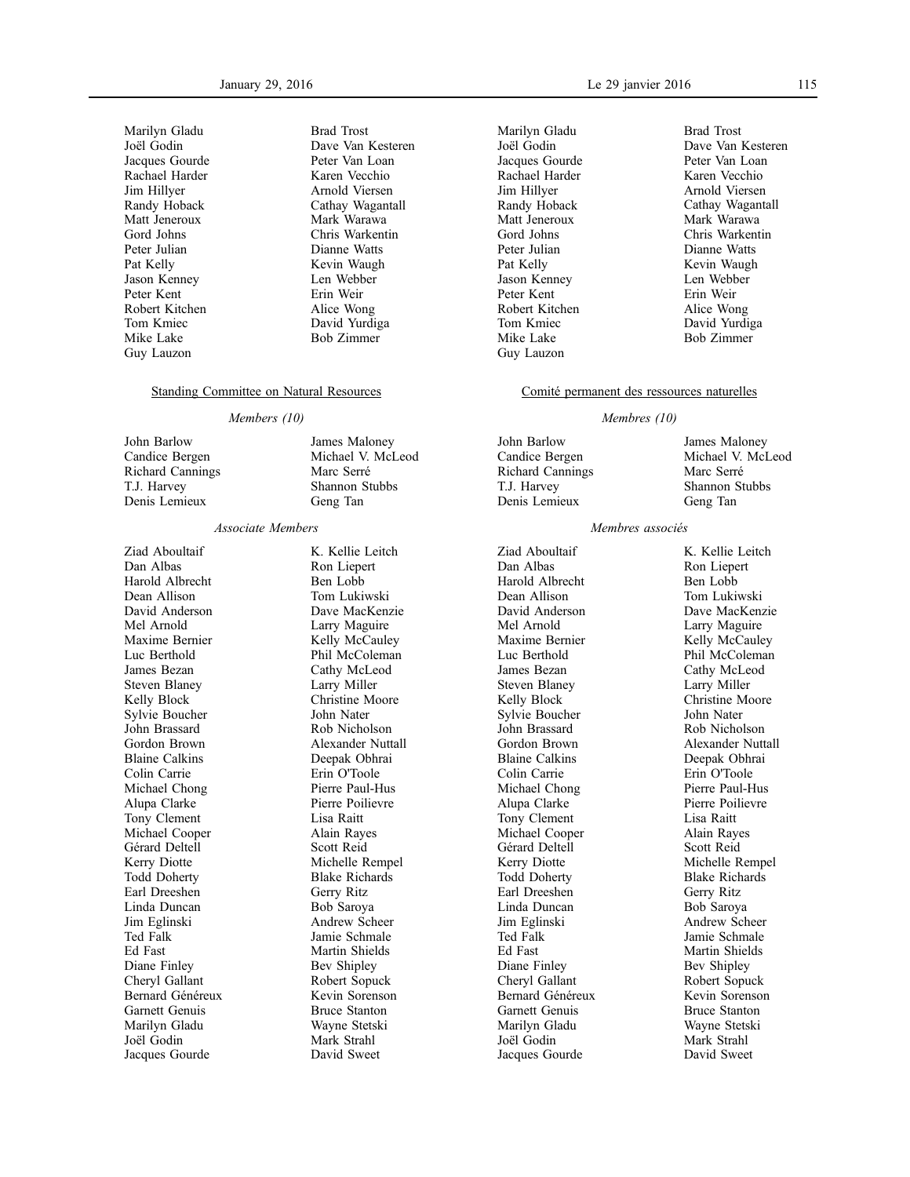Marilyn Gladu Joël Godin Jacques Gourde Rachael Harder Jim Hillyer Randy Hoback Matt Jeneroux Gord Johns Peter Julian Pat Kelly Jason Kenney Peter Kent Robert Kitchen Tom Kmiec Mike Lake Guy Lauzon

Brad Trost Dave Van Kesteren Peter Van Loan Karen Vecchio Arnold Viersen Cathay Wagantall Mark Warawa Chris Warkentin Dianne Watts Kevin Waugh Len Webber Erin Weir Alice Wong David Yurdiga Bob Zimmer

James Maloney Michael V. McLeod Marc Serré Shannon Stubbs Geng Tan

#### Standing Committee on Natural Resources

#### *Members (10)*

John Barlow Candice Bergen Richard Cannings T.J. Harvey Denis Lemieux

#### *Associate Members*

Ziad Aboultaif Dan Albas Harold Albrecht Dean Allison David Anderson Mel Arnold Maxime Bernier Luc Berthold James Bezan Steven Blaney Kelly Block Sylvie Boucher John Brassard Gordon Brown Blaine Calkins Colin Carrie Michael Chong Alupa Clarke Tony Clement Michael Cooper Gérard Deltell Kerry Diotte Todd Doherty Earl Dreeshen Linda Duncan Jim Eglinski Ted Falk Ed Fast Diane Finley Cheryl Gallant Bernard Généreux Garnett Genuis Marilyn Gladu Joël Godin Jacques Gourde

K. Kellie Leitch Ron Liepert Ben Lobb Tom Lukiwski Dave MacKenzie Larry Maguire Kelly McCauley Phil McColeman Cathy McLeod Larry Miller Christine Moore John Nater Rob Nicholson Alexander Nuttall Deepak Obhrai Erin O'Toole Pierre Paul-Hus Pierre Poilievre Lisa Raitt Alain Rayes Scott Reid Michelle Rempel Blake Richards Gerry Ritz Bob Saroya Andrew Scheer Jamie Schmale Martin Shields Bev Shipley Robert Sopuck Kevin Sorenson Bruce Stanton Wayne Stetski Mark Strahl David Sweet

Marilyn Gladu Joël Godin Jacques Gourde Rachael Harder Jim Hillyer Randy Hoback Matt Jeneroux Gord Johns Peter Julian Pat Kelly Jason Kenney Peter Kent Robert Kitchen Tom Kmiec Mike Lake Guy Lauzon

#### January 29, 2016 Le 29 janvier 2016 115

Brad Trost Dave Van Kesteren Peter Van Loan Karen Vecchio Arnold Viersen Cathay Wagantall Mark Warawa Chris Warkentin Dianne Watts Kevin Waugh Len Webber Erin Weir Alice Wong David Yurdiga Bob Zimmer

#### Comité permanent des ressources naturelles

#### *Membres (10)*

John Barlow Candice Bergen Richard Cannings T.J. Harvey Denis Lemieux

Ziad Aboultaif Dan Albas Harold Albrecht Dean Allison David Anderson Mel Arnold Maxime Bernier Luc Berthold James Bezan Steven Blaney Kelly Block Sylvie Boucher John Brassard Gordon Brown Blaine Calkins Colin Carrie Michael Chong Alupa Clarke Tony Clement Michael Cooper Gérard Deltell Kerry Diotte Todd Doherty Earl Dreeshen Linda Duncan Jim Eglinski Ted Falk Ed Fast Diane Finley Cheryl Gallant Bernard Généreux Garnett Genuis Marilyn Gladu Joël Godin Jacques Gourde

James Maloney Michael V. McLeod Marc Serré Shannon Stubbs Geng Tan

### *Membres associés*

K. Kellie Leitch Ron Liepert Ben Lobb Tom Lukiwski Dave MacKenzie Larry Maguire Kelly McCauley Phil McColeman Cathy McLeod Larry Miller Christine Moore John Nater Rob Nicholson Alexander Nuttall Deepak Obhrai Erin O'Toole Pierre Paul-Hus Pierre Poilievre Lisa Raitt Alain Rayes Scott Reid Michelle Rempel Blake Richards Gerry Ritz Bob Saroya Andrew Scheer Jamie Schmale Martin Shields Bev Shipley Robert Sopuck Kevin Sorenson Bruce Stanton Wayne Stetski Mark Strahl David Sweet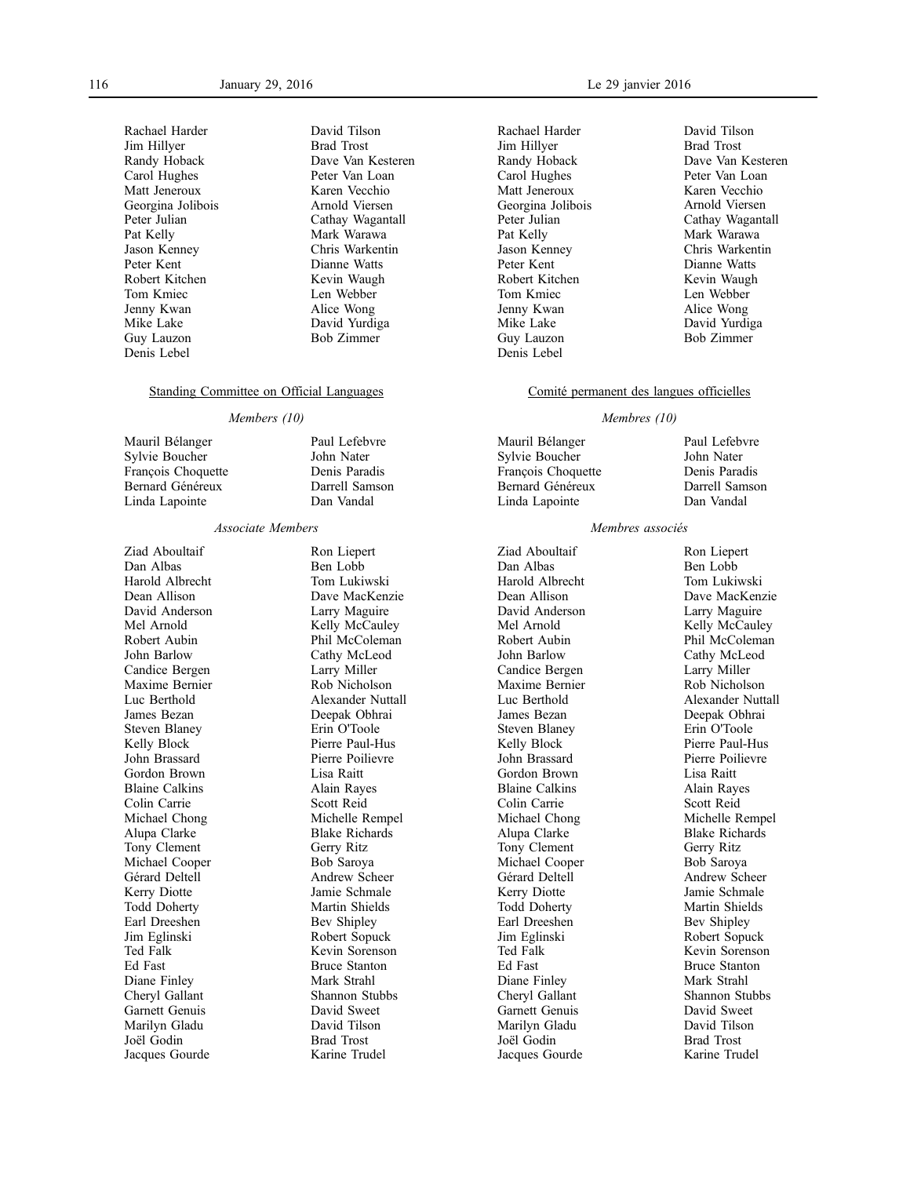Rachael Harder Jim Hillyer Randy Hoback Carol Hughes Matt Jeneroux Georgina Jolibois Peter Julian Pat Kelly Jason Kenney Peter Kent Robert Kitchen Tom Kmiec Jenny Kwan Mike Lake Guy Lauzon Denis Lebel

David Tilson Brad Trost Dave Van Kesteren Peter Van Loan Karen Vecchio Arnold Viersen Cathay Wagantall Mark Warawa Chris Warkentin Dianne Watts Kevin Waugh Len Webber Alice Wong David Yurdiga Bob Zimmer

Paul Lefebvre John Nater Denis Paradis Darrell Samson Dan Vandal

#### Standing Committee on Official Languages

#### *Members (10)*

Mauril Bélanger Sylvie Boucher François Choquette Bernard Généreux Linda Lapointe

#### *Associate Members*

Ziad Aboultaif Dan Albas Harold Albrecht Dean Allison David Anderson Mel Arnold Robert Aubin John Barlow Candice Bergen Maxime Bernier Luc Berthold James Bezan Steven Blaney Kelly Block John Brassard Gordon Brown Blaine Calkins Colin Carrie Michael Chong Alupa Clarke Tony Clement Michael Cooper Gérard Deltell Kerry Diotte Todd Doherty Earl Dreeshen Jim Eglinski Ted Falk Ed Fast Diane Finley Cheryl Gallant Garnett Genuis Marilyn Gladu Joël Godin Jacques Gourde

Ron Liepert Ben Lobb Tom Lukiwski Dave MacKenzie Larry Maguire Kelly McCauley Phil McColeman Cathy McLeod Larry Miller Rob Nicholson Alexander Nuttall Deepak Obhrai Erin O'Toole Pierre Paul-Hus Pierre Poilievre Lisa Raitt Alain Rayes Scott Reid Michelle Rempel Blake Richards Gerry Ritz Bob Saroya Andrew Scheer Jamie Schmale Martin Shields Bev Shipley Robert Sopuck Kevin Sorenson Bruce Stanton Mark Strahl Shannon Stubbs David Sweet David Tilson Brad Trost Karine Trudel

Rachael Harder Jim Hillyer Randy Hoback Carol Hughes Matt Jeneroux Georgina Jolibois Peter Julian Pat Kelly Jason Kenney Peter Kent Robert Kitchen Tom Kmiec Jenny Kwan Mike Lake Guy Lauzon Denis Lebel

David Tilson Brad Trost Dave Van Kesteren Peter Van Loan Karen Vecchio Arnold Viersen Cathay Wagantall Mark Warawa Chris Warkentin Dianne Watts Kevin Waugh Len Webber Alice Wong David Yurdiga Bob Zimmer

#### Comité permanent des langues officielles

#### *Membres (10)*

Mauril Bélanger Sylvie Boucher François Choquette Bernard Généreux Linda Lapointe

Paul Lefebvre John Nater Denis Paradis Darrell Samson Dan Vandal

### *Membres associés*

Ziad Aboultaif Dan Albas Harold Albrecht Dean Allison David Anderson Mel Arnold Robert Aubin John Barlow Candice Bergen Maxime Bernier Luc Berthold James Bezan Steven Blaney Kelly Block John Brassard Gordon Brown Blaine Calkins Colin Carrie Michael Chong Alupa Clarke Tony Clement Michael Cooper Gérard Deltell Kerry Diotte Todd Doherty Earl Dreeshen Jim Eglinski Ted Falk Ed Fast Diane Finley Cheryl Gallant Garnett Genuis Marilyn Gladu Joël Godin Jacques Gourde

Ron Liepert Ben Lobb Tom Lukiwski Dave MacKenzie Larry Maguire Kelly McCauley Phil McColeman Cathy McLeod Larry Miller Rob Nicholson Alexander Nuttall Deepak Obhrai Erin O'Toole Pierre Paul-Hus Pierre Poilievre Lisa Raitt Alain Rayes Scott Reid Michelle Rempel Blake Richards Gerry Ritz Bob Saroya Andrew Scheer Jamie Schmale Martin Shields Bev Shipley Robert Sopuck Kevin Sorenson Bruce Stanton Mark Strahl Shannon Stubbs David Sweet David Tilson Brad Trost Karine Trudel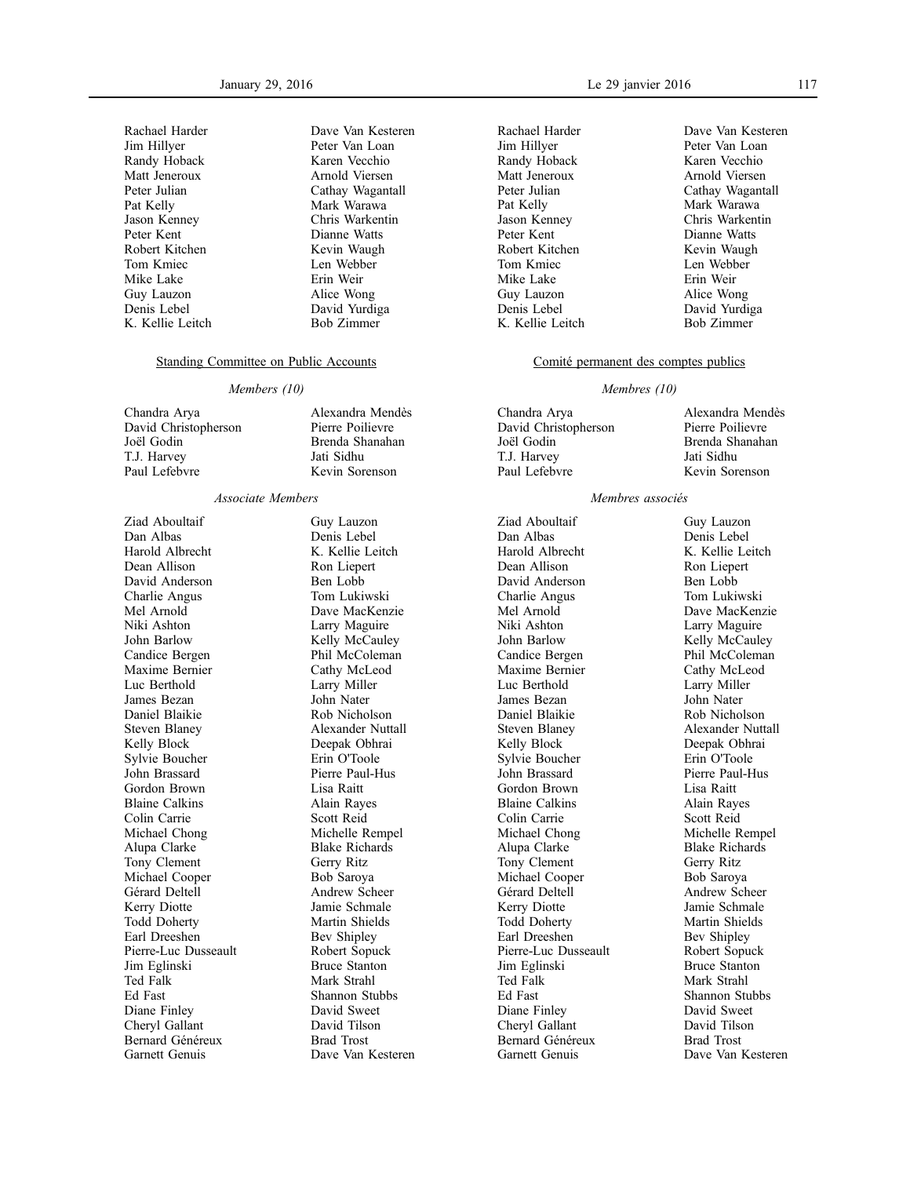| Rachael Harder   |
|------------------|
| Jim Hillyer      |
| Randy Hoback     |
| Matt Jeneroux    |
| Peter Julian     |
| Pat Kelly        |
| Jason Kenney     |
| Peter Kent       |
| Robert Kitchen   |
| Tom Kmiec        |
| Mike Lake        |
| Guy Lauzon       |
| Denis Lebel      |
| K. Kellie Leitch |

Dave Van Kesteren Peter Van Loan Karen Vecchio Arnold Viersen Cathay Wagantall Mark Warawa Chris Warkentin Dianne Watts Kevin Waugh Len Webber Erin Weir Alice Wong David Yurdiga Bob Zimmer

### Standing Committee on Public Accounts

#### *Members (10)*

Chandra Arya David Christopherson Joël Godin T.J. Harvey Paul Lefebvre

Alexandra Mendès Pierre Poilievre Brenda Shanahan Jati Sidhu Kevin Sorenson

#### *Associate Members*

Ziad Aboultaif Dan Albas Harold Albrecht Dean Allison David Anderson Charlie Angus Mel Arnold Niki Ashton John Barlow Candice Bergen Maxime Bernier Luc Berthold James Bezan Daniel Blaikie Steven Blaney Kelly Block Sylvie Boucher John Brassard Gordon Brown Blaine Calkins Colin Carrie Michael Chong Alupa Clarke Tony Clement Michael Cooper Gérard Deltell Kerry Diotte Todd Doherty Earl Dreeshen Pierre-Luc Dusseault Jim Eglinski Ted Falk Ed Fast Diane Finley Cheryl Gallant Bernard Généreux Garnett Genuis

Guy Lauzon Denis Lebel K. Kellie Leitch Ron Liepert Ben Lobb Tom Lukiwski Dave MacKenzie Larry Maguire Kelly McCauley Phil McColeman Cathy McLeod Larry Miller John Nater Rob Nicholson Alexander Nuttall Deepak Obhrai Erin O'Toole Pierre Paul-Hus Lisa Raitt Alain Rayes Scott Reid Michelle Rempel Blake Richards Gerry Ritz Bob Saroya Andrew Scheer Jamie Schmale Martin Shields Bev Shipley Robert Sopuck Bruce Stanton Mark Strahl Shannon Stubbs David Sweet David Tilson Brad Trost Dave Van Kesteren Rachael Harder Jim Hillyer Randy Hoback Matt Jeneroux Peter Julian Pat Kelly Jason Kenney Peter Kent Robert Kitchen Tom Kmiec Mike Lake Guy Lauzon Denis Lebel K. Kellie Leitch Dave Van Kesteren Peter Van Loan Karen Vecchio Arnold Viersen Cathay Wagantall Mark Warawa Chris Warkentin Dianne Watts Kevin Waugh Len Webber Erin Weir Alice Wong David Yurdiga Bob Zimmer

### Comité permanent des comptes publics

#### *Membres (10)*

| Chandra Arya         | Alexandra Mendès |
|----------------------|------------------|
| David Christopherson | Pierre Poilievre |
| Joël Godin           | Brenda Shanahan  |
| T.J. Harvey          | Jati Sidhu       |
| Paul Lefebvre        | Kevin Sorenson   |
|                      |                  |

### *Membres associés*

Ziad Aboultaif Dan Albas Harold Albrecht Dean Allison David Anderson Charlie Angus Mel Arnold Niki Ashton John Barlow Candice Bergen Maxime Bernier Luc Berthold James Bezan Daniel Blaikie Steven Blaney Kelly Block Sylvie Boucher John Brassard Gordon Brown Blaine Calkins Colin Carrie Michael Chong Alupa Clarke Tony Clement Michael Cooper Gérard Deltell Kerry Diotte Todd Doherty Earl Dreeshen Pierre-Luc Dusseault Jim Eglinski Ted Falk Ed Fast Diane Finley Cheryl Gallant Bernard Généreux Garnett Genuis

Guy Lauzon Denis Lebel K. Kellie Leitch Ron Liepert Ben Lobb Tom Lukiwski Dave MacKenzie Larry Maguire Kelly McCauley Phil McColeman Cathy McLeod Larry Miller John Nater Rob Nicholson Alexander Nuttall Deepak Obhrai Erin O'Toole Pierre Paul-Hus Lisa Raitt Alain Rayes Scott Reid Michelle Rempel Blake Richards Gerry Ritz Bob Saroya Andrew Scheer Jamie Schmale Martin Shields Bev Shipley Robert Sopuck Bruce Stanton Mark Strahl Shannon Stubbs David Sweet David Tilson Brad Trost

Dave Van Kesteren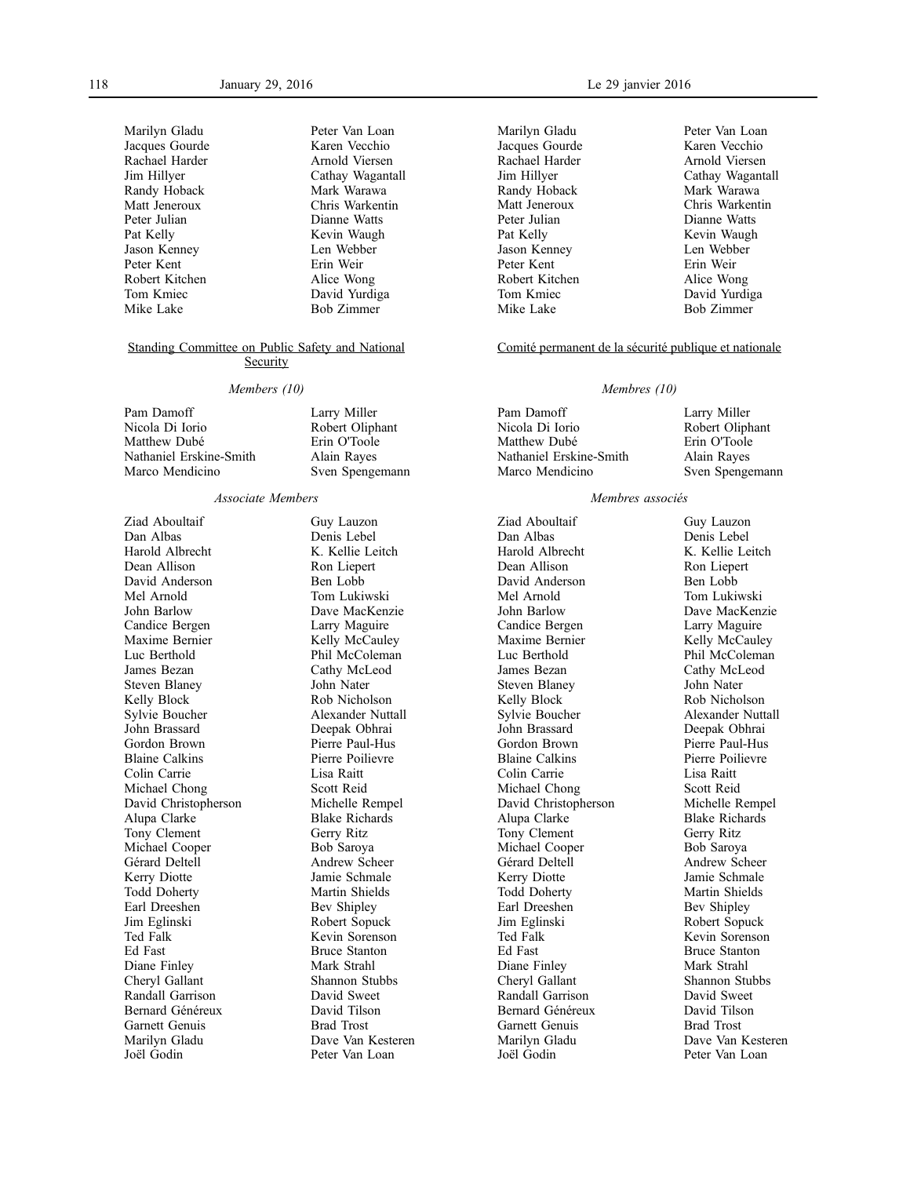| Peter Van Loan    |
|-------------------|
| Karen Vecchio     |
| Arnold Viersen    |
| Cathay Wagantall  |
| Mark Warawa       |
| Chris Warkentin   |
| Dianne Watts      |
| Kevin Waugh       |
| Len Webber        |
| Erin Weir         |
| Alice Wong        |
| David Yurdiga     |
| <b>Bob Zimmer</b> |
|                   |

#### Standing Committee on Public Safety and National **Security**

#### *Members (10)*

Pam Damoff Nicola Di Iorio Matthew Dubé Nathaniel Erskine-Smith Marco Mendicino

Larry Miller Robert Oliphant Erin O'Toole Alain Rayes Sven Spengemann

#### *Associate Members*

Ziad Aboultaif Dan Albas Harold Albrecht Dean Allison David Anderson Mel Arnold John Barlow Candice Bergen Maxime Bernier Luc Berthold James Bezan Steven Blaney Kelly Block Sylvie Boucher John Brassard Gordon Brown Blaine Calkins Colin Carrie Michael Chong David Christopherson Alupa Clarke Tony Clement Michael Cooper Gérard Deltell Kerry Diotte Todd Doherty Earl Dreeshen Jim Eglinski Ted Falk Ed Fast Diane Finley Cheryl Gallant Randall Garrison Bernard Généreux Garnett Genuis Marilyn Gladu Joël Godin

Guy Lauzon Denis Lebel K. Kellie Leitch Ron Liepert Ben Lobb Tom Lukiwski Dave MacKenzie Larry Maguire Kelly McCauley Phil McColeman Cathy McLeod John Nater Rob Nicholson Alexander Nuttall Deepak Obhrai Pierre Paul-Hus Pierre Poilievre Lisa Raitt Scott Reid Michelle Rempel Blake Richards Gerry Ritz Bob Saroya Andrew Scheer Jamie Schmale Martin Shields Bev Shipley Robert Sopuck Kevin Sorenson Bruce Stanton Mark Strahl Shannon Stubbs David Sweet David Tilson Brad Trost Dave Van Kesteren Peter Van Loan

Marilyn Gladu Jacques Gourde Rachael Harder Jim Hillyer Randy Hoback Matt Jeneroux Peter Julian Pat Kelly Jason Kenney Peter Kent Robert Kitchen Tom Kmiec Mike Lake

Peter Van Loan Karen Vecchio Arnold Viersen Cathay Wagantall Mark Warawa Chris Warkentin Dianne Watts Kevin Waugh Len Webber Erin Weir Alice Wong David Yurdiga Bob Zimmer

#### Comité permanent de la sécurité publique et nationale

#### *Membres (10)*

| Pam Damoff              | Larry Miller    |
|-------------------------|-----------------|
| Nicola Di Iorio         | Robert Oliphant |
| Matthew Dubé            | Erin O'Toole    |
| Nathaniel Erskine-Smith | Alain Rayes     |
| Marco Mendicino         | Sven Spengemann |
|                         |                 |

### *Membres associés*

Ziad Aboultaif Dan Albas Harold Albrecht Dean Allison David Anderson Mel Arnold John Barlow Candice Bergen Maxime Bernier Luc Berthold James Bezan Steven Blaney Kelly Block Sylvie Boucher John Brassard Gordon Brown Blaine Calkins Colin Carrie Michael Chong David Christopherson Alupa Clarke Tony Clement Michael Cooper Gérard Deltell Kerry Diotte Todd Doherty Earl Dreeshen Jim Eglinski Ted Falk Ed Fast Diane Finley Cheryl Gallant Randall Garrison Bernard Généreux Garnett Genuis Marilyn Gladu Joël Godin

Guy Lauzon Denis Lebel K. Kellie Leitch Ron Liepert Ben Lobb Tom Lukiwski Dave MacKenzie Larry Maguire Kelly McCauley Phil McColeman Cathy McLeod John Nater Rob Nicholson Alexander Nuttall Deepak Obhrai Pierre Paul-Hus Pierre Poilievre Lisa Raitt Scott Reid Michelle Rempel Blake Richards Gerry Ritz Bob Saroya Andrew Scheer Jamie Schmale Martin Shields Bev Shipley Robert Sopuck Kevin Sorenson Bruce Stanton Mark Strahl Shannon Stubbs David Sweet David Tilson Brad Trost Dave Van Kesteren Peter Van Loan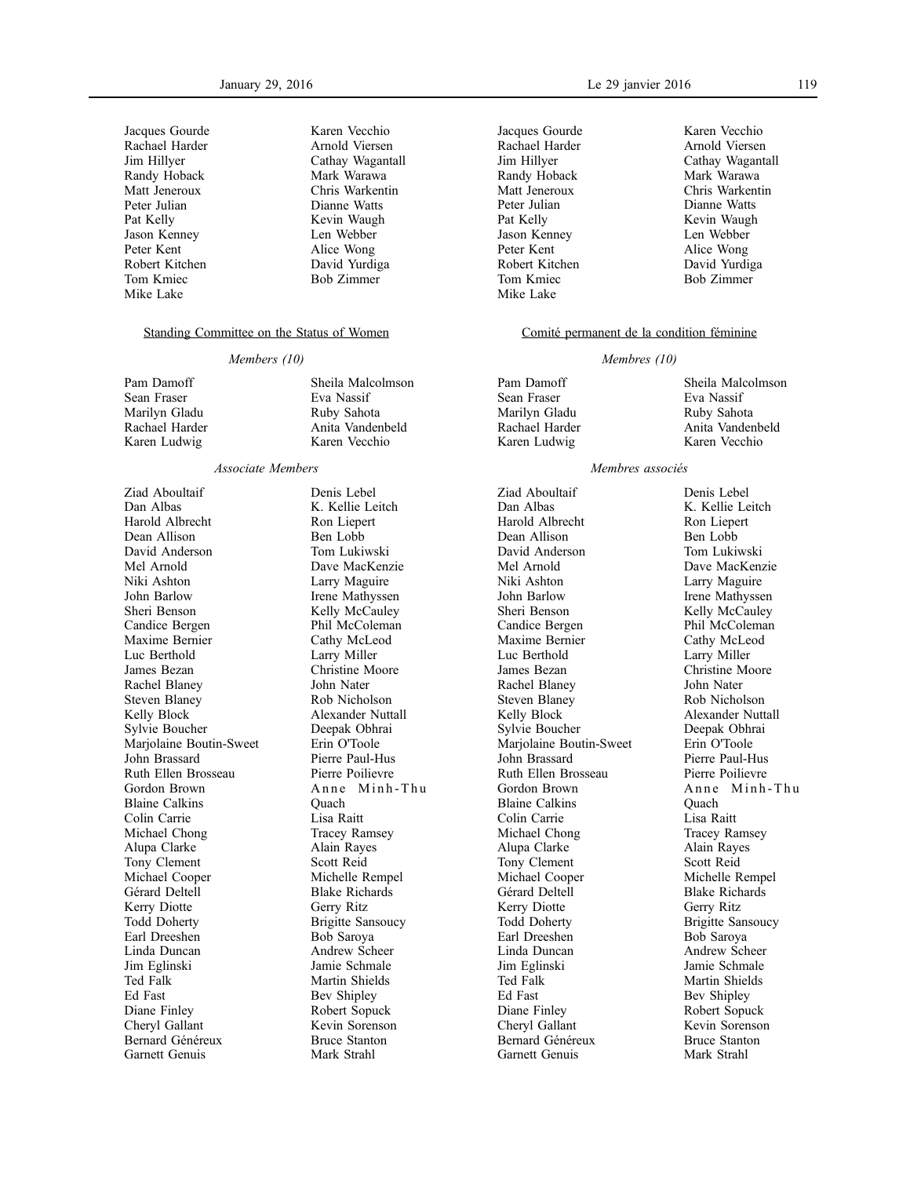| Jacques Gourde |
|----------------|
| Rachael Harder |
| Jim Hillyer    |
| Randy Hoback   |
| Matt Jeneroux  |
| Peter Julian   |
| Pat Kelly      |
| Jason Kenney   |
| Peter Kent     |
| Robert Kitchen |
| Tom Kmiec      |
| Mike Lake      |

Karen Vecchio Arnold Viersen Cathay Wagantall Mark Warawa Chris Warkentin Dianne Watts Kevin Waugh Len Webber Alice Wong David Yurdiga Bob Zimmer

#### Standing Committee on the Status of Women

#### *Members (10)*

| Pam Damoff     | Sheila Malcolmson |
|----------------|-------------------|
| Sean Fraser    | Eva Nassif        |
| Marilyn Gladu  | Ruby Sahota       |
| Rachael Harder | Anita Vandenbeld  |
| Karen Ludwig   | Karen Vecchio     |

### *Associate Members*

Ziad Aboultaif Dan Albas Harold Albrecht Dean Allison David Anderson Mel Arnold Niki Ashton John Barlow Sheri Benson Candice Bergen Maxime Bernier Luc Berthold James Bezan Rachel Blaney Steven Blaney Kelly Block Sylvie Boucher Marjolaine Boutin-Sweet John Brassard Ruth Ellen Brosseau Gordon Brown Blaine Calkins Colin Carrie Michael Chong Alupa Clarke Tony Clement Michael Cooper Gérard Deltell Kerry Diotte Todd Doherty Earl Dreeshen Linda Duncan Jim Eglinski Ted Falk Ed Fast Diane Finley Cheryl Gallant Bernard Généreux Garnett Genuis

Denis Lebel K. Kellie Leitch Ron Liepert Ben Lobb Tom Lukiwski Dave MacKenzie Larry Maguire Irene Mathyssen Kelly McCauley Phil McColeman Cathy McLeod Larry Miller Christine Moore John Nater Rob Nicholson Alexander Nuttall Deepak Obhrai Erin O'Toole Pierre Paul-Hus Pierre Poilievre Anne Minh-Thu Quach Lisa Raitt Tracey Ramsey Alain Rayes Scott Reid Michelle Rempel Blake Richards Gerry Ritz Brigitte Sansoucy Bob Saroya Andrew Scheer Jamie Schmale Martin Shields Bev Shipley Robert Sopuck Kevin Sorenson Bruce Stanton Mark Strahl

January 29, 2016 Le 29 janvier 2016 119

Jacques Gourde Rachael Harder Jim Hillyer Randy Hoback Matt Jeneroux Peter Julian Pat Kelly Jason Kenney Peter Kent Robert Kitchen Tom Kmiec Mike Lake

Karen Vecchio Arnold Viersen Cathay Wagantall Mark Warawa Chris Warkentin Dianne Watts Kevin Waugh Len Webber Alice Wong David Yurdiga Bob Zimmer

### Comité permanent de la condition féminine

#### *Membres (10)*

| Sheila Malcolmson |
|-------------------|
| Eva Nassif        |
| Ruby Sahota       |
| Anita Vandenbeld  |
| Karen Vecchio     |
|                   |

#### *Membres associés*

Ziad Aboultaif Dan Albas Harold Albrecht Dean Allison David Anderson Mel Arnold Niki Ashton John Barlow Sheri Benson Candice Bergen Maxime Bernier Luc Berthold James Bezan Rachel Blaney Steven Blaney Kelly Block Sylvie Boucher Marjolaine Boutin-Sweet John Brassard Ruth Ellen Brosseau Gordon Brown Blaine Calkins Colin Carrie Michael Chong Alupa Clarke Tony Clement Michael Cooper Gérard Deltell Kerry Diotte Todd Doherty Earl Dreeshen Linda Duncan Jim Eglinski Ted Falk Ed Fast Diane Finley Cheryl Gallant Bernard Généreux Garnett Genuis

Denis Lebel K. Kellie Leitch Ron Liepert Ben Lobb Tom Lukiwski Dave MacKenzie Larry Maguire Irene Mathyssen Kelly McCauley Phil McColeman Cathy McLeod Larry Miller Christine Moore John Nater Rob Nicholson Alexander Nuttall Deepak Obhrai Erin O'Toole Pierre Paul-Hus Pierre Poilievre Anne Minh-Thu Quach Lisa Raitt Tracey Ramsey Alain Rayes Scott Reid Michelle Rempel Blake Richards Gerry Ritz Brigitte Sansoucy Bob Saroya Andrew Scheer Jamie Schmale Martin Shields Bev Shipley Robert Sopuck Kevin Sorenson Bruce Stanton Mark Strahl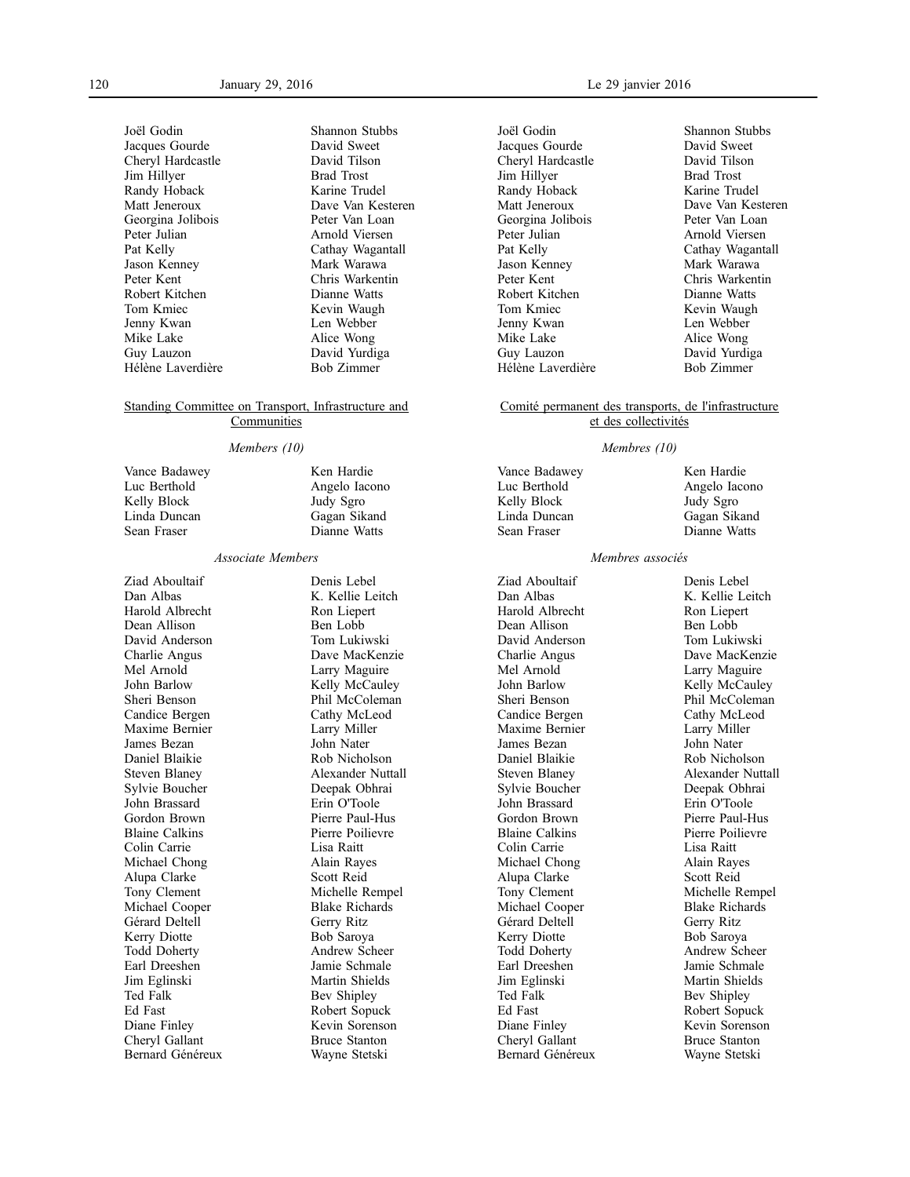Joël Godin Jacques Gourde Cheryl Hardcastle Jim Hillyer Randy Hoback Matt Jeneroux Georgina Jolibois Peter Julian Pat Kelly Jason Kenney Peter Kent Robert Kitchen Tom Kmiec Jenny Kwan Mike Lake Guy Lauzon Hélène Laverdière

Shannon Stubbs David Sweet David Tilson Brad Trost Karine Trudel Dave Van Kesteren Peter Van Loan Arnold Viersen Cathay Wagantall Mark Warawa Chris Warkentin Dianne Watts Kevin Waugh Len Webber Alice Wong David Yurdiga Bob Zimmer

### Standing Committee on Transport, Infrastructure and **Communities**

### *Members (10)*

Vance Badawey Luc Berthold Kelly Block Linda Duncan Sean Fraser Ken Hardie Angelo Iacono Judy Sgro Gagan Sikand Dianne Watts

#### *Associate Members*

Ziad Aboultaif Dan Albas Harold Albrecht Dean Allison David Anderson Charlie Angus Mel Arnold John Barlow Sheri Benson Candice Bergen Maxime Bernier James Bezan Daniel Blaikie Steven Blaney Sylvie Boucher John Brassard Gordon Brown Blaine Calkins Colin Carrie Michael Chong Alupa Clarke Tony Clement Michael Cooper Gérard Deltell Kerry Diotte Todd Doherty Earl Dreeshen Jim Eglinski Ted Falk Ed Fast Diane Finley Cheryl Gallant Bernard Généreux

Denis Lebel K. Kellie Leitch Ron Liepert Ben Lobb Tom Lukiwski Dave MacKenzie Larry Maguire Kelly McCauley Phil McColeman Cathy McLeod Larry Miller John Nater Rob Nicholson Alexander Nuttall Deepak Obhrai Erin O'Toole Pierre Paul-Hus Pierre Poilievre Lisa Raitt Alain Rayes Scott Reid Michelle Rempel Blake Richards Gerry Ritz Bob Saroya Andrew Scheer Jamie Schmale Martin Shields Bev Shipley Robert Sopuck Kevin Sorenson Bruce Stanton Wayne Stetski

Joël Godin Jacques Gourde Cheryl Hardcastle Jim Hillyer Randy Hoback Matt Jeneroux Georgina Jolibois Peter Julian Pat Kelly Jason Kenney Peter Kent Robert Kitchen Tom Kmiec Jenny Kwan Mike Lake Guy Lauzon Hélène Laverdière

Shannon Stubbs David Sweet David Tilson Brad Trost Karine Trudel Dave Van Kesteren Peter Van Loan Arnold Viersen Cathay Wagantall Mark Warawa Chris Warkentin Dianne Watts Kevin Waugh Len Webber Alice Wong David Yurdiga Bob Zimmer

### Comité permanent des transports, de l'infrastructure et des collectivités

#### *Membres (10)*

Vance Badawey Luc Berthold Kelly Block Linda Duncan Sean Fraser

Ken Hardie Angelo Iacono Judy Sgro Gagan Sikand Dianne Watts

### *Membres associés*

Ziad Aboultaif Dan Albas Harold Albrecht Dean Allison David Anderson Charlie Angus Mel Arnold John Barlow Sheri Benson Candice Bergen Maxime Bernier James Bezan Daniel Blaikie Steven Blaney Sylvie Boucher John Brassard Gordon Brown Blaine Calkins Colin Carrie Michael Chong Alupa Clarke Tony Clement Michael Cooper Gérard Deltell Kerry Diotte Todd Doherty Earl Dreeshen Jim Eglinski Ted Falk Ed Fast Diane Finley Cheryl Gallant Bernard Généreux

Denis Lebel K. Kellie Leitch Ron Liepert Ben Lobb Tom Lukiwski Dave MacKenzie Larry Maguire Kelly McCauley Phil McColeman Cathy McLeod Larry Miller John Nater Rob Nicholson Alexander Nuttall Deepak Obhrai Erin O'Toole Pierre Paul-Hus Pierre Poilievre Lisa Raitt Alain Rayes Scott Reid Michelle Rempel Blake Richards Gerry Ritz Bob Saroya Andrew Scheer Jamie Schmale Martin Shields Bev Shipley Robert Sopuck Kevin Sorenson Bruce Stanton Wayne Stetski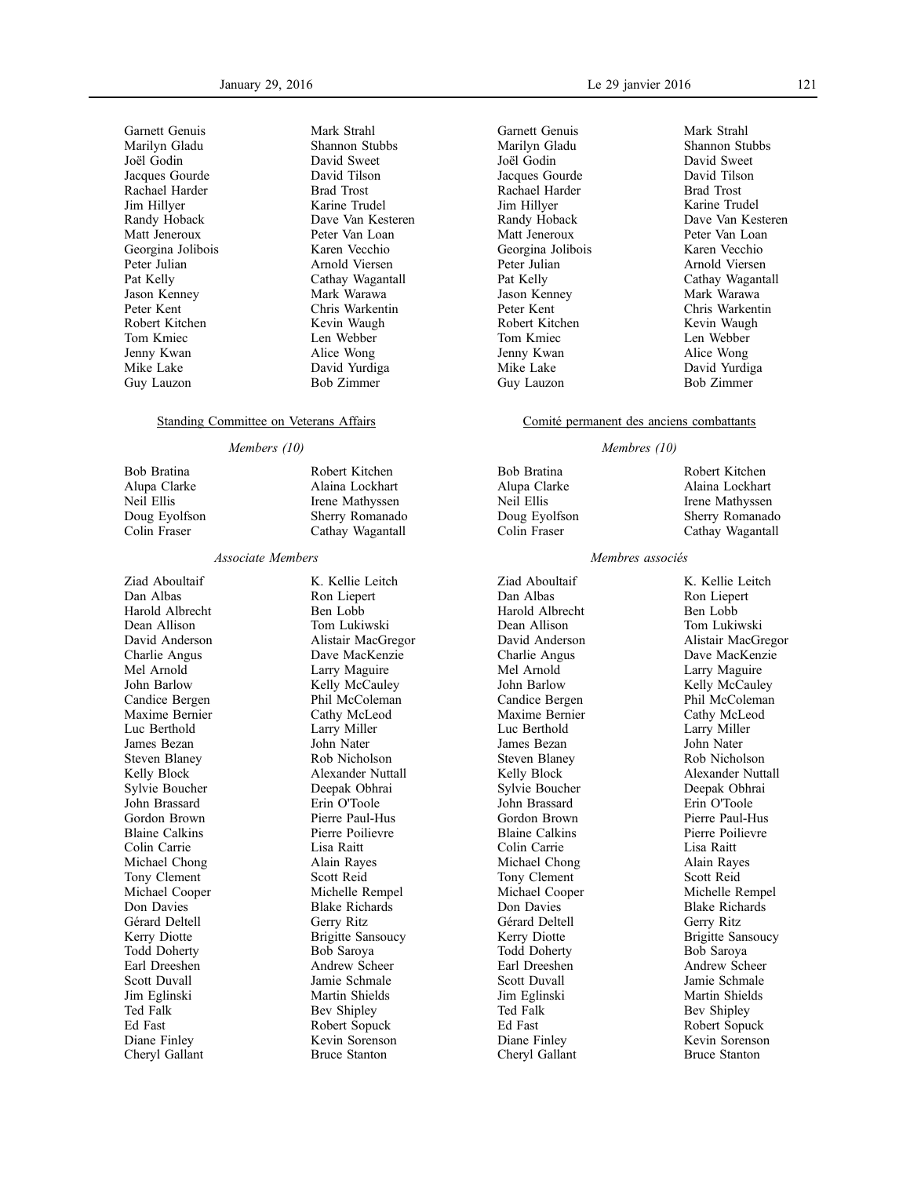Garnett Genuis Marilyn Gladu Joël Godin Jacques Gourde Rachael Harder Jim Hillyer Randy Hoback Matt Jeneroux Georgina Jolibois Peter Julian Pat Kelly Jason Kenney Peter Kent Robert Kitchen Tom Kmiec Jenny Kwan Mike Lake Guy Lauzon

Mark Strahl Shannon Stubbs David Sweet David Tilson Brad Trost Karine Trudel Dave Van Kesteren Peter Van Loan Karen Vecchio Arnold Viersen Cathay Wagantall Mark Warawa Chris Warkentin Kevin Waugh Len Webber Alice Wong David Yurdiga Bob Zimmer

Robert Kitchen Alaina Lockhart Irene Mathyssen Sherry Romanado Cathay Wagantall

### Standing Committee on Veterans Affairs

### *Members (10)*

Bob Bratina Alupa Clarke Neil Ellis Doug Eyolfson Colin Fraser

#### *Associate Members*

Ziad Aboultaif Dan Albas Harold Albrecht Dean Allison David Anderson Charlie Angus Mel Arnold John Barlow Candice Bergen Maxime Bernier Luc Berthold James Bezan Steven Blaney Kelly Block Sylvie Boucher John Brassard Gordon Brown Blaine Calkins Colin Carrie Michael Chong Tony Clement Michael Cooper Don Davies Gérard Deltell Kerry Diotte Todd Doherty Earl Dreeshen Scott Duvall Jim Eglinski Ted Falk Ed Fast Diane Finley Cheryl Gallant

K. Kellie Leitch Ron Liepert Ben Lobb Tom Lukiwski Alistair MacGregor Dave MacKenzie Larry Maguire Kelly McCauley Phil McColeman Cathy McLeod Larry Miller John Nater Rob Nicholson Alexander Nuttall Deepak Obhrai Erin O'Toole Pierre Paul-Hus Pierre Poilievre Lisa Raitt Alain Rayes Scott Reid Michelle Rempel Blake Richards Gerry Ritz Brigitte Sansoucy Bob Saroya Andrew Scheer Jamie Schmale Martin Shields Bev Shipley Robert Sopuck Kevin Sorenson Bruce Stanton

Garnett Genuis Marilyn Gladu Joël Godin Jacques Gourde Rachael Harder Jim Hillyer Randy Hoback Matt Jeneroux Georgina Jolibois Peter Julian Pat Kelly Jason Kenney Peter Kent Robert Kitchen Tom Kmiec Jenny Kwan Mike Lake Guy Lauzon

Mark Strahl Shannon Stubbs David Sweet David Tilson Brad Trost Karine Trudel Dave Van Kesteren Peter Van Loan Karen Vecchio Arnold Viersen Cathay Wagantall Mark Warawa Chris Warkentin Kevin Waugh Len Webber Alice Wong David Yurdiga Bob Zimmer

### Comité permanent des anciens combattants

### *Membres (10)*

Bob Bratina Alupa Clarke Neil Ellis Doug Eyolfson Colin Fraser

Ziad Aboultaif Dan Albas Harold Albrecht Dean Allison David Anderson Charlie Angus Mel Arnold John Barlow Candice Bergen Maxime Bernier Luc Berthold James Bezan Steven Blaney Kelly Block Sylvie Boucher John Brassard Gordon Brown Blaine Calkins Colin Carrie Michael Chong Tony Clement Michael Cooper Don Davies Gérard Deltell Kerry Diotte Todd Doherty Earl Dreeshen Scott Duvall Jim Eglinski Ted Falk Ed Fast Diane Finley Cheryl Gallant

Robert Kitchen Alaina Lockhart Irene Mathyssen Sherry Romanado Cathay Wagantall

### *Membres associés*

K. Kellie Leitch Ron Liepert Ben Lobb Tom Lukiwski Alistair MacGregor Dave MacKenzie Larry Maguire Kelly McCauley Phil McColeman Cathy McLeod Larry Miller John Nater Rob Nicholson Alexander Nuttall Deepak Obhrai Erin O'Toole Pierre Paul-Hus Pierre Poilievre Lisa Raitt Alain Rayes Scott Reid Michelle Rempel Blake Richards Gerry Ritz Brigitte Sansoucy Bob Saroya Andrew Scheer Jamie Schmale Martin Shields Bev Shipley Robert Sopuck Kevin Sorenson Bruce Stanton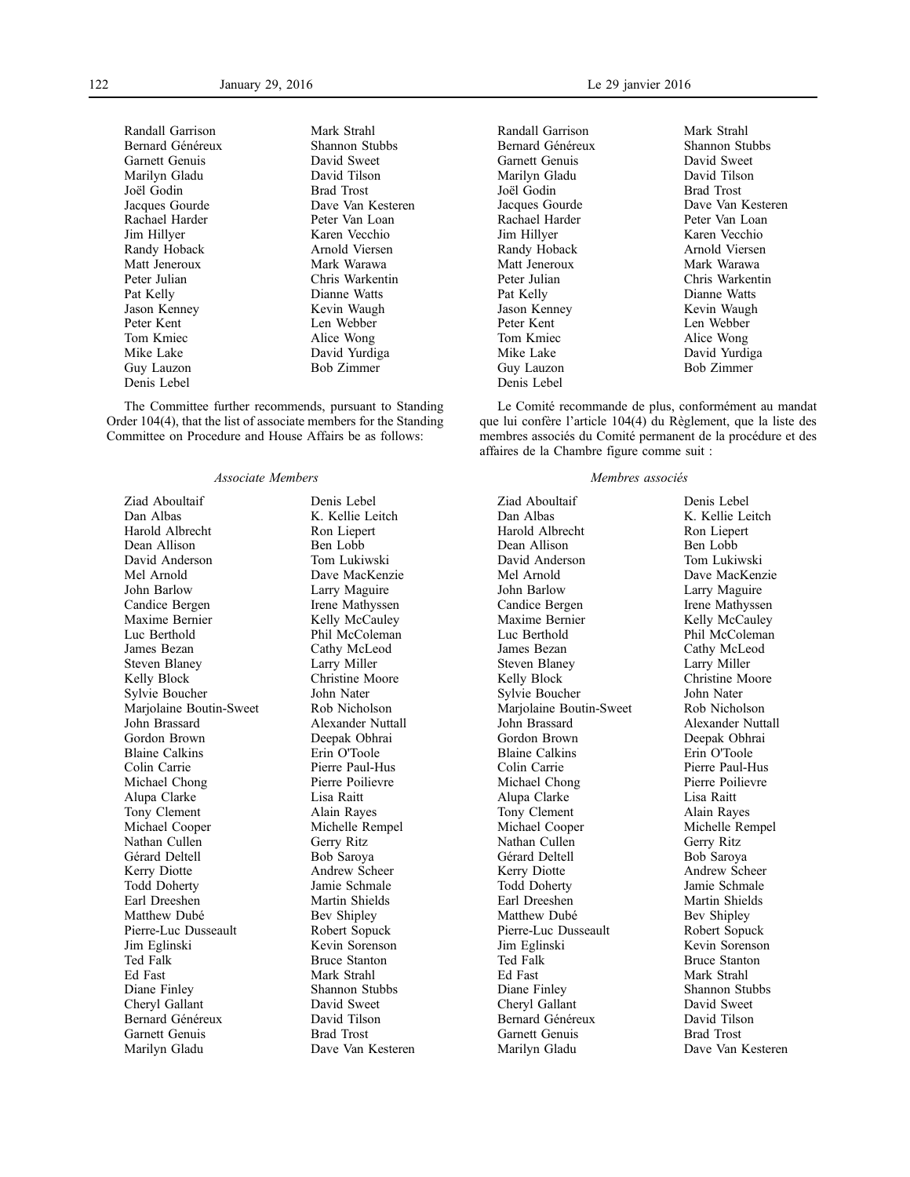Randall Garrison Bernard Généreux Garnett Genuis Marilyn Gladu Joël Godin Jacques Gourde Rachael Harder Jim Hillyer Randy Hoback Matt Jeneroux Peter Julian Pat Kelly Jason Kenney Peter Kent Tom Kmiec Mike Lake Guy Lauzon Denis Lebel

Mark Strahl Shannon Stubbs David Sweet David Tilson Brad Trost Dave Van Kesteren Peter Van Loan Karen Vecchio Arnold Viersen Mark Warawa Chris Warkentin Dianne Watts Kevin Waugh Len Webber Alice Wong David Yurdiga Bob Zimmer

The Committee further recommends, pursuant to Standing Order 104(4), that the list of associate members for the Standing Committee on Procedure and House Affairs be as follows:

#### *Associate Members*

Ziad Aboultaif Dan Albas Harold Albrecht Dean Allison David Anderson Mel Arnold John Barlow Candice Bergen Maxime Bernier Luc Berthold James Bezan Steven Blaney Kelly Block Sylvie Boucher Marjolaine Boutin-Sweet John Brassard Gordon Brown Blaine Calkins Colin Carrie Michael Chong Alupa Clarke Tony Clement Michael Cooper Nathan Cullen Gérard Deltell Kerry Diotte Todd Doherty Earl Dreeshen Matthew Dubé Pierre-Luc Dusseault Jim Eglinski Ted Falk Ed Fast Diane Finley Cheryl Gallant Bernard Généreux Garnett Genuis Marilyn Gladu

Denis Lebel K. Kellie Leitch Ron Liepert Ben Lobb Tom Lukiwski Dave MacKenzie Larry Maguire Irene Mathyssen Kelly McCauley Phil McColeman Cathy McLeod Larry Miller Christine Moore John Nater Rob Nicholson Alexander Nuttall Deepak Obhrai Erin O'Toole Pierre Paul-Hus Pierre Poilievre Lisa Raitt Alain Rayes Michelle Rempel Gerry Ritz Bob Saroya Andrew Scheer Jamie Schmale Martin Shields Bev Shipley Robert Sopuck Kevin Sorenson Bruce Stanton Mark Strahl Shannon Stubbs David Sweet David Tilson Brad Trost Dave Van Kesteren Randall Garrison Bernard Généreux Garnett Genuis Marilyn Gladu Joël Godin Jacques Gourde Rachael Harder Jim Hillyer Randy Hoback Matt Jeneroux Peter Julian Pat Kelly Jason Kenney Peter Kent Tom Kmiec Mike Lake Guy Lauzon Denis Lebel

Mark Strahl Shannon Stubbs David Sweet David Tilson Brad Trost Dave Van Kesteren Peter Van Loan Karen Vecchio Arnold Viersen Mark Warawa Chris Warkentin Dianne Watts Kevin Waugh Len Webber Alice Wong David Yurdiga Bob Zimmer

Le Comité recommande de plus, conformément au mandat que lui confère l'article 104(4) du Règlement, que la liste des membres associés du Comité permanent de la procédure et des affaires de la Chambre figure comme suit :

#### *Membres associés*

Ziad Aboultaif Dan Albas Harold Albrecht Dean Allison David Anderson Mel Arnold John Barlow Candice Bergen Maxime Bernier Luc Berthold James Bezan Steven Blaney Kelly Block Sylvie Boucher Marjolaine Boutin-Sweet John Brassard Gordon Brown Blaine Calkins Colin Carrie Michael Chong Alupa Clarke Tony Clement Michael Cooper Nathan Cullen Gérard Deltell Kerry Diotte Todd Doherty Earl Dreeshen Matthew Dubé Pierre-Luc Dusseault Jim Eglinski Ted Falk Ed Fast Diane Finley Cheryl Gallant Bernard Généreux Garnett Genuis Marilyn Gladu

Denis Lebel K. Kellie Leitch Ron Liepert Ben Lobb Tom Lukiwski Dave MacKenzie Larry Maguire Irene Mathyssen Kelly McCauley Phil McColeman Cathy McLeod Larry Miller Christine Moore John Nater Rob Nicholson Alexander Nuttall Deepak Obhrai Erin O'Toole Pierre Paul-Hus Pierre Poilievre Lisa Raitt Alain Rayes Michelle Rempel Gerry Ritz Bob Saroya Andrew Scheer Jamie Schmale Martin Shields Bev Shipley Robert Sopuck Kevin Sorenson Bruce Stanton Mark Strahl Shannon Stubbs David Sweet David Tilson Brad Trost Dave Van Kesteren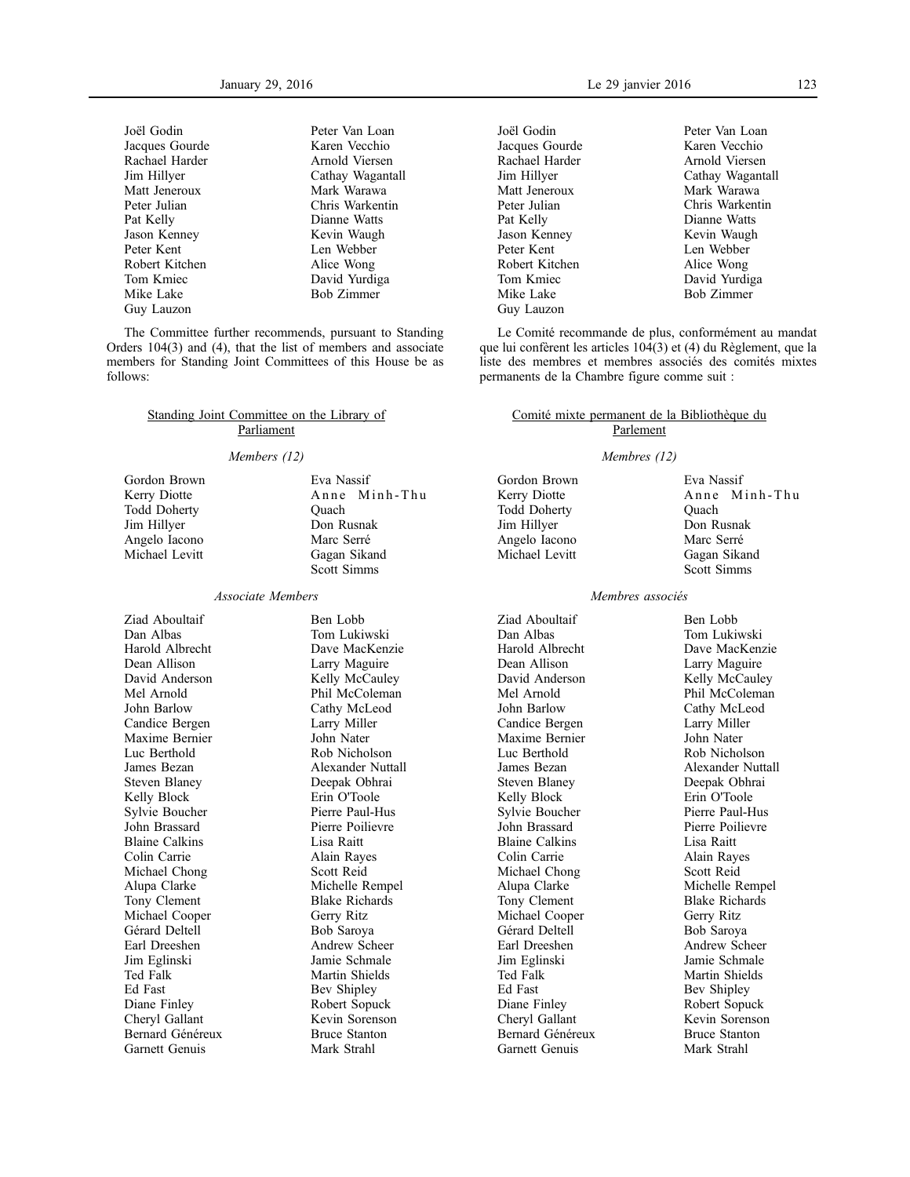Joël Godin Jacques Gourde Rachael Harder Jim Hillyer Matt Jeneroux Peter Julian Pat Kelly Jason Kenney Peter Kent Robert Kitchen Tom Kmiec Mike Lake Guy Lauzon

Peter Van Loan Karen Vecchio Arnold Viersen Cathay Wagantall Mark Warawa Chris Warkentin Dianne Watts Kevin Waugh Len Webber Alice Wong David Yurdiga Bob Zimmer

The Committee further recommends, pursuant to Standing Orders 104(3) and (4), that the list of members and associate members for Standing Joint Committees of this House be as follows:

### Standing Joint Committee on the Library of **Parliament**

#### *Members (12)*

Gordon Brown Kerry Diotte Todd Doherty Jim Hillyer Angelo Iacono Michael Levitt Eva Nassif Anne Minh-Thu **Ouach** Don Rusnak Marc Serré Gagan Sikand Scott Simms

#### *Associate Members*

Ziad Aboultaif Dan Albas Harold Albrecht Dean Allison David Anderson Mel Arnold John Barlow Candice Bergen Maxime Bernier Luc Berthold James Bezan Steven Blaney Kelly Block Sylvie Boucher John Brassard Blaine Calkins Colin Carrie Michael Chong Alupa Clarke Tony Clement Michael Cooper Gérard Deltell Earl Dreeshen Jim Eglinski Ted Falk Ed Fast Diane Finley Cheryl Gallant Bernard Généreux Garnett Genuis

Ben Lobb Tom Lukiwski Dave MacKenzie Larry Maguire Kelly McCauley Phil McColeman Cathy McLeod Larry Miller John Nater Rob Nicholson Alexander Nuttall Deepak Obhrai Erin O'Toole Pierre Paul-Hus Pierre Poilievre Lisa Raitt Alain Rayes Scott Reid Michelle Rempel Blake Richards Gerry Ritz Bob Saroya Andrew Scheer Jamie Schmale Martin Shields Bev Shipley Robert Sopuck Kevin Sorenson Bruce Stanton Mark Strahl

January 29, 2016 Le 29 janvier 2016 123

Joël Godin Jacques Gourde Rachael Harder Jim Hillyer Matt Jeneroux Peter Julian Pat Kelly Jason Kenney Peter Kent Robert Kitchen Tom Kmiec Mike Lake Guy Lauzon

Peter Van Loan Karen Vecchio Arnold Viersen Cathay Wagantall Mark Warawa Chris Warkentin Dianne Watts Kevin Waugh Len Webber Alice Wong David Yurdiga Bob Zimmer

Le Comité recommande de plus, conformément au mandat que lui confèrent les articles 104(3) et (4) du Règlement, que la liste des membres et membres associés des comités mixtes permanents de la Chambre figure comme suit :

### Comité mixte permanent de la Bibliothèque du Parlement

#### *Membres (12)*

Gordon Brown Kerry Diotte Todd Doherty Jim Hillyer Angelo Iacono Michael Levitt

Eva Nassif Anne Minh-Thu **Ouach** Don Rusnak Marc Serré Gagan Sikand Scott Simms

### *Membres associés*

Ziad Aboultaif Dan Albas Harold Albrecht Dean Allison David Anderson Mel Arnold John Barlow Candice Bergen Maxime Bernier Luc Berthold James Bezan Steven Blaney Kelly Block Sylvie Boucher John Brassard Blaine Calkins Colin Carrie Michael Chong Alupa Clarke Tony Clement Michael Cooper Gérard Deltell Earl Dreeshen Jim Eglinski Ted Falk Ed Fast Diane Finley Cheryl Gallant Bernard Généreux Garnett Genuis

Ben Lobb Tom Lukiwski Dave MacKenzie Larry Maguire Kelly McCauley Phil McColeman Cathy McLeod Larry Miller John Nater Rob Nicholson Alexander Nuttall Deepak Obhrai Erin O'Toole Pierre Paul-Hus Pierre Poilievre Lisa Raitt Alain Rayes Scott Reid Michelle Rempel Blake Richards Gerry Ritz Bob Saroya Andrew Scheer Jamie Schmale Martin Shields Bev Shipley Robert Sopuck Kevin Sorenson Bruce Stanton Mark Strahl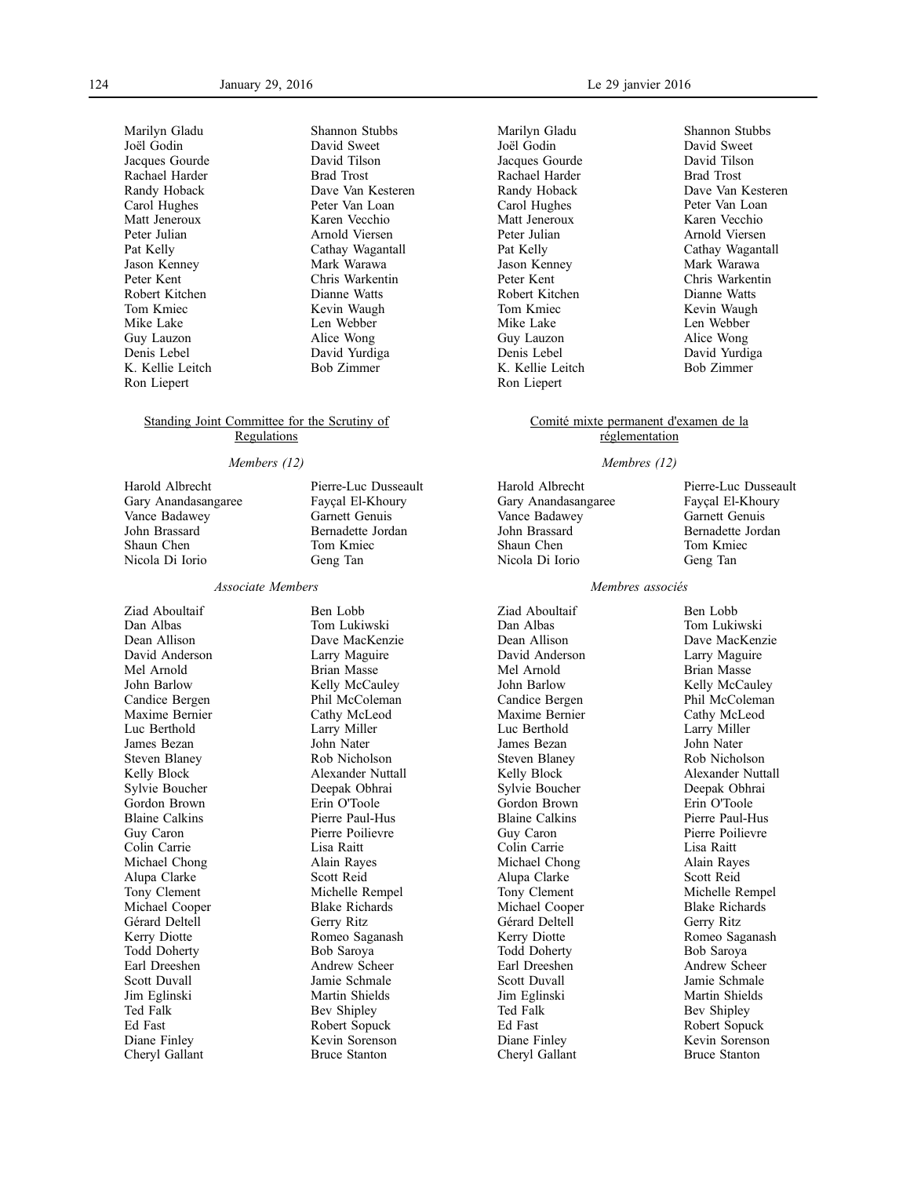Marilyn Gladu Joël Godin Jacques Gourde Rachael Harder Randy Hoback Carol Hughes Matt Jeneroux Peter Julian Pat Kelly Jason Kenney Peter Kent Robert Kitchen Tom Kmiec Mike Lake Guy Lauzon Denis Lebel K. Kellie Leitch Ron Liepert

Shannon Stubbs David Sweet David Tilson Brad Trost Dave Van Kesteren Peter Van Loan Karen Vecchio Arnold Viersen Cathay Wagantall Mark Warawa Chris Warkentin Dianne Watts Kevin Waugh Len Webber Alice Wong David Yurdiga Bob Zimmer

#### Standing Joint Committee for the Scrutiny of Regulations

#### *Members (12)*

Harold Albrecht Gary Anandasangaree Vance Badawey John Brassard Shaun Chen Nicola Di Iorio

#### *Associate Members*

Ziad Aboultaif Dan Albas Dean Allison David Anderson Mel Arnold John Barlow Candice Bergen Maxime Bernier Luc Berthold James Bezan Steven Blaney Kelly Block Sylvie Boucher Gordon Brown Blaine Calkins Guy Caron Colin Carrie Michael Chong Alupa Clarke Tony Clement Michael Cooper Gérard Deltell Kerry Diotte Todd Doherty Earl Dreeshen Scott Duvall Jim Eglinski Ted Falk Ed Fast Diane Finley Cheryl Gallant

Pierre-Luc Dusseault Fayçal El-Khoury Garnett Genuis Bernadette Jordan Tom Kmiec Geng Tan

Ben Lobb Tom Lukiwski Dave MacKenzie Larry Maguire Brian Masse Kelly McCauley Phil McColeman Cathy McLeod Larry Miller John Nater Rob Nicholson Alexander Nuttall Deepak Obhrai Erin O'Toole Pierre Paul-Hus Pierre Poilievre Lisa Raitt Alain Rayes Scott Reid Michelle Rempel Blake Richards Gerry Ritz Romeo Saganash Bob Saroya Andrew Scheer Jamie Schmale Martin Shields Bev Shipley Robert Sopuck Kevin Sorenson Bruce Stanton

Marilyn Gladu Joël Godin Jacques Gourde Rachael Harder Randy Hoback Carol Hughes Matt Jeneroux Peter Julian Pat Kelly Jason Kenney Peter Kent Robert Kitchen Tom Kmiec Mike Lake Guy Lauzon Denis Lebel K. Kellie Leitch Ron Liepert

Shannon Stubbs David Sweet David Tilson Brad Trost Dave Van Kesteren Peter Van Loan Karen Vecchio Arnold Viersen Cathay Wagantall Mark Warawa Chris Warkentin Dianne Watts Kevin Waugh Len Webber Alice Wong David Yurdiga Bob Zimmer

### Comité mixte permanent d'examen de la réglementation

#### *Membres (12)*

Harold Albrecht Gary Anandasangaree Vance Badawey John Brassard Shaun Chen Nicola Di Iorio

Fayçal El-Khoury Garnett Genuis Bernadette Jordan Tom Kmiec Geng Tan

Pierre-Luc Dusseault

#### *Membres associés*

Ziad Aboultaif Dan Albas Dean Allison David Anderson Mel Arnold John Barlow Candice Bergen Maxime Bernier Luc Berthold James Bezan Steven Blaney Kelly Block Sylvie Boucher Gordon Brown Blaine Calkins Guy Caron Colin Carrie Michael Chong Alupa Clarke Tony Clement Michael Cooper Gérard Deltell Kerry Diotte Todd Doherty Earl Dreeshen Scott Duvall Jim Eglinski Ted Falk Ed Fast Diane Finley Cheryl Gallant

Ben Lobb Tom Lukiwski Dave MacKenzie Larry Maguire Brian Masse Kelly McCauley Phil McColeman Cathy McLeod Larry Miller John Nater Rob Nicholson Alexander Nuttall Deepak Obhrai Erin O'Toole Pierre Paul-Hus Pierre Poilievre Lisa Raitt Alain Rayes Scott Reid Michelle Rempel Blake Richards Gerry Ritz Romeo Saganash Bob Saroya Andrew Scheer Jamie Schmale Martin Shields Bev Shipley Robert Sopuck Kevin Sorenson Bruce Stanton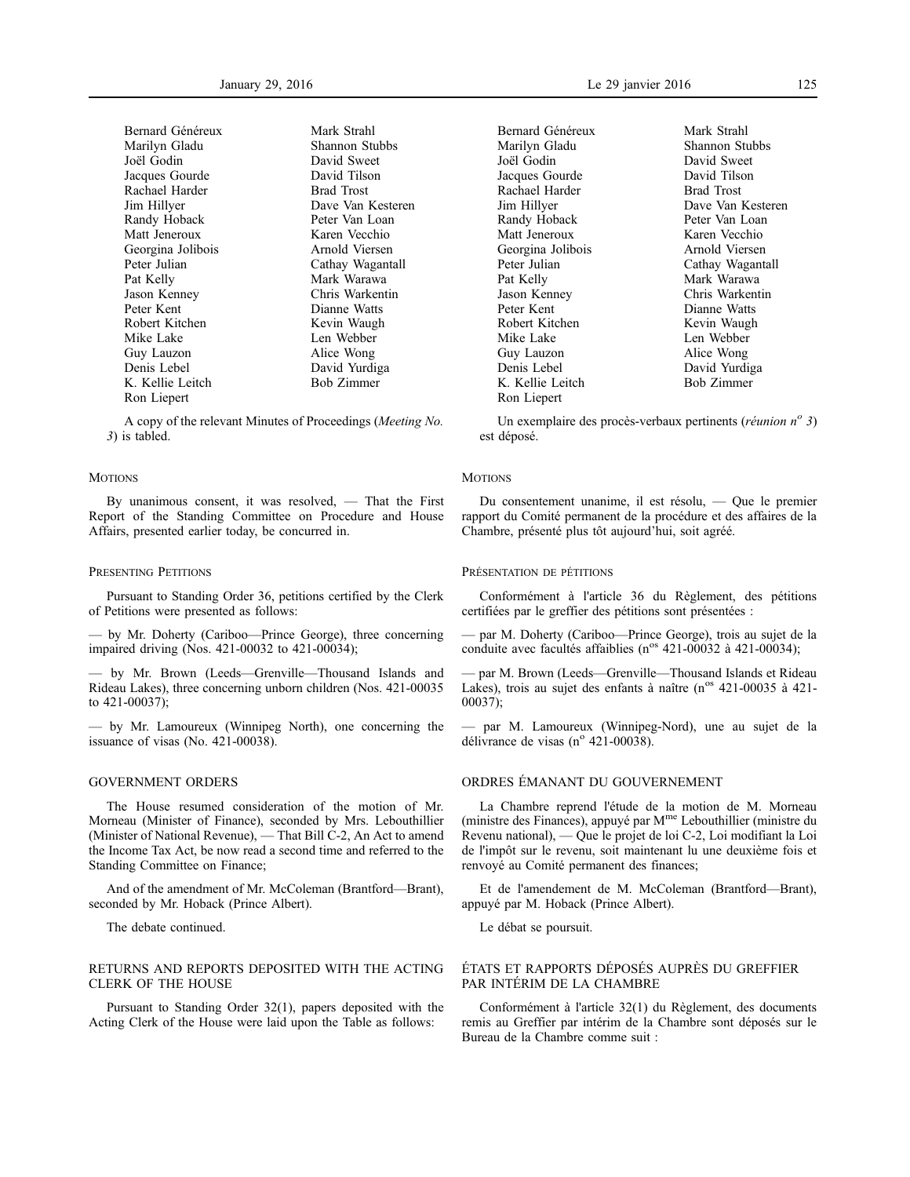| Bernard Généreux  |
|-------------------|
| Marilyn Gladu     |
| Joël Godin        |
| Jacques Gourde    |
| Rachael Harder    |
| Jim Hillyer       |
| Randy Hoback      |
| Matt Jeneroux     |
| Georgina Jolibois |
| Peter Julian      |
| Pat Kelly         |
| Jason Kenney      |
| Peter Kent        |
| Robert Kitchen    |
| Mike Lake         |
| Guy Lauzon        |
| Denis Lebel       |
| K. Kellie Leitch  |
| Ron Liepert       |
|                   |

Mark Strahl Shannon Stubbs David Sweet David Tilson Brad Trost Dave Van Kesteren Peter Van Loan Karen Vecchio Arnold Viersen Cathay Wagantall Mark Warawa Chris Warkentin Dianne Watts Kevin Waugh Len Webber Alice Wong David Yurdiga Bob Zimmer

A copy of the relevant Minutes of Proceedings (*Meeting No. 3*) is tabled.

#### **MOTIONS**

By unanimous consent, it was resolved, — That the First Report of the Standing Committee on Procedure and House Affairs, presented earlier today, be concurred in.

#### PRESENTING PETITIONS

Pursuant to Standing Order 36, petitions certified by the Clerk of Petitions were presented as follows:

— by Mr. Doherty (Cariboo—Prince George), three concerning impaired driving (Nos. 421-00032 to 421-00034);

— by Mr. Brown (Leeds—Grenville—Thousand Islands and Rideau Lakes), three concerning unborn children (Nos. 421-00035 to 421-00037);

— by Mr. Lamoureux (Winnipeg North), one concerning the issuance of visas (No. 421-00038).

### GOVERNMENT ORDERS

The House resumed consideration of the motion of Mr. Morneau (Minister of Finance), seconded by Mrs. Lebouthillier (Minister of National Revenue), — That Bill C-2, An Act to amend the Income Tax Act, be now read a second time and referred to the Standing Committee on Finance;

And of the amendment of Mr. McColeman (Brantford—Brant), seconded by Mr. Hoback (Prince Albert).

The debate continued.

### RETURNS AND REPORTS DEPOSITED WITH THE ACTING CLERK OF THE HOUSE

Pursuant to Standing Order 32(1), papers deposited with the Acting Clerk of the House were laid upon the Table as follows:

January 29, 2016 Le 29 janvier 2016 125

Bernard Généreux Marilyn Gladu Joël Godin Jacques Gourde Rachael Harder Jim Hillyer Randy Hoback Matt Jeneroux Georgina Jolibois Peter Julian Pat Kelly Jason Kenney Peter Kent Robert Kitchen Mike Lake Guy Lauzon Denis Lebel K. Kellie Leitch Ron Liepert

Mark Strahl Shannon Stubbs David Sweet David Tilson Brad Trost Dave Van Kesteren Peter Van Loan Karen Vecchio Arnold Viersen Cathay Wagantall Mark Warawa Chris Warkentin Dianne Watts Kevin Waugh Len Webber Alice Wong David Yurdiga Bob Zimmer

Un exemplaire des procès-verbaux pertinents (*réunion n<sup>o</sup> 3*) est déposé.

#### **MOTIONS**

Du consentement unanime, il est résolu, — Que le premier rapport du Comité permanent de la procédure et des affaires de la Chambre, présenté plus tôt aujourd'hui, soit agréé.

#### PRÉSENTATION DE PÉTITIONS

Conformément à l'article 36 du Règlement, des pétitions certifiées par le greffier des pétitions sont présentées :

— par M. Doherty (Cariboo—Prince George), trois au sujet de la conduite avec facultés affaiblies (n<sup>os</sup> 421-00032 à 421-00034);

— par M. Brown (Leeds—Grenville—Thousand Islands et Rideau Lakes), trois au sujet des enfants à naître (n<sup>os</sup> 421-00035 à 421-00037);

— par M. Lamoureux (Winnipeg-Nord), une au sujet de la délivrance de visas (n° 421-00038).

### ORDRES ÉMANANT DU GOUVERNEMENT

La Chambre reprend l'étude de la motion de M. Morneau (ministre des Finances), appuyé par Mme Lebouthillier (ministre du Revenu national), — Que le projet de loi C-2, Loi modifiant la Loi de l'impôt sur le revenu, soit maintenant lu une deuxième fois et renvoyé au Comité permanent des finances;

Et de l'amendement de M. McColeman (Brantford—Brant), appuyé par M. Hoback (Prince Albert).

Le débat se poursuit.

### ÉTATS ET RAPPORTS DÉPOSÉS AUPRÈS DU GREFFIER PAR INTÉRIM DE LA CHAMBRE

Conformément à l'article 32(1) du Règlement, des documents remis au Greffier par intérim de la Chambre sont déposés sur le Bureau de la Chambre comme suit :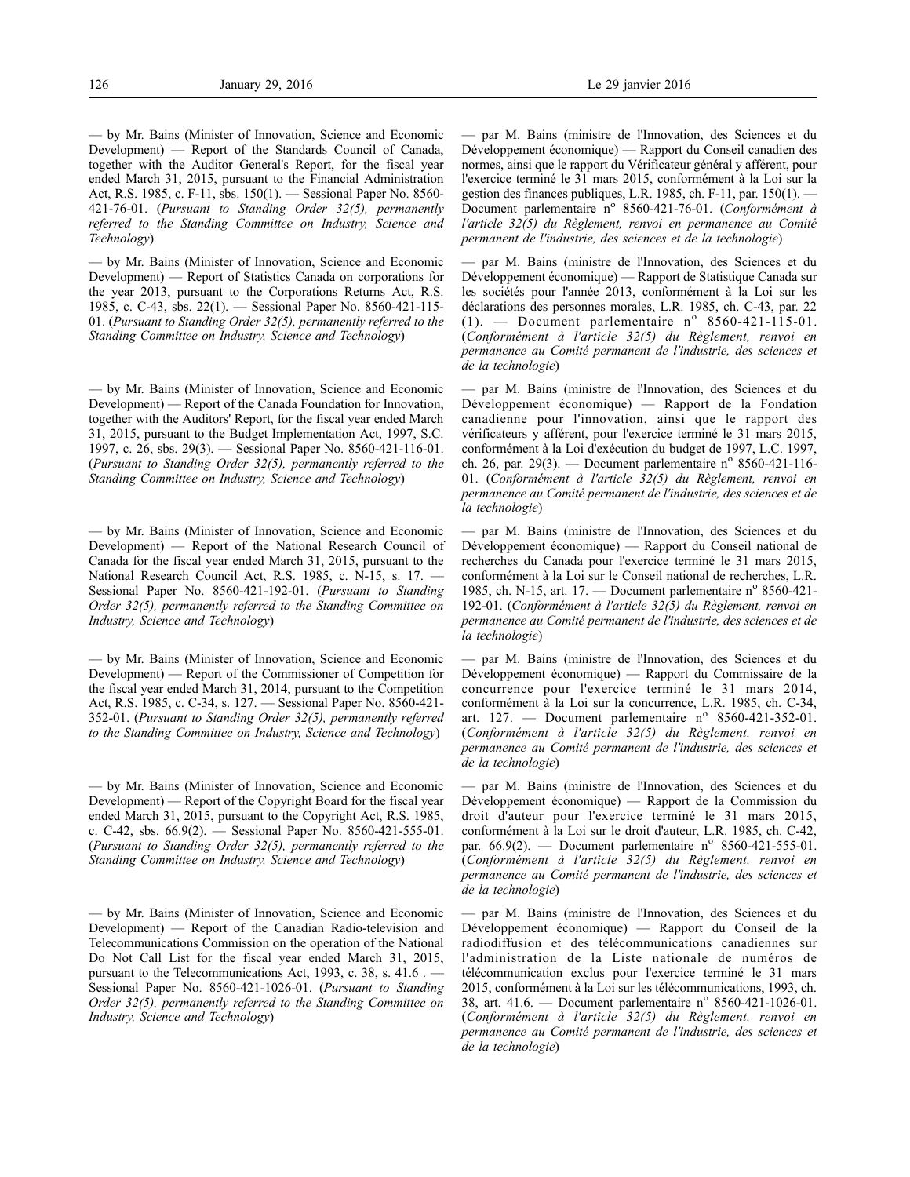— by Mr. Bains (Minister of Innovation, Science and Economic Development) — Report of the Standards Council of Canada, together with the Auditor General's Report, for the fiscal year ended March 31, 2015, pursuant to the Financial Administration Act, R.S. 1985, c. F-11, sbs. 150(1). — Sessional Paper No. 8560- 421-76-01. (*Pursuant to Standing Order 32(5), permanently referred to the Standing Committee on Industry, Science and Technology*)

— by Mr. Bains (Minister of Innovation, Science and Economic Development) — Report of Statistics Canada on corporations for the year 2013, pursuant to the Corporations Returns Act, R.S. 1985, c. C-43, sbs. 22(1). — Sessional Paper No. 8560-421-115- 01. (*Pursuant to Standing Order 32(5), permanently referred to the Standing Committee on Industry, Science and Technology*)

— by Mr. Bains (Minister of Innovation, Science and Economic Development) — Report of the Canada Foundation for Innovation, together with the Auditors' Report, for the fiscal year ended March 31, 2015, pursuant to the Budget Implementation Act, 1997, S.C. 1997, c. 26, sbs. 29(3). — Sessional Paper No. 8560-421-116-01. (*Pursuant to Standing Order 32(5), permanently referred to the Standing Committee on Industry, Science and Technology*)

— by Mr. Bains (Minister of Innovation, Science and Economic Development) — Report of the National Research Council of Canada for the fiscal year ended March 31, 2015, pursuant to the National Research Council Act, R.S. 1985, c. N-15, s. 17. Sessional Paper No. 8560-421-192-01. (*Pursuant to Standing Order 32(5), permanently referred to the Standing Committee on Industry, Science and Technology*)

— by Mr. Bains (Minister of Innovation, Science and Economic Development) — Report of the Commissioner of Competition for the fiscal year ended March 31, 2014, pursuant to the Competition Act, R.S. 1985, c. C-34, s. 127. — Sessional Paper No. 8560-421- 352-01. (*Pursuant to Standing Order 32(5), permanently referred to the Standing Committee on Industry, Science and Technology*)

— by Mr. Bains (Minister of Innovation, Science and Economic Development) — Report of the Copyright Board for the fiscal year ended March 31, 2015, pursuant to the Copyright Act, R.S. 1985, c. C-42, sbs. 66.9(2). — Sessional Paper No. 8560-421-555-01. (*Pursuant to Standing Order 32(5), permanently referred to the Standing Committee on Industry, Science and Technology*)

— by Mr. Bains (Minister of Innovation, Science and Economic Development) — Report of the Canadian Radio-television and Telecommunications Commission on the operation of the National Do Not Call List for the fiscal year ended March 31, 2015, pursuant to the Telecommunications Act, 1993, c. 38, s. 41.6 . — Sessional Paper No. 8560-421-1026-01. (*Pursuant to Standing Order 32(5), permanently referred to the Standing Committee on Industry, Science and Technology*)

— par M. Bains (ministre de l'Innovation, des Sciences et du Développement économique) — Rapport du Conseil canadien des normes, ainsi que le rapport du Vérificateur général y afférent, pour l'exercice terminé le 31 mars 2015, conformément à la Loi sur la gestion des finances publiques, L.R. 1985, ch. F-11, par. 150(1). — Document parlementaire nº 8560-421-76-01. (*Conformément à l'article 32(5) du Règlement, renvoi en permanence au Comité permanent de l'industrie, des sciences et de la technologie*)

— par M. Bains (ministre de l'Innovation, des Sciences et du Développement économique) — Rapport de Statistique Canada sur les sociétés pour l'année 2013, conformément à la Loi sur les déclarations des personnes morales, L.R. 1985, ch. C-43, par. 22 (1). — Document parlementaire  $n^{\circ}$  8560-421-115-01. (*Conformément à l'article 32(5) du Règlement, renvoi en permanence au Comité permanent de l'industrie, des sciences et de la technologie*)

— par M. Bains (ministre de l'Innovation, des Sciences et du Développement économique) — Rapport de la Fondation canadienne pour l'innovation, ainsi que le rapport des vérificateurs y afférent, pour l'exercice terminé le 31 mars 2015, conformément à la Loi d'exécution du budget de 1997, L.C. 1997, ch. 26, par. 29(3). — Document parlementaire n° 8560-421-116-01. (*Conformément à l'article 32(5) du Règlement, renvoi en permanence au Comité permanent de l'industrie, des sciences et de la technologie*)

— par M. Bains (ministre de l'Innovation, des Sciences et du Développement économique) — Rapport du Conseil national de recherches du Canada pour l'exercice terminé le 31 mars 2015, conformément à la Loi sur le Conseil national de recherches, L.R. 1985, ch. N-15, art. 17. — Document parlementaire n° 8560-421-192-01. (*Conformément à l'article 32(5) du Règlement, renvoi en permanence au Comité permanent de l'industrie, des sciences et de la technologie*)

— par M. Bains (ministre de l'Innovation, des Sciences et du Développement économique) — Rapport du Commissaire de la concurrence pour l'exercice terminé le 31 mars 2014, conformément à la Loi sur la concurrence, L.R. 1985, ch. C-34, art. 127. — Document parlementaire  $n^{\circ}$  8560-421-352-01. (*Conformément à l'article 32(5) du Règlement, renvoi en permanence au Comité permanent de l'industrie, des sciences et de la technologie*)

— par M. Bains (ministre de l'Innovation, des Sciences et du Développement économique) — Rapport de la Commission du droit d'auteur pour l'exercice terminé le 31 mars 2015, conformément à la Loi sur le droit d'auteur, L.R. 1985, ch. C-42, par.  $66.9(2)$ . — Document parlementaire n° 8560-421-555-01. (*Conformément à l'article 32(5) du Règlement, renvoi en permanence au Comité permanent de l'industrie, des sciences et de la technologie*)

— par M. Bains (ministre de l'Innovation, des Sciences et du Développement économique) — Rapport du Conseil de la radiodiffusion et des télécommunications canadiennes sur l'administration de la Liste nationale de numéros de télécommunication exclus pour l'exercice terminé le 31 mars 2015, conformément à la Loi sur les télécommunications, 1993, ch. 38, art.  $41.6.$  — Document parlementaire n° 8560-421-1026-01. (*Conformément à l'article 32(5) du Règlement, renvoi en permanence au Comité permanent de l'industrie, des sciences et de la technologie*)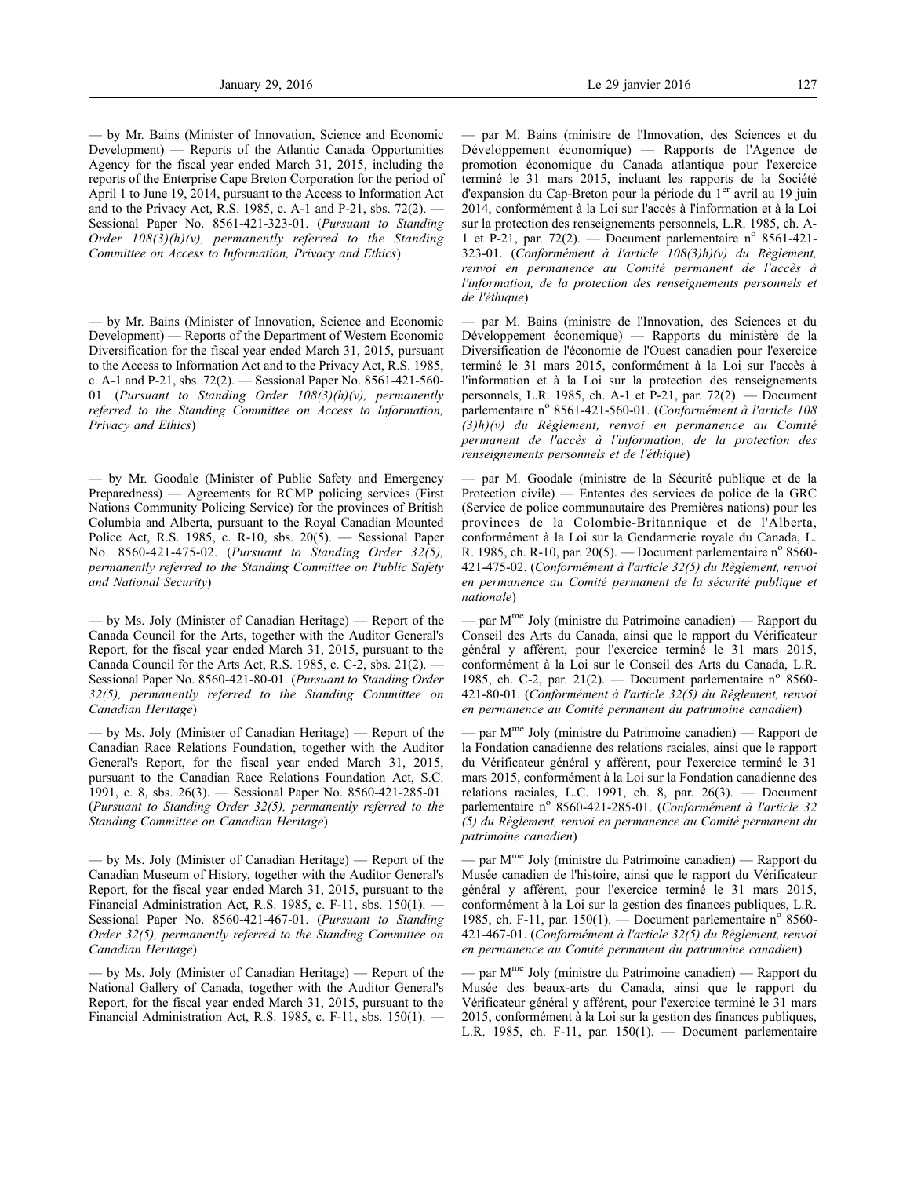— by Mr. Bains (Minister of Innovation, Science and Economic Development) — Reports of the Atlantic Canada Opportunities Agency for the fiscal year ended March 31, 2015, including the reports of the Enterprise Cape Breton Corporation for the period of April 1 to June 19, 2014, pursuant to the Access to Information Act and to the Privacy Act, R.S. 1985, c. A-1 and P-21, sbs. 72(2). — Sessional Paper No. 8561-421-323-01. (*Pursuant to Standing Order 108(3)(h)(v), permanently referred to the Standing Committee on Access to Information, Privacy and Ethics*)

— by Mr. Bains (Minister of Innovation, Science and Economic Development) — Reports of the Department of Western Economic Diversification for the fiscal year ended March 31, 2015, pursuant to the Access to Information Act and to the Privacy Act, R.S. 1985, c. A-1 and P-21, sbs. 72(2). — Sessional Paper No. 8561-421-560- 01. (*Pursuant to Standing Order 108(3)(h)(v), permanently referred to the Standing Committee on Access to Information, Privacy and Ethics*)

— by Mr. Goodale (Minister of Public Safety and Emergency Preparedness) — Agreements for RCMP policing services (First Nations Community Policing Service) for the provinces of British Columbia and Alberta, pursuant to the Royal Canadian Mounted Police Act, R.S. 1985, c. R-10, sbs. 20(5). — Sessional Paper No. 8560-421-475-02. (*Pursuant to Standing Order 32(5), permanently referred to the Standing Committee on Public Safety and National Security*)

— by Ms. Joly (Minister of Canadian Heritage) — Report of the Canada Council for the Arts, together with the Auditor General's Report, for the fiscal year ended March 31, 2015, pursuant to the Canada Council for the Arts Act, R.S. 1985, c. C-2, sbs. 21(2). — Sessional Paper No. 8560-421-80-01. (*Pursuant to Standing Order 32(5), permanently referred to the Standing Committee on Canadian Heritage*)

— by Ms. Joly (Minister of Canadian Heritage) — Report of the Canadian Race Relations Foundation, together with the Auditor General's Report, for the fiscal year ended March 31, 2015, pursuant to the Canadian Race Relations Foundation Act, S.C. 1991, c. 8, sbs. 26(3). — Sessional Paper No. 8560-421-285-01. (*Pursuant to Standing Order 32(5), permanently referred to the Standing Committee on Canadian Heritage*)

— by Ms. Joly (Minister of Canadian Heritage) — Report of the Canadian Museum of History, together with the Auditor General's Report, for the fiscal year ended March 31, 2015, pursuant to the Financial Administration Act, R.S. 1985, c. F-11, sbs. 150(1). — Sessional Paper No. 8560-421-467-01. (*Pursuant to Standing Order 32(5), permanently referred to the Standing Committee on Canadian Heritage*)

— by Ms. Joly (Minister of Canadian Heritage) — Report of the National Gallery of Canada, together with the Auditor General's Report, for the fiscal year ended March 31, 2015, pursuant to the Financial Administration Act, R.S. 1985, c. F-11, sbs. 150(1). —

— par M. Bains (ministre de l'Innovation, des Sciences et du Développement économique) — Rapports de l'Agence de promotion économique du Canada atlantique pour l'exercice terminé le 31 mars 2015, incluant les rapports de la Société d'expansion du Cap-Breton pour la période du 1<sup>er</sup> avril au 19 juin 2014, conformément à la Loi sur l'accès à l'information et à la Loi sur la protection des renseignements personnels, L.R. 1985, ch. A-1 et P-21, par. 72(2). — Document parlementaire n° 8561-421-323-01. (*Conformément à l'article 108(3)h)(v) du Règlement, renvoi en permanence au Comité permanent de l'accès à l'information, de la protection des renseignements personnels et de l'éthique*)

— par M. Bains (ministre de l'Innovation, des Sciences et du Développement économique) — Rapports du ministère de la Diversification de l'économie de l'Ouest canadien pour l'exercice terminé le 31 mars 2015, conformément à la Loi sur l'accès à l'information et à la Loi sur la protection des renseignements personnels, L.R. 1985, ch. A-1 et P-21, par. 72(2). — Document parlementaire n<sup>o</sup> 8561-421-560-01. (*Conformément à l'article 108 (3)h)(v) du Règlement, renvoi en permanence au Comité permanent de l'accès à l'information, de la protection des renseignements personnels et de l'éthique*)

— par M. Goodale (ministre de la Sécurité publique et de la Protection civile) — Ententes des services de police de la GRC (Service de police communautaire des Premières nations) pour les provinces de la Colombie-Britannique et de l'Alberta, conformément à la Loi sur la Gendarmerie royale du Canada, L. R. 1985, ch. R-10, par.  $20(5)$ . — Document parlementaire n<sup>o</sup> 8560-421-475-02. (*Conformément à l'article 32(5) du Règlement, renvoi en permanence au Comité permanent de la sécurité publique et nationale*)

— par Mme Joly (ministre du Patrimoine canadien) — Rapport du Conseil des Arts du Canada, ainsi que le rapport du Vérificateur général y afférent, pour l'exercice terminé le 31 mars 2015, conformément à la Loi sur le Conseil des Arts du Canada, L.R. 1985, ch. C-2, par. 21(2). — Document parlementaire n° 8560-421-80-01. (*Conformément à l'article 32(5) du Règlement, renvoi en permanence au Comité permanent du patrimoine canadien*)

— par  $M<sup>me</sup>$  Joly (ministre du Patrimoine canadien) — Rapport de la Fondation canadienne des relations raciales, ainsi que le rapport du Vérificateur général y afférent, pour l'exercice terminé le 31 mars 2015, conformément à la Loi sur la Fondation canadienne des relations raciales, L.C. 1991, ch. 8, par. 26(3). — Document parlementaire nº 8560-421-285-01. (Conformément à l'article 32 *(5) du Règlement, renvoi en permanence au Comité permanent du patrimoine canadien*)

— par Mme Joly (ministre du Patrimoine canadien) — Rapport du Musée canadien de l'histoire, ainsi que le rapport du Vérificateur général y afférent, pour l'exercice terminé le 31 mars 2015, conformément à la Loi sur la gestion des finances publiques, L.R. 1985, ch. F-11, par. 150(1). — Document parlementaire n° 8560-421-467-01. (*Conformément à l'article 32(5) du Règlement, renvoi en permanence au Comité permanent du patrimoine canadien*)

— par M<sup>me</sup> Joly (ministre du Patrimoine canadien) — Rapport du Musée des beaux-arts du Canada, ainsi que le rapport du Vérificateur général y afférent, pour l'exercice terminé le 31 mars 2015, conformément à la Loi sur la gestion des finances publiques, L.R. 1985, ch. F-11, par. 150(1). — Document parlementaire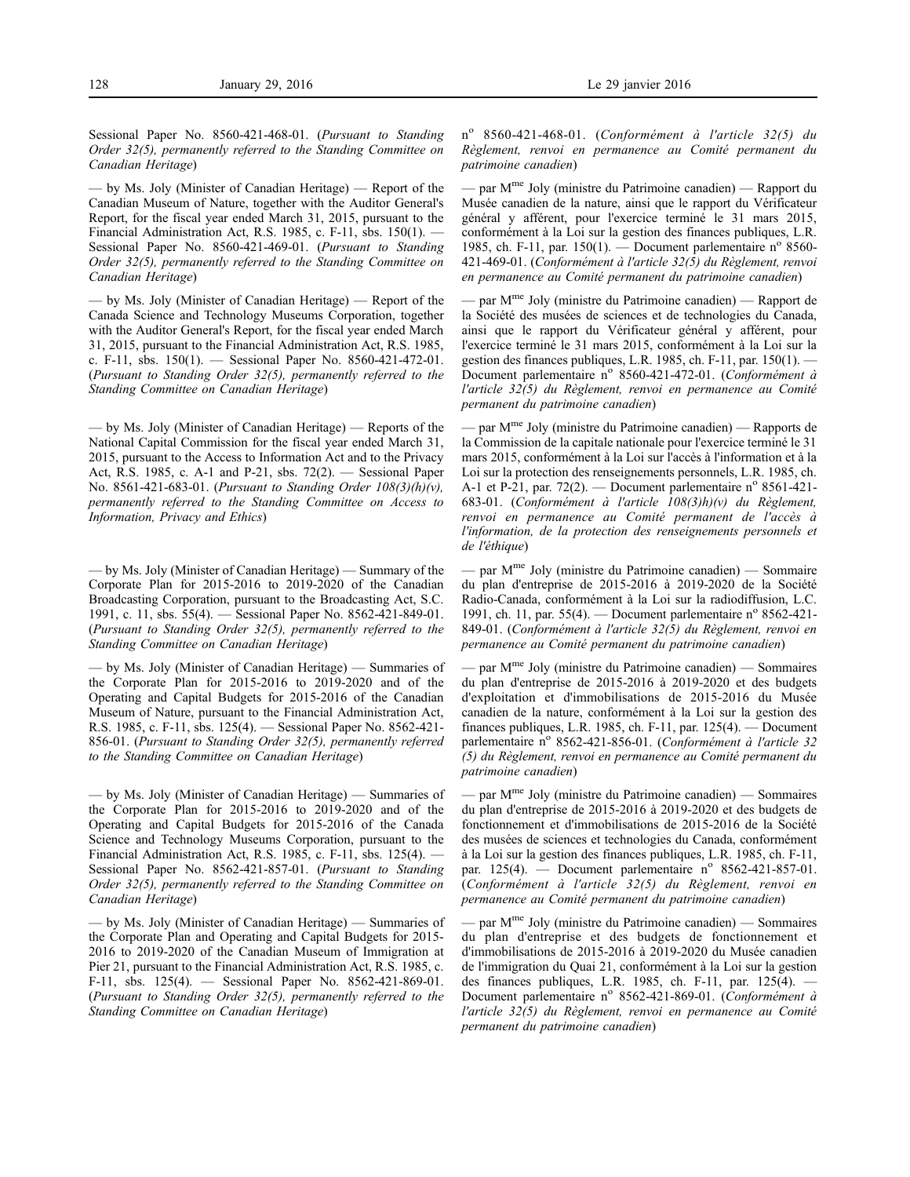Sessional Paper No. 8560-421-468-01. (*Pursuant to Standing Order 32(5), permanently referred to the Standing Committee on Canadian Heritage*)

— by Ms. Joly (Minister of Canadian Heritage) — Report of the Canadian Museum of Nature, together with the Auditor General's Report, for the fiscal year ended March 31, 2015, pursuant to the Financial Administration Act, R.S. 1985, c. F-11, sbs. 150(1). — Sessional Paper No. 8560-421-469-01. (*Pursuant to Standing Order 32(5), permanently referred to the Standing Committee on Canadian Heritage*)

— by Ms. Joly (Minister of Canadian Heritage) — Report of the Canada Science and Technology Museums Corporation, together with the Auditor General's Report, for the fiscal year ended March 31, 2015, pursuant to the Financial Administration Act, R.S. 1985, c. F-11, sbs. 150(1). — Sessional Paper No. 8560-421-472-01. (*Pursuant to Standing Order 32(5), permanently referred to the Standing Committee on Canadian Heritage*)

— by Ms. Joly (Minister of Canadian Heritage) — Reports of the National Capital Commission for the fiscal year ended March 31, 2015, pursuant to the Access to Information Act and to the Privacy Act, R.S. 1985, c. A-1 and P-21, sbs. 72(2). — Sessional Paper No. 8561-421-683-01. (*Pursuant to Standing Order 108(3)(h)(v), permanently referred to the Standing Committee on Access to Information, Privacy and Ethics*)

— by Ms. Joly (Minister of Canadian Heritage) — Summary of the Corporate Plan for 2015-2016 to 2019-2020 of the Canadian Broadcasting Corporation, pursuant to the Broadcasting Act, S.C. 1991, c. 11, sbs. 55(4). — Sessional Paper No. 8562-421-849-01. (*Pursuant to Standing Order 32(5), permanently referred to the Standing Committee on Canadian Heritage*)

— by Ms. Joly (Minister of Canadian Heritage) — Summaries of the Corporate Plan for 2015-2016 to 2019-2020 and of the Operating and Capital Budgets for 2015-2016 of the Canadian Museum of Nature, pursuant to the Financial Administration Act, R.S. 1985, c. F-11, sbs. 125(4). — Sessional Paper No. 8562-421- 856-01. (*Pursuant to Standing Order 32(5), permanently referred to the Standing Committee on Canadian Heritage*)

— by Ms. Joly (Minister of Canadian Heritage) — Summaries of the Corporate Plan for 2015-2016 to 2019-2020 and of the Operating and Capital Budgets for 2015-2016 of the Canada Science and Technology Museums Corporation, pursuant to the Financial Administration Act, R.S. 1985, c. F-11, sbs. 125(4). — Sessional Paper No. 8562-421-857-01. (*Pursuant to Standing Order 32(5), permanently referred to the Standing Committee on Canadian Heritage*)

— by Ms. Joly (Minister of Canadian Heritage) — Summaries of the Corporate Plan and Operating and Capital Budgets for 2015- 2016 to 2019-2020 of the Canadian Museum of Immigration at Pier 21, pursuant to the Financial Administration Act, R.S. 1985, c. F-11, sbs. 125(4). — Sessional Paper No. 8562-421-869-01. (*Pursuant to Standing Order 32(5), permanently referred to the Standing Committee on Canadian Heritage*)

n<sup>o</sup> 8560-421-468-01. (*Conformément à l'article 32(5) du Règlement, renvoi en permanence au Comité permanent du patrimoine canadien*)

— par Mme Joly (ministre du Patrimoine canadien) — Rapport du Musée canadien de la nature, ainsi que le rapport du Vérificateur général y afférent, pour l'exercice terminé le 31 mars 2015, conformément à la Loi sur la gestion des finances publiques, L.R. 1985, ch. F-11, par. 150(1). — Document parlementaire n° 8560-421-469-01. (*Conformément à l'article 32(5) du Règlement, renvoi en permanence au Comité permanent du patrimoine canadien*)

— par Mme Joly (ministre du Patrimoine canadien) — Rapport de la Société des musées de sciences et de technologies du Canada, ainsi que le rapport du Vérificateur général y afférent, pour l'exercice terminé le 31 mars 2015, conformément à la Loi sur la gestion des finances publiques, L.R. 1985, ch. F-11, par. 150(1). -Document parlementaire nº 8560-421-472-01. (*Conformément à l'article 32(5) du Règlement, renvoi en permanence au Comité permanent du patrimoine canadien*)

– par M<sup>me</sup> Joly (ministre du Patrimoine canadien) — Rapports de la Commission de la capitale nationale pour l'exercice terminé le 31 mars 2015, conformément à la Loi sur l'accès à l'information et à la Loi sur la protection des renseignements personnels, L.R. 1985, ch. A-1 et P-21, par. 72(2). — Document parlementaire n° 8561-421-683-01. (*Conformément à l'article 108(3)h)(v) du Règlement, renvoi en permanence au Comité permanent de l'accès à l'information, de la protection des renseignements personnels et de l'éthique*)

— par  $M<sup>me</sup>$  Joly (ministre du Patrimoine canadien) — Sommaire du plan d'entreprise de 2015-2016 à 2019-2020 de la Société Radio-Canada, conformément à la Loi sur la radiodiffusion, L.C. 1991, ch. 11, par.  $55(4)$ . — Document parlementaire n° 8562-421-849-01. (*Conformément à l'article 32(5) du Règlement, renvoi en permanence au Comité permanent du patrimoine canadien*)

— par Mme Joly (ministre du Patrimoine canadien) — Sommaires du plan d'entreprise de 2015-2016 à 2019-2020 et des budgets d'exploitation et d'immobilisations de 2015-2016 du Musée canadien de la nature, conformément à la Loi sur la gestion des finances publiques, L.R. 1985, ch. F-11, par. 125(4). — Document parlementaire nº 8562-421-856-01. (Conformément à l'article 32 *(5) du Règlement, renvoi en permanence au Comité permanent du patrimoine canadien*)

— par  $M<sup>me</sup>$  Joly (ministre du Patrimoine canadien) — Sommaires du plan d'entreprise de 2015-2016 à 2019-2020 et des budgets de fonctionnement et d'immobilisations de 2015-2016 de la Société des musées de sciences et technologies du Canada, conformément à la Loi sur la gestion des finances publiques, L.R. 1985, ch. F-11, par. 125(4). - Document parlementaire nº 8562-421-857-01. (*Conformément à l'article 32(5) du Règlement, renvoi en permanence au Comité permanent du patrimoine canadien*)

— par  $M^{me}$  Joly (ministre du Patrimoine canadien) — Sommaires du plan d'entreprise et des budgets de fonctionnement et d'immobilisations de 2015-2016 à 2019-2020 du Musée canadien de l'immigration du Quai 21, conformément à la Loi sur la gestion des finances publiques, L.R. 1985, ch. F-11, par. 125(4). — Document parlementaire nº 8562-421-869-01. (*Conformément à l'article 32(5) du Règlement, renvoi en permanence au Comité permanent du patrimoine canadien*)